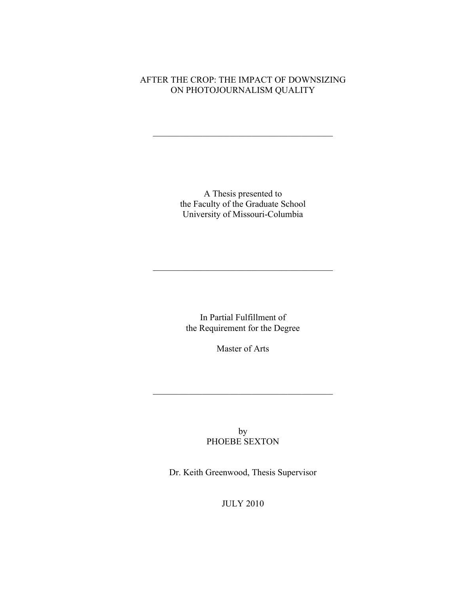# AFTER THE CROP: THE IMPACT OF DOWNSIZING ON PHOTOJOURNALISM QUALITY

 $\mathcal{L}_\text{max}$  , and the contract of the contract of the contract of the contract of the contract of the contract of the contract of the contract of the contract of the contract of the contract of the contract of the contr

A Thesis presented to the Faculty of the Graduate School University of Missouri-Columbia

In Partial Fulfillment of the Requirement for the Degree

 $\mathcal{L}_\text{max}$  , and the contract of the contract of the contract of the contract of the contract of the contract of the contract of the contract of the contract of the contract of the contract of the contract of the contr

Master of Arts

 $\mathcal{L}_\text{max}$  , and the contract of the contract of the contract of the contract of the contract of the contract of the contract of the contract of the contract of the contract of the contract of the contract of the contr

by PHOEBE SEXTON

Dr. Keith Greenwood, Thesis Supervisor

JULY 2010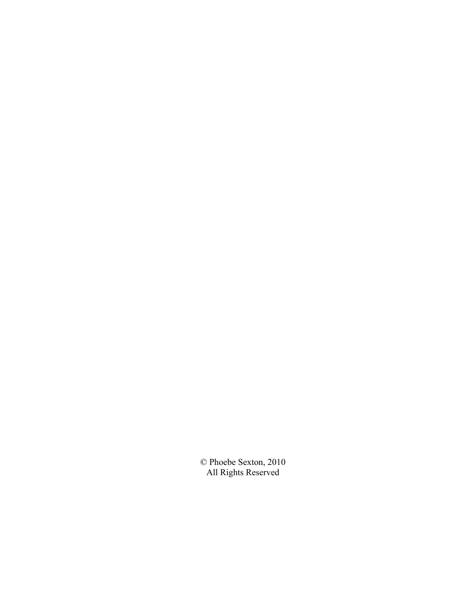© Phoebe Sexton, 2010 All Rights Reserved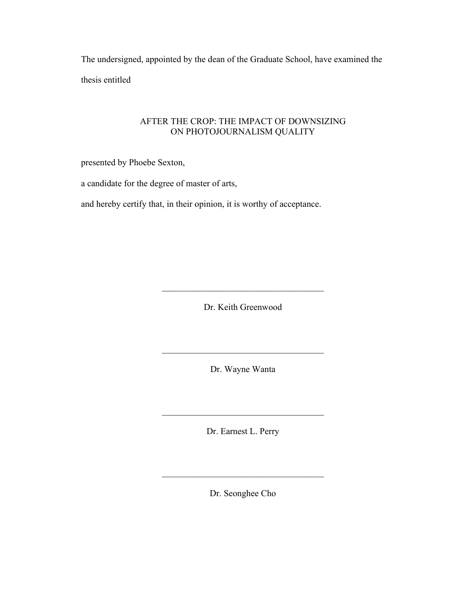The undersigned, appointed by the dean of the Graduate School, have examined the thesis entitled

# AFTER THE CROP: THE IMPACT OF DOWNSIZING ON PHOTOJOURNALISM QUALITY

presented by Phoebe Sexton,

a candidate for the degree of master of arts,

and hereby certify that, in their opinion, it is worthy of acceptance.

Dr. Keith Greenwood

 $\mathcal{L}_\text{max}$  , and the set of the set of the set of the set of the set of the set of the set of the set of the set of the set of the set of the set of the set of the set of the set of the set of the set of the set of the

Dr. Wayne Wanta

 $\mathcal{L}_\text{max}$  , and the set of the set of the set of the set of the set of the set of the set of the set of the set of the set of the set of the set of the set of the set of the set of the set of the set of the set of the

Dr. Earnest L. Perry

 $\mathcal{L}_\text{max}$  , and the set of the set of the set of the set of the set of the set of the set of the set of the set of the set of the set of the set of the set of the set of the set of the set of the set of the set of the

Dr. Seonghee Cho

 $\mathcal{L}_\text{max}$  , and the set of the set of the set of the set of the set of the set of the set of the set of the set of the set of the set of the set of the set of the set of the set of the set of the set of the set of the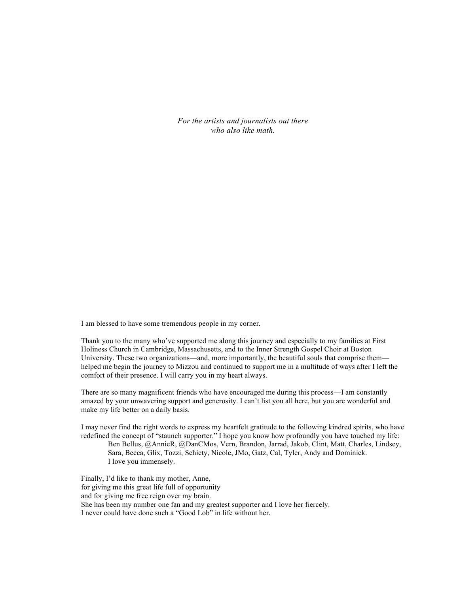*For the artists and journalists out there who also like math.*

I am blessed to have some tremendous people in my corner.

Thank you to the many who've supported me along this journey and especially to my families at First Holiness Church in Cambridge, Massachusetts, and to the Inner Strength Gospel Choir at Boston University. These two organizations—and, more importantly, the beautiful souls that comprise them helped me begin the journey to Mizzou and continued to support me in a multitude of ways after I left the comfort of their presence. I will carry you in my heart always.

There are so many magnificent friends who have encouraged me during this process—I am constantly amazed by your unwavering support and generosity. I can't list you all here, but you are wonderful and make my life better on a daily basis.

I may never find the right words to express my heartfelt gratitude to the following kindred spirits, who have redefined the concept of "staunch supporter." I hope you know how profoundly you have touched my life: Ben Bellus, @AnnieR, @DanCMos, Vern, Brandon, Jarrad, Jakob, Clint, Matt, Charles, Lindsey, Sara, Becca, Glix, Tozzi, Schiety, Nicole, JMo, Gatz, Cal, Tyler, Andy and Dominick. I love you immensely.

Finally, I'd like to thank my mother, Anne, for giving me this great life full of opportunity and for giving me free reign over my brain. She has been my number one fan and my greatest supporter and I love her fiercely. I never could have done such a "Good Lob" in life without her.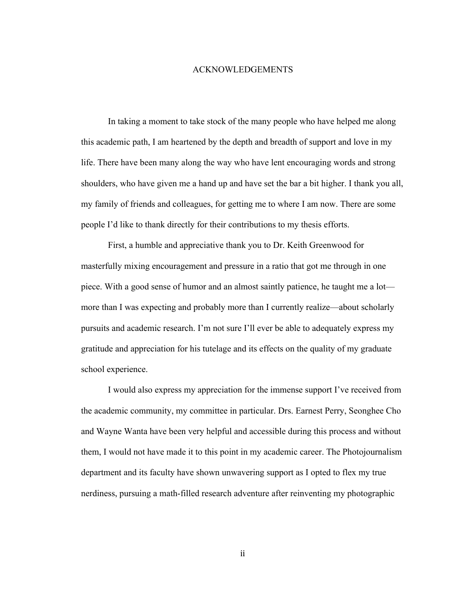### ACKNOWLEDGEMENTS

In taking a moment to take stock of the many people who have helped me along this academic path, I am heartened by the depth and breadth of support and love in my life. There have been many along the way who have lent encouraging words and strong shoulders, who have given me a hand up and have set the bar a bit higher. I thank you all, my family of friends and colleagues, for getting me to where I am now. There are some people I'd like to thank directly for their contributions to my thesis efforts.

First, a humble and appreciative thank you to Dr. Keith Greenwood for masterfully mixing encouragement and pressure in a ratio that got me through in one piece. With a good sense of humor and an almost saintly patience, he taught me a lot more than I was expecting and probably more than I currently realize—about scholarly pursuits and academic research. I'm not sure I'll ever be able to adequately express my gratitude and appreciation for his tutelage and its effects on the quality of my graduate school experience.

I would also express my appreciation for the immense support I've received from the academic community, my committee in particular. Drs. Earnest Perry, Seonghee Cho and Wayne Wanta have been very helpful and accessible during this process and without them, I would not have made it to this point in my academic career. The Photojournalism department and its faculty have shown unwavering support as I opted to flex my true nerdiness, pursuing a math-filled research adventure after reinventing my photographic

ii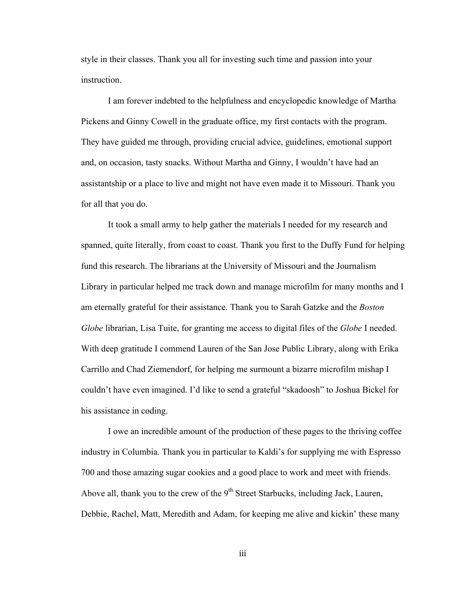style in their classes. Thank you all for investing such time and passion into your instruction.

I am forever indebted to the helpfulness and encyclopedic knowledge of Martha Pickens and Ginny Cowell in the graduate office, my first contacts with the program. They have guided me through, providing crucial advice, guidelines, emotional support and, on occasion, tasty snacks. Without Martha and Ginny, I wouldn't have had an assistantship or a place to live and might not have even made it to Missouri. Thank you for all that you do.

It took a small army to help gather the materials I needed for my research and spanned, quite literally, from coast to coast. Thank you first to the Duffy Fund for helping fund this research. The librarians at the University of Missouri and the Journalism Library in particular helped me track down and manage microfilm for many months and I am eternally grateful for their assistance. Thank you to Sarah Gatzke and the *Boston Globe* librarian, Lisa Tuite, for granting me access to digital files of the *Globe* I needed. With deep gratitude I commend Lauren of the San Jose Public Library, along with Erika Carrillo and Chad Ziemendorf, for helping me surmount a bizarre microfilm mishap I couldn't have even imagined. I'd like to send a grateful "skadoosh" to Joshua Bickel for his assistance in coding.

I owe an incredible amount of the production of these pages to the thriving coffee industry in Columbia. Thank you in particular to Kaldi's for supplying me with Espresso 700 and those amazing sugar cookies and a good place to work and meet with friends. Above all, thank you to the crew of the 9<sup>th</sup> Street Starbucks, including Jack, Lauren, Debbie, Rachel, Matt, Meredith and Adam, for keeping me alive and kickin' these many

iii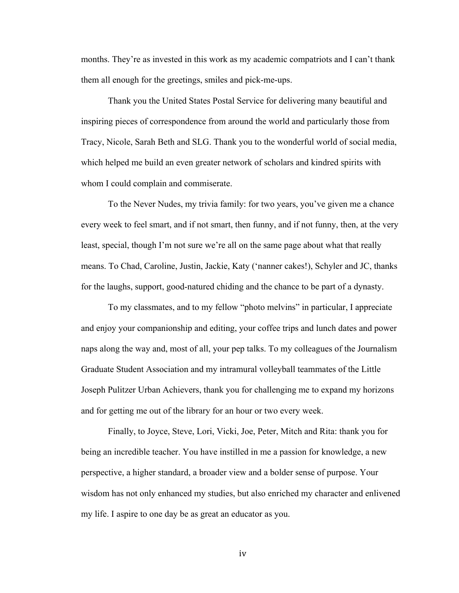months. They're as invested in this work as my academic compatriots and I can't thank them all enough for the greetings, smiles and pick-me-ups.

Thank you the United States Postal Service for delivering many beautiful and inspiring pieces of correspondence from around the world and particularly those from Tracy, Nicole, Sarah Beth and SLG. Thank you to the wonderful world of social media, which helped me build an even greater network of scholars and kindred spirits with whom I could complain and commiserate.

To the Never Nudes, my trivia family: for two years, you've given me a chance every week to feel smart, and if not smart, then funny, and if not funny, then, at the very least, special, though I'm not sure we're all on the same page about what that really means. To Chad, Caroline, Justin, Jackie, Katy ('nanner cakes!), Schyler and JC, thanks for the laughs, support, good-natured chiding and the chance to be part of a dynasty.

To my classmates, and to my fellow "photo melvins" in particular, I appreciate and enjoy your companionship and editing, your coffee trips and lunch dates and power naps along the way and, most of all, your pep talks. To my colleagues of the Journalism Graduate Student Association and my intramural volleyball teammates of the Little Joseph Pulitzer Urban Achievers, thank you for challenging me to expand my horizons and for getting me out of the library for an hour or two every week.

Finally, to Joyce, Steve, Lori, Vicki, Joe, Peter, Mitch and Rita: thank you for being an incredible teacher. You have instilled in me a passion for knowledge, a new perspective, a higher standard, a broader view and a bolder sense of purpose. Your wisdom has not only enhanced my studies, but also enriched my character and enlivened my life. I aspire to one day be as great an educator as you.

iv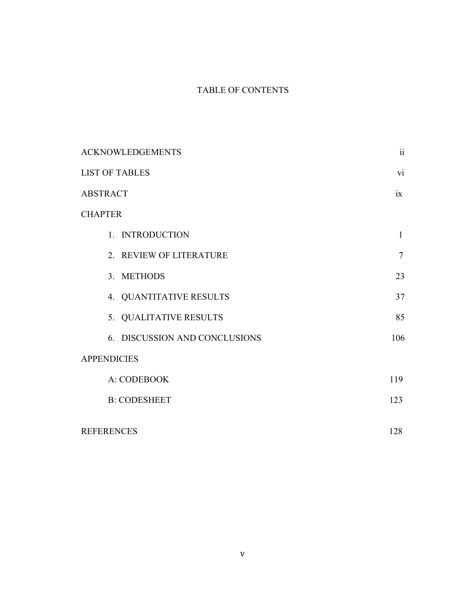# TABLE OF CONTENTS

| <b>ACKNOWLEDGEMENTS</b>       | $\mathbf{ii}$  |
|-------------------------------|----------------|
| <b>LIST OF TABLES</b>         | vi             |
| <b>ABSTRACT</b>               | ix             |
| <b>CHAPTER</b>                |                |
| 1. INTRODUCTION               | $\mathbf{1}$   |
| 2. REVIEW OF LITERATURE       | $\overline{7}$ |
| 3. METHODS                    | 23             |
| 4. QUANTITATIVE RESULTS       | 37             |
| 5. QUALITATIVE RESULTS        | 85             |
| 6. DISCUSSION AND CONCLUSIONS | 106            |
| <b>APPENDICIES</b>            |                |
| A: CODEBOOK                   | 119            |
| <b>B: CODESHEET</b>           | 123            |
| <b>REFERENCES</b>             | 128            |
|                               |                |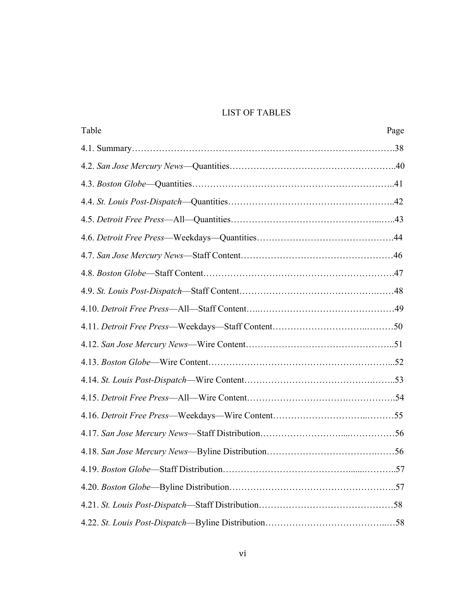# LIST OF TABLES

| Table | Page |
|-------|------|
|       |      |
|       |      |
|       |      |
|       |      |
|       |      |
|       |      |
|       |      |
|       |      |
|       |      |
|       |      |
|       |      |
|       |      |
|       |      |
|       |      |
|       |      |
|       |      |
|       |      |
|       |      |
|       |      |
|       |      |
|       |      |
|       |      |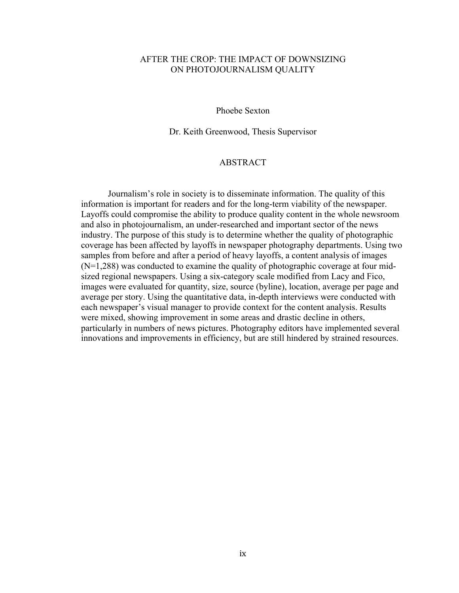### AFTER THE CROP: THE IMPACT OF DOWNSIZING ON PHOTOJOURNALISM QUALITY

### Phoebe Sexton

Dr. Keith Greenwood, Thesis Supervisor

### ABSTRACT

Journalism's role in society is to disseminate information. The quality of this information is important for readers and for the long-term viability of the newspaper. Layoffs could compromise the ability to produce quality content in the whole newsroom and also in photojournalism, an under-researched and important sector of the news industry. The purpose of this study is to determine whether the quality of photographic coverage has been affected by layoffs in newspaper photography departments. Using two samples from before and after a period of heavy layoffs, a content analysis of images (N=1,288) was conducted to examine the quality of photographic coverage at four midsized regional newspapers. Using a six-category scale modified from Lacy and Fico, images were evaluated for quantity, size, source (byline), location, average per page and average per story. Using the quantitative data, in-depth interviews were conducted with each newspaper's visual manager to provide context for the content analysis. Results were mixed, showing improvement in some areas and drastic decline in others, particularly in numbers of news pictures. Photography editors have implemented several innovations and improvements in efficiency, but are still hindered by strained resources.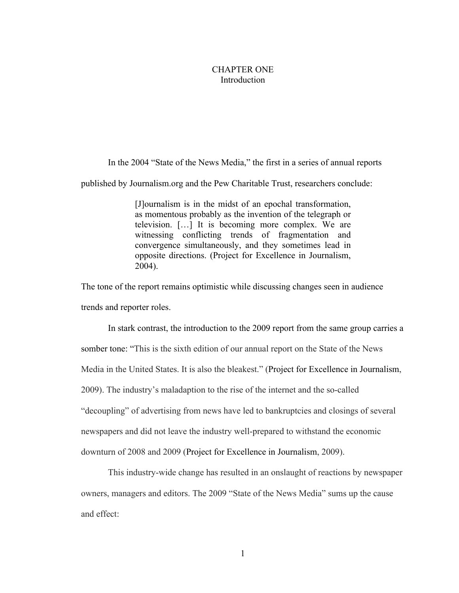### CHAPTER ONE Introduction

In the 2004 "State of the News Media," the first in a series of annual reports published by Journalism.org and the Pew Charitable Trust, researchers conclude:

> [J]ournalism is in the midst of an epochal transformation, as momentous probably as the invention of the telegraph or television. […] It is becoming more complex. We are witnessing conflicting trends of fragmentation and convergence simultaneously, and they sometimes lead in opposite directions. (Project for Excellence in Journalism, 2004).

The tone of the report remains optimistic while discussing changes seen in audience trends and reporter roles.

In stark contrast, the introduction to the 2009 report from the same group carries a somber tone: "This is the sixth edition of our annual report on the State of the News Media in the United States. It is also the bleakest." (Project for Excellence in Journalism, 2009). The industry's maladaption to the rise of the internet and the so-called "decoupling" of advertising from news have led to bankruptcies and closings of several newspapers and did not leave the industry well-prepared to withstand the economic downturn of 2008 and 2009 (Project for Excellence in Journalism, 2009).

This industry-wide change has resulted in an onslaught of reactions by newspaper owners, managers and editors. The 2009 "State of the News Media" sums up the cause and effect: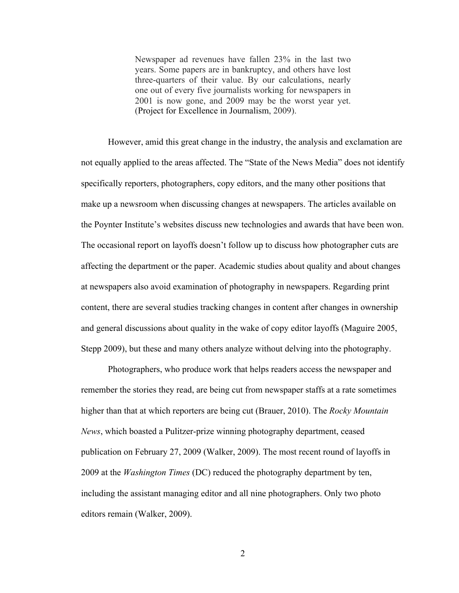Newspaper ad revenues have fallen 23% in the last two years. Some papers are in bankruptcy, and others have lost three-quarters of their value. By our calculations, nearly one out of every five journalists working for newspapers in 2001 is now gone, and 2009 may be the worst year yet. (Project for Excellence in Journalism, 2009).

However, amid this great change in the industry, the analysis and exclamation are not equally applied to the areas affected. The "State of the News Media" does not identify specifically reporters, photographers, copy editors, and the many other positions that make up a newsroom when discussing changes at newspapers. The articles available on the Poynter Institute's websites discuss new technologies and awards that have been won. The occasional report on layoffs doesn't follow up to discuss how photographer cuts are affecting the department or the paper. Academic studies about quality and about changes at newspapers also avoid examination of photography in newspapers. Regarding print content, there are several studies tracking changes in content after changes in ownership and general discussions about quality in the wake of copy editor layoffs (Maguire 2005, Stepp 2009), but these and many others analyze without delving into the photography.

Photographers, who produce work that helps readers access the newspaper and remember the stories they read, are being cut from newspaper staffs at a rate sometimes higher than that at which reporters are being cut (Brauer, 2010). The *Rocky Mountain News*, which boasted a Pulitzer-prize winning photography department, ceased publication on February 27, 2009 (Walker, 2009). The most recent round of layoffs in 2009 at the *Washington Times* (DC) reduced the photography department by ten, including the assistant managing editor and all nine photographers. Only two photo editors remain (Walker, 2009).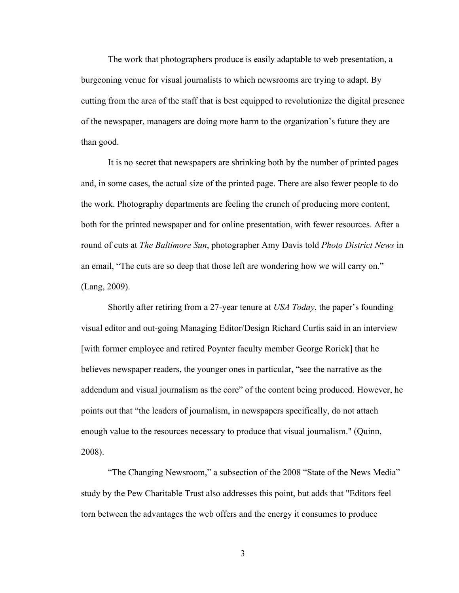The work that photographers produce is easily adaptable to web presentation, a burgeoning venue for visual journalists to which newsrooms are trying to adapt. By cutting from the area of the staff that is best equipped to revolutionize the digital presence of the newspaper, managers are doing more harm to the organization's future they are than good.

It is no secret that newspapers are shrinking both by the number of printed pages and, in some cases, the actual size of the printed page. There are also fewer people to do the work. Photography departments are feeling the crunch of producing more content, both for the printed newspaper and for online presentation, with fewer resources. After a round of cuts at *The Baltimore Sun*, photographer Amy Davis told *Photo District News* in an email, "The cuts are so deep that those left are wondering how we will carry on." (Lang, 2009).

Shortly after retiring from a 27-year tenure at *USA Today*, the paper's founding visual editor and out-going Managing Editor/Design Richard Curtis said in an interview [with former employee and retired Poynter faculty member George Rorick] that he believes newspaper readers, the younger ones in particular, "see the narrative as the addendum and visual journalism as the core" of the content being produced. However, he points out that "the leaders of journalism, in newspapers specifically, do not attach enough value to the resources necessary to produce that visual journalism." (Quinn, 2008).

"The Changing Newsroom," a subsection of the 2008 "State of the News Media" study by the Pew Charitable Trust also addresses this point, but adds that "Editors feel torn between the advantages the web offers and the energy it consumes to produce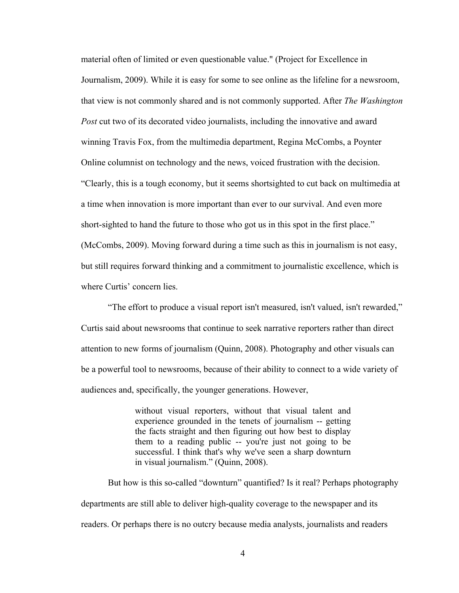material often of limited or even questionable value." (Project for Excellence in Journalism, 2009). While it is easy for some to see online as the lifeline for a newsroom, that view is not commonly shared and is not commonly supported. After *The Washington Post* cut two of its decorated video journalists, including the innovative and award winning Travis Fox, from the multimedia department, Regina McCombs, a Poynter Online columnist on technology and the news, voiced frustration with the decision. "Clearly, this is a tough economy, but it seems shortsighted to cut back on multimedia at a time when innovation is more important than ever to our survival. And even more short-sighted to hand the future to those who got us in this spot in the first place." (McCombs, 2009). Moving forward during a time such as this in journalism is not easy, but still requires forward thinking and a commitment to journalistic excellence, which is where Curtis' concern lies.

"The effort to produce a visual report isn't measured, isn't valued, isn't rewarded," Curtis said about newsrooms that continue to seek narrative reporters rather than direct attention to new forms of journalism (Quinn, 2008). Photography and other visuals can be a powerful tool to newsrooms, because of their ability to connect to a wide variety of audiences and, specifically, the younger generations. However,

> without visual reporters, without that visual talent and experience grounded in the tenets of journalism -- getting the facts straight and then figuring out how best to display them to a reading public -- you're just not going to be successful. I think that's why we've seen a sharp downturn in visual journalism." (Quinn, 2008).

But how is this so-called "downturn" quantified? Is it real? Perhaps photography departments are still able to deliver high-quality coverage to the newspaper and its readers. Or perhaps there is no outcry because media analysts, journalists and readers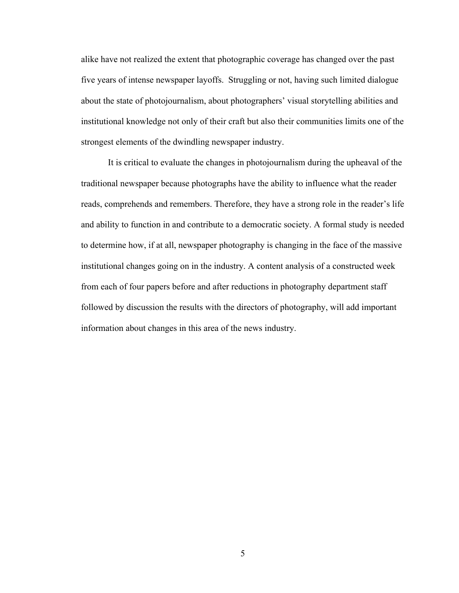alike have not realized the extent that photographic coverage has changed over the past five years of intense newspaper layoffs. Struggling or not, having such limited dialogue about the state of photojournalism, about photographers' visual storytelling abilities and institutional knowledge not only of their craft but also their communities limits one of the strongest elements of the dwindling newspaper industry.

It is critical to evaluate the changes in photojournalism during the upheaval of the traditional newspaper because photographs have the ability to influence what the reader reads, comprehends and remembers. Therefore, they have a strong role in the reader's life and ability to function in and contribute to a democratic society. A formal study is needed to determine how, if at all, newspaper photography is changing in the face of the massive institutional changes going on in the industry. A content analysis of a constructed week from each of four papers before and after reductions in photography department staff followed by discussion the results with the directors of photography, will add important information about changes in this area of the news industry.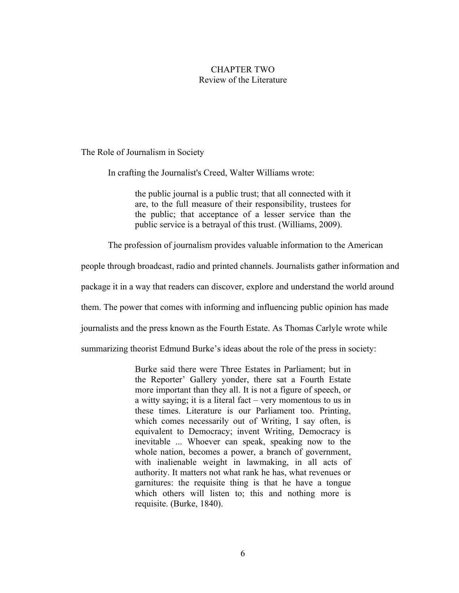# CHAPTER TWO Review of the Literature

The Role of Journalism in Society

In crafting the Journalist's Creed, Walter Williams wrote:

the public journal is a public trust; that all connected with it are, to the full measure of their responsibility, trustees for the public; that acceptance of a lesser service than the public service is a betrayal of this trust. (Williams, 2009).

The profession of journalism provides valuable information to the American

people through broadcast, radio and printed channels. Journalists gather information and

package it in a way that readers can discover, explore and understand the world around

them. The power that comes with informing and influencing public opinion has made

journalists and the press known as the Fourth Estate. As Thomas Carlyle wrote while

summarizing theorist Edmund Burke's ideas about the role of the press in society:

Burke said there were Three Estates in Parliament; but in the Reporter' Gallery yonder, there sat a Fourth Estate more important than they all. It is not a figure of speech, or a witty saying; it is a literal fact – very momentous to us in these times. Literature is our Parliament too. Printing, which comes necessarily out of Writing, I say often, is equivalent to Democracy; invent Writing, Democracy is inevitable ... Whoever can speak, speaking now to the whole nation, becomes a power, a branch of government, with inalienable weight in lawmaking, in all acts of authority. It matters not what rank he has, what revenues or garnitures: the requisite thing is that he have a tongue which others will listen to; this and nothing more is requisite. (Burke, 1840).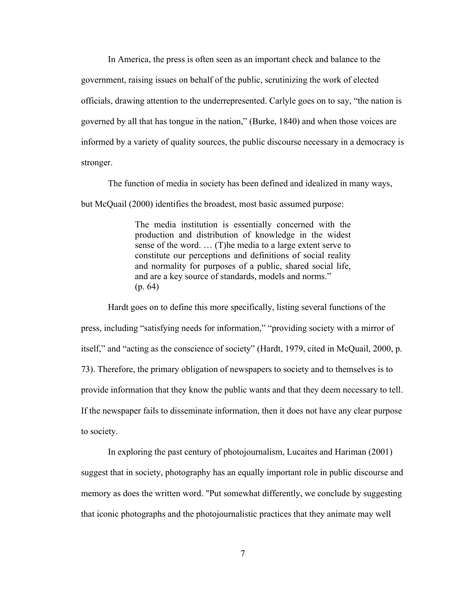In America, the press is often seen as an important check and balance to the government, raising issues on behalf of the public, scrutinizing the work of elected officials, drawing attention to the underrepresented. Carlyle goes on to say, "the nation is governed by all that has tongue in the nation," (Burke, 1840) and when those voices are informed by a variety of quality sources, the public discourse necessary in a democracy is stronger.

The function of media in society has been defined and idealized in many ways, but McQuail (2000) identifies the broadest, most basic assumed purpose:

> The media institution is essentially concerned with the production and distribution of knowledge in the widest sense of the word. … (T)he media to a large extent serve to constitute our perceptions and definitions of social reality and normality for purposes of a public, shared social life, and are a key source of standards, models and norms." (p. 64)

Hardt goes on to define this more specifically, listing several functions of the press, including "satisfying needs for information," "providing society with a mirror of itself," and "acting as the conscience of society" (Hardt, 1979, cited in McQuail, 2000, p. 73). Therefore, the primary obligation of newspapers to society and to themselves is to provide information that they know the public wants and that they deem necessary to tell. If the newspaper fails to disseminate information, then it does not have any clear purpose to society.

In exploring the past century of photojournalism, Lucaites and Hariman (2001) suggest that in society, photography has an equally important role in public discourse and memory as does the written word. "Put somewhat differently, we conclude by suggesting that iconic photographs and the photojournalistic practices that they animate may well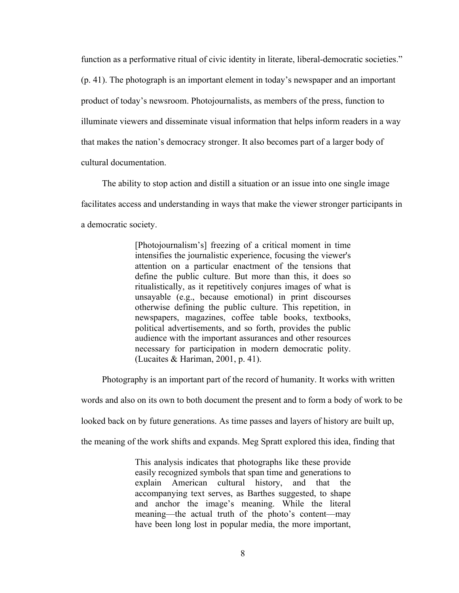function as a performative ritual of civic identity in literate, liberal-democratic societies." (p. 41). The photograph is an important element in today's newspaper and an important product of today's newsroom. Photojournalists, as members of the press, function to illuminate viewers and disseminate visual information that helps inform readers in a way that makes the nation's democracy stronger. It also becomes part of a larger body of cultural documentation.

The ability to stop action and distill a situation or an issue into one single image facilitates access and understanding in ways that make the viewer stronger participants in a democratic society.

> [Photojournalism's] freezing of a critical moment in time intensifies the journalistic experience, focusing the viewer's attention on a particular enactment of the tensions that define the public culture. But more than this, it does so ritualistically, as it repetitively conjures images of what is unsayable (e.g., because emotional) in print discourses otherwise defining the public culture. This repetition, in newspapers, magazines, coffee table books, textbooks, political advertisements, and so forth, provides the public audience with the important assurances and other resources necessary for participation in modern democratic polity. (Lucaites & Hariman, 2001, p. 41).

Photography is an important part of the record of humanity. It works with written

words and also on its own to both document the present and to form a body of work to be

looked back on by future generations. As time passes and layers of history are built up,

the meaning of the work shifts and expands. Meg Spratt explored this idea, finding that

This analysis indicates that photographs like these provide easily recognized symbols that span time and generations to explain American cultural history, and that the accompanying text serves, as Barthes suggested, to shape and anchor the image's meaning. While the literal meaning—the actual truth of the photo's content—may have been long lost in popular media, the more important,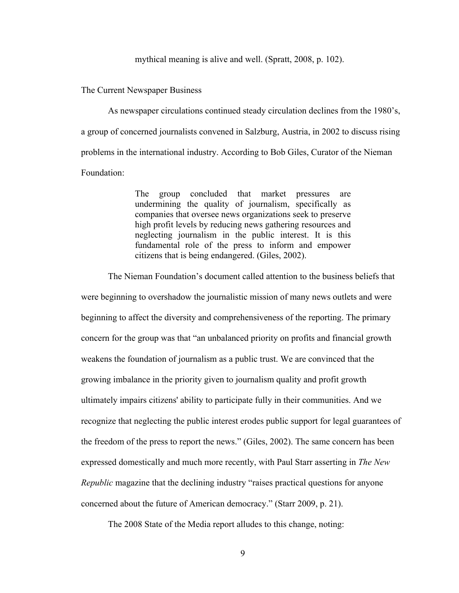### mythical meaning is alive and well. (Spratt, 2008, p. 102).

#### The Current Newspaper Business

As newspaper circulations continued steady circulation declines from the 1980's, a group of concerned journalists convened in Salzburg, Austria, in 2002 to discuss rising problems in the international industry. According to Bob Giles, Curator of the Nieman Foundation:

> The group concluded that market pressures are undermining the quality of journalism, specifically as companies that oversee news organizations seek to preserve high profit levels by reducing news gathering resources and neglecting journalism in the public interest. It is this fundamental role of the press to inform and empower citizens that is being endangered. (Giles, 2002).

The Nieman Foundation's document called attention to the business beliefs that were beginning to overshadow the journalistic mission of many news outlets and were beginning to affect the diversity and comprehensiveness of the reporting. The primary concern for the group was that "an unbalanced priority on profits and financial growth weakens the foundation of journalism as a public trust. We are convinced that the growing imbalance in the priority given to journalism quality and profit growth ultimately impairs citizens' ability to participate fully in their communities. And we recognize that neglecting the public interest erodes public support for legal guarantees of the freedom of the press to report the news." (Giles, 2002). The same concern has been expressed domestically and much more recently, with Paul Starr asserting in *The New Republic* magazine that the declining industry "raises practical questions for anyone concerned about the future of American democracy." (Starr 2009, p. 21).

The 2008 State of the Media report alludes to this change, noting: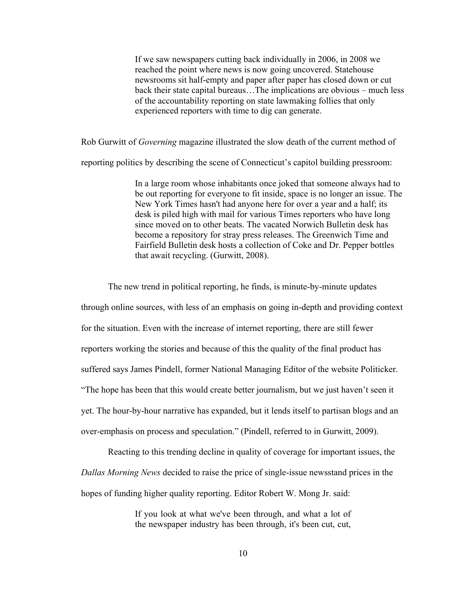If we saw newspapers cutting back individually in 2006, in 2008 we reached the point where news is now going uncovered. Statehouse newsrooms sit half-empty and paper after paper has closed down or cut back their state capital bureaus…The implications are obvious – much less of the accountability reporting on state lawmaking follies that only experienced reporters with time to dig can generate.

Rob Gurwitt of *Governing* magazine illustrated the slow death of the current method of

reporting politics by describing the scene of Connecticut's capitol building pressroom:

In a large room whose inhabitants once joked that someone always had to be out reporting for everyone to fit inside, space is no longer an issue. The New York Times hasn't had anyone here for over a year and a half; its desk is piled high with mail for various Times reporters who have long since moved on to other beats. The vacated Norwich Bulletin desk has become a repository for stray press releases. The Greenwich Time and Fairfield Bulletin desk hosts a collection of Coke and Dr. Pepper bottles that await recycling. (Gurwitt, 2008).

The new trend in political reporting, he finds, is minute-by-minute updates through online sources, with less of an emphasis on going in-depth and providing context for the situation. Even with the increase of internet reporting, there are still fewer reporters working the stories and because of this the quality of the final product has suffered says James Pindell, former National Managing Editor of the website Politicker. "The hope has been that this would create better journalism, but we just haven't seen it yet. The hour-by-hour narrative has expanded, but it lends itself to partisan blogs and an over-emphasis on process and speculation." (Pindell, referred to in Gurwitt, 2009).

Reacting to this trending decline in quality of coverage for important issues, the *Dallas Morning News* decided to raise the price of single-issue newsstand prices in the hopes of funding higher quality reporting. Editor Robert W. Mong Jr. said:

> If you look at what we've been through, and what a lot of the newspaper industry has been through, it's been cut, cut,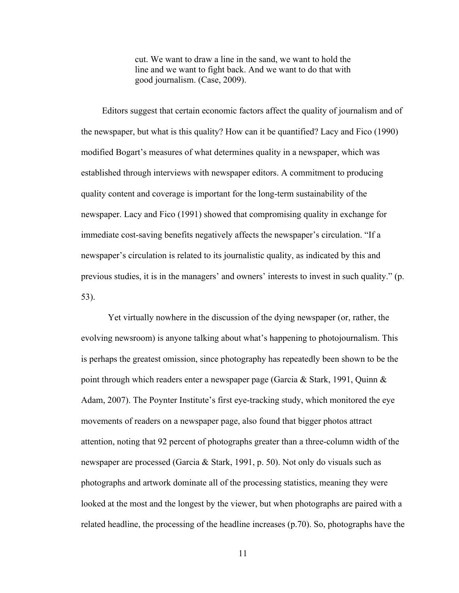cut. We want to draw a line in the sand, we want to hold the line and we want to fight back. And we want to do that with good journalism. (Case, 2009).

Editors suggest that certain economic factors affect the quality of journalism and of the newspaper, but what is this quality? How can it be quantified? Lacy and Fico (1990) modified Bogart's measures of what determines quality in a newspaper, which was established through interviews with newspaper editors. A commitment to producing quality content and coverage is important for the long-term sustainability of the newspaper. Lacy and Fico (1991) showed that compromising quality in exchange for immediate cost-saving benefits negatively affects the newspaper's circulation. "If a newspaper's circulation is related to its journalistic quality, as indicated by this and previous studies, it is in the managers' and owners' interests to invest in such quality." (p. 53).

Yet virtually nowhere in the discussion of the dying newspaper (or, rather, the evolving newsroom) is anyone talking about what's happening to photojournalism. This is perhaps the greatest omission, since photography has repeatedly been shown to be the point through which readers enter a newspaper page (Garcia & Stark, 1991, Quinn & Adam, 2007). The Poynter Institute's first eye-tracking study, which monitored the eye movements of readers on a newspaper page, also found that bigger photos attract attention, noting that 92 percent of photographs greater than a three-column width of the newspaper are processed (Garcia & Stark, 1991, p. 50). Not only do visuals such as photographs and artwork dominate all of the processing statistics, meaning they were looked at the most and the longest by the viewer, but when photographs are paired with a related headline, the processing of the headline increases (p.70). So, photographs have the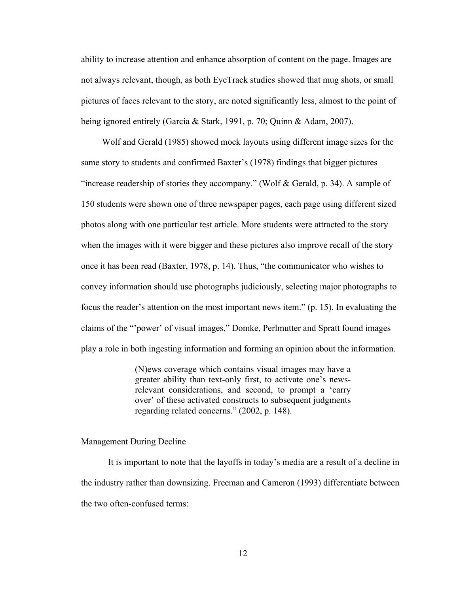ability to increase attention and enhance absorption of content on the page. Images are not always relevant, though, as both EyeTrack studies showed that mug shots, or small pictures of faces relevant to the story, are noted significantly less, almost to the point of being ignored entirely (Garcia & Stark, 1991, p. 70; Quinn & Adam, 2007).

Wolf and Gerald (1985) showed mock layouts using different image sizes for the same story to students and confirmed Baxter's (1978) findings that bigger pictures "increase readership of stories they accompany." (Wolf & Gerald, p. 34). A sample of 150 students were shown one of three newspaper pages, each page using different sized photos along with one particular test article. More students were attracted to the story when the images with it were bigger and these pictures also improve recall of the story once it has been read (Baxter, 1978, p. 14). Thus, "the communicator who wishes to convey information should use photographs judiciously, selecting major photographs to focus the reader's attention on the most important news item." (p. 15). In evaluating the claims of the "'power' of visual images," Domke, Perlmutter and Spratt found images play a role in both ingesting information and forming an opinion about the information.

> (N)ews coverage which contains visual images may have a greater ability than text-only first, to activate one's newsrelevant considerations, and second, to prompt a 'carry over' of these activated constructs to subsequent judgments regarding related concerns." (2002, p. 148).

### Management During Decline

It is important to note that the layoffs in today's media are a result of a decline in the industry rather than downsizing. Freeman and Cameron (1993) differentiate between the two often-confused terms: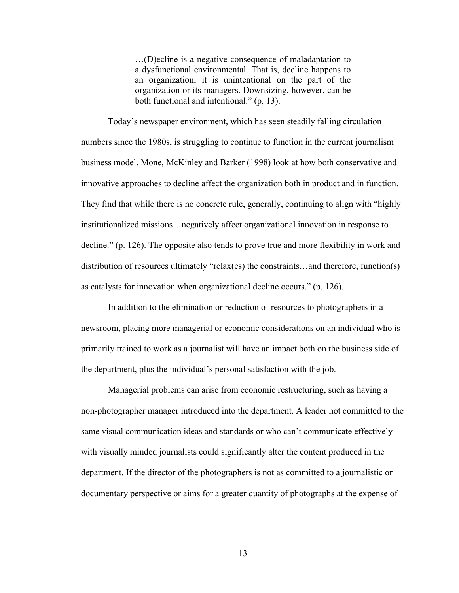…(D)ecline is a negative consequence of maladaptation to a dysfunctional environmental. That is, decline happens to an organization; it is unintentional on the part of the organization or its managers. Downsizing, however, can be both functional and intentional." (p. 13).

Today's newspaper environment, which has seen steadily falling circulation numbers since the 1980s, is struggling to continue to function in the current journalism business model. Mone, McKinley and Barker (1998) look at how both conservative and innovative approaches to decline affect the organization both in product and in function. They find that while there is no concrete rule, generally, continuing to align with "highly institutionalized missions…negatively affect organizational innovation in response to decline." (p. 126). The opposite also tends to prove true and more flexibility in work and distribution of resources ultimately "relax(es) the constraints…and therefore, function(s) as catalysts for innovation when organizational decline occurs." (p. 126).

In addition to the elimination or reduction of resources to photographers in a newsroom, placing more managerial or economic considerations on an individual who is primarily trained to work as a journalist will have an impact both on the business side of the department, plus the individual's personal satisfaction with the job.

Managerial problems can arise from economic restructuring, such as having a non-photographer manager introduced into the department. A leader not committed to the same visual communication ideas and standards or who can't communicate effectively with visually minded journalists could significantly alter the content produced in the department. If the director of the photographers is not as committed to a journalistic or documentary perspective or aims for a greater quantity of photographs at the expense of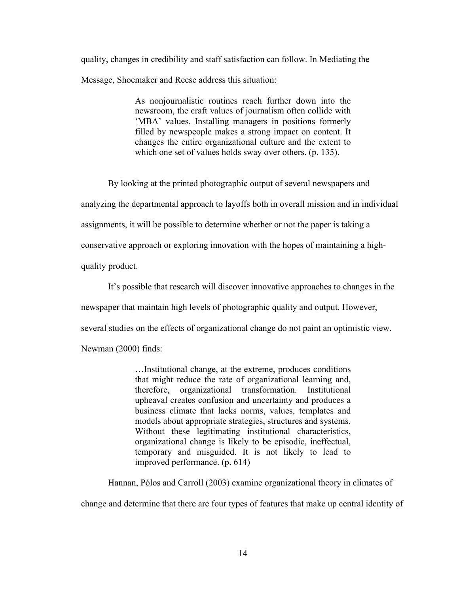quality, changes in credibility and staff satisfaction can follow. In Mediating the Message, Shoemaker and Reese address this situation:

> As nonjournalistic routines reach further down into the newsroom, the craft values of journalism often collide with 'MBA' values. Installing managers in positions formerly filled by newspeople makes a strong impact on content. It changes the entire organizational culture and the extent to which one set of values holds sway over others. (p. 135).

By looking at the printed photographic output of several newspapers and analyzing the departmental approach to layoffs both in overall mission and in individual assignments, it will be possible to determine whether or not the paper is taking a conservative approach or exploring innovation with the hopes of maintaining a highquality product.

It's possible that research will discover innovative approaches to changes in the newspaper that maintain high levels of photographic quality and output. However, several studies on the effects of organizational change do not paint an optimistic view. Newman (2000) finds:

> …Institutional change, at the extreme, produces conditions that might reduce the rate of organizational learning and, therefore, organizational transformation. Institutional upheaval creates confusion and uncertainty and produces a business climate that lacks norms, values, templates and models about appropriate strategies, structures and systems. Without these legitimating institutional characteristics, organizational change is likely to be episodic, ineffectual, temporary and misguided. It is not likely to lead to improved performance. (p. 614)

Hannan, Pólos and Carroll (2003) examine organizational theory in climates of

change and determine that there are four types of features that make up central identity of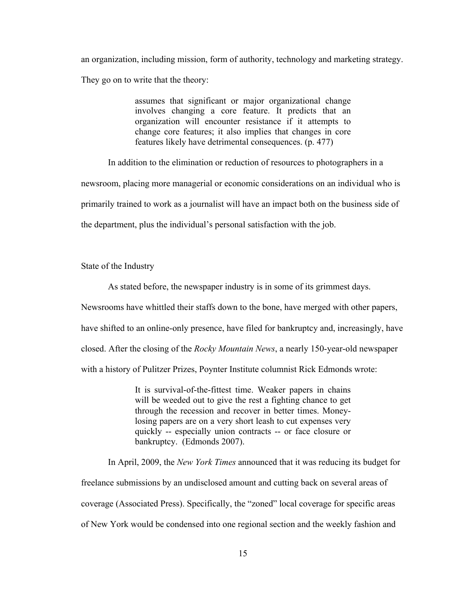an organization, including mission, form of authority, technology and marketing strategy. They go on to write that the theory:

> assumes that significant or major organizational change involves changing a core feature. It predicts that an organization will encounter resistance if it attempts to change core features; it also implies that changes in core features likely have detrimental consequences. (p. 477)

In addition to the elimination or reduction of resources to photographers in a newsroom, placing more managerial or economic considerations on an individual who is primarily trained to work as a journalist will have an impact both on the business side of the department, plus the individual's personal satisfaction with the job.

State of the Industry

As stated before, the newspaper industry is in some of its grimmest days.

Newsrooms have whittled their staffs down to the bone, have merged with other papers,

have shifted to an online-only presence, have filed for bankruptcy and, increasingly, have

closed. After the closing of the *Rocky Mountain News*, a nearly 150-year-old newspaper

with a history of Pulitzer Prizes, Poynter Institute columnist Rick Edmonds wrote:

It is survival-of-the-fittest time. Weaker papers in chains will be weeded out to give the rest a fighting chance to get through the recession and recover in better times. Moneylosing papers are on a very short leash to cut expenses very quickly -- especially union contracts -- or face closure or bankruptcy. (Edmonds 2007).

In April, 2009, the *New York Times* announced that it was reducing its budget for freelance submissions by an undisclosed amount and cutting back on several areas of coverage (Associated Press). Specifically, the "zoned" local coverage for specific areas of New York would be condensed into one regional section and the weekly fashion and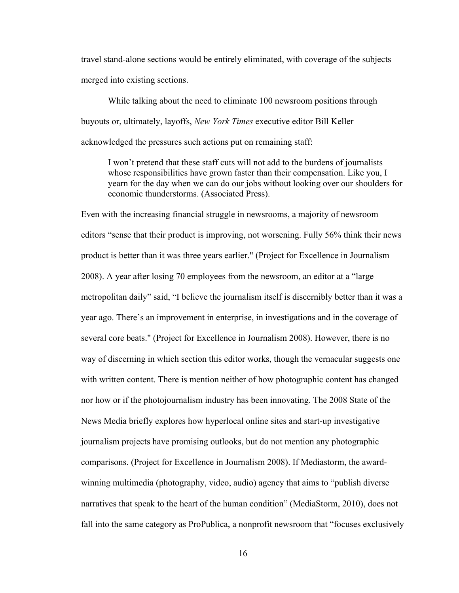travel stand-alone sections would be entirely eliminated, with coverage of the subjects merged into existing sections.

While talking about the need to eliminate 100 newsroom positions through buyouts or, ultimately, layoffs, *New York Times* executive editor Bill Keller acknowledged the pressures such actions put on remaining staff:

I won't pretend that these staff cuts will not add to the burdens of journalists whose responsibilities have grown faster than their compensation. Like you, I yearn for the day when we can do our jobs without looking over our shoulders for economic thunderstorms. (Associated Press).

Even with the increasing financial struggle in newsrooms, a majority of newsroom editors "sense that their product is improving, not worsening. Fully 56% think their news product is better than it was three years earlier." (Project for Excellence in Journalism 2008). A year after losing 70 employees from the newsroom, an editor at a "large metropolitan daily" said, "I believe the journalism itself is discernibly better than it was a year ago. There's an improvement in enterprise, in investigations and in the coverage of several core beats." (Project for Excellence in Journalism 2008). However, there is no way of discerning in which section this editor works, though the vernacular suggests one with written content. There is mention neither of how photographic content has changed nor how or if the photojournalism industry has been innovating. The 2008 State of the News Media briefly explores how hyperlocal online sites and start-up investigative journalism projects have promising outlooks, but do not mention any photographic comparisons. (Project for Excellence in Journalism 2008). If Mediastorm, the awardwinning multimedia (photography, video, audio) agency that aims to "publish diverse narratives that speak to the heart of the human condition" (MediaStorm, 2010), does not fall into the same category as ProPublica, a nonprofit newsroom that "focuses exclusively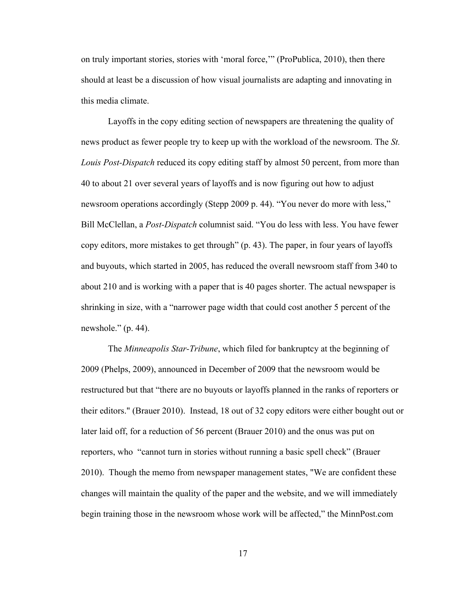on truly important stories, stories with 'moral force,'" (ProPublica, 2010), then there should at least be a discussion of how visual journalists are adapting and innovating in this media climate.

Layoffs in the copy editing section of newspapers are threatening the quality of news product as fewer people try to keep up with the workload of the newsroom. The *St. Louis Post-Dispatch* reduced its copy editing staff by almost 50 percent, from more than 40 to about 21 over several years of layoffs and is now figuring out how to adjust newsroom operations accordingly (Stepp 2009 p. 44). "You never do more with less," Bill McClellan, a *Post-Dispatch* columnist said. "You do less with less. You have fewer copy editors, more mistakes to get through" (p. 43). The paper, in four years of layoffs and buyouts, which started in 2005, has reduced the overall newsroom staff from 340 to about 210 and is working with a paper that is 40 pages shorter. The actual newspaper is shrinking in size, with a "narrower page width that could cost another 5 percent of the newshole." (p. 44).

The *Minneapolis Star-Tribune*, which filed for bankruptcy at the beginning of 2009 (Phelps, 2009), announced in December of 2009 that the newsroom would be restructured but that "there are no buyouts or layoffs planned in the ranks of reporters or their editors." (Brauer 2010). Instead, 18 out of 32 copy editors were either bought out or later laid off, for a reduction of 56 percent (Brauer 2010) and the onus was put on reporters, who "cannot turn in stories without running a basic spell check" (Brauer 2010). Though the memo from newspaper management states, "We are confident these changes will maintain the quality of the paper and the website, and we will immediately begin training those in the newsroom whose work will be affected," the MinnPost.com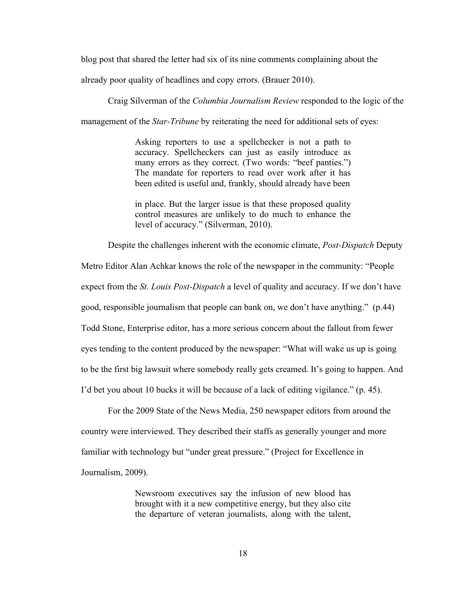blog post that shared the letter had six of its nine comments complaining about the

already poor quality of headlines and copy errors. (Brauer 2010).

Craig Silverman of the *Columbia Journalism Review* responded to the logic of the

management of the *Star-Tribune* by reiterating the need for additional sets of eyes:

Asking reporters to use a spellchecker is not a path to accuracy. Spellcheckers can just as easily introduce as many errors as they correct. (Two words: "beef panties.") The mandate for reporters to read over work after it has been edited is useful and, frankly, should already have been

in place. But the larger issue is that these proposed quality control measures are unlikely to do much to enhance the level of accuracy." (Silverman, 2010).

Despite the challenges inherent with the economic climate, *Post-Dispatch* Deputy

Metro Editor Alan Achkar knows the role of the newspaper in the community: "People expect from the *St. Louis Post-Dispatch* a level of quality and accuracy. If we don't have good, responsible journalism that people can bank on, we don't have anything." (p.44) Todd Stone, Enterprise editor, has a more serious concern about the fallout from fewer eyes tending to the content produced by the newspaper: "What will wake us up is going to be the first big lawsuit where somebody really gets creamed. It's going to happen. And I'd bet you about 10 bucks it will be because of a lack of editing vigilance." (p. 45).

For the 2009 State of the News Media, 250 newspaper editors from around the country were interviewed. They described their staffs as generally younger and more familiar with technology but "under great pressure." (Project for Excellence in Journalism, 2009).

> Newsroom executives say the infusion of new blood has brought with it a new competitive energy, but they also cite the departure of veteran journalists, along with the talent,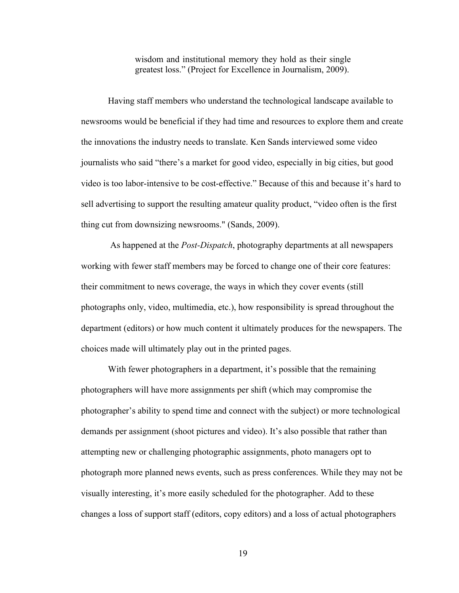wisdom and institutional memory they hold as their single greatest loss." (Project for Excellence in Journalism, 2009).

Having staff members who understand the technological landscape available to newsrooms would be beneficial if they had time and resources to explore them and create the innovations the industry needs to translate. Ken Sands interviewed some video journalists who said "there's a market for good video, especially in big cities, but good video is too labor-intensive to be cost-effective." Because of this and because it's hard to sell advertising to support the resulting amateur quality product, "video often is the first thing cut from downsizing newsrooms." (Sands, 2009).

 As happened at the *Post-Dispatch*, photography departments at all newspapers working with fewer staff members may be forced to change one of their core features: their commitment to news coverage, the ways in which they cover events (still photographs only, video, multimedia, etc.), how responsibility is spread throughout the department (editors) or how much content it ultimately produces for the newspapers. The choices made will ultimately play out in the printed pages.

With fewer photographers in a department, it's possible that the remaining photographers will have more assignments per shift (which may compromise the photographer's ability to spend time and connect with the subject) or more technological demands per assignment (shoot pictures and video). It's also possible that rather than attempting new or challenging photographic assignments, photo managers opt to photograph more planned news events, such as press conferences. While they may not be visually interesting, it's more easily scheduled for the photographer. Add to these changes a loss of support staff (editors, copy editors) and a loss of actual photographers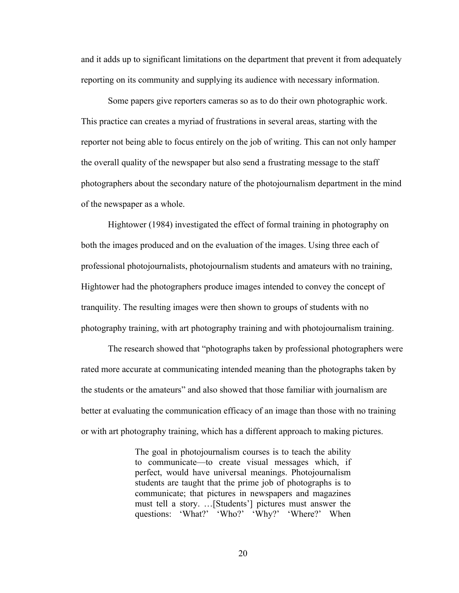and it adds up to significant limitations on the department that prevent it from adequately reporting on its community and supplying its audience with necessary information.

Some papers give reporters cameras so as to do their own photographic work. This practice can creates a myriad of frustrations in several areas, starting with the reporter not being able to focus entirely on the job of writing. This can not only hamper the overall quality of the newspaper but also send a frustrating message to the staff photographers about the secondary nature of the photojournalism department in the mind of the newspaper as a whole.

Hightower (1984) investigated the effect of formal training in photography on both the images produced and on the evaluation of the images. Using three each of professional photojournalists, photojournalism students and amateurs with no training, Hightower had the photographers produce images intended to convey the concept of tranquility. The resulting images were then shown to groups of students with no photography training, with art photography training and with photojournalism training.

The research showed that "photographs taken by professional photographers were rated more accurate at communicating intended meaning than the photographs taken by the students or the amateurs" and also showed that those familiar with journalism are better at evaluating the communication efficacy of an image than those with no training or with art photography training, which has a different approach to making pictures.

> The goal in photojournalism courses is to teach the ability to communicate—to create visual messages which, if perfect, would have universal meanings. Photojournalism students are taught that the prime job of photographs is to communicate; that pictures in newspapers and magazines must tell a story. …[Students'] pictures must answer the questions: 'What?' 'Who?' 'Why?' 'Where?' When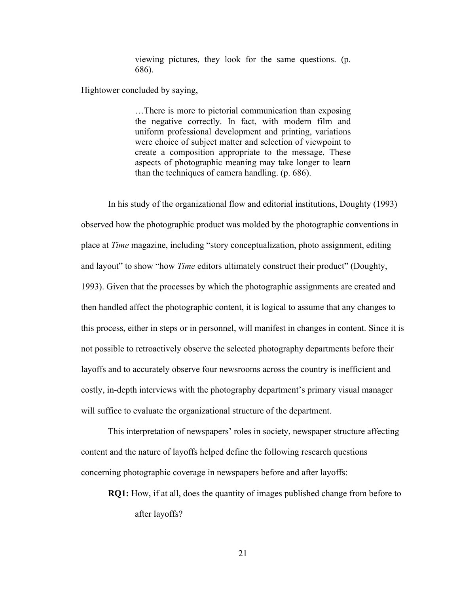viewing pictures, they look for the same questions. (p. 686).

Hightower concluded by saying,

…There is more to pictorial communication than exposing the negative correctly. In fact, with modern film and uniform professional development and printing, variations were choice of subject matter and selection of viewpoint to create a composition appropriate to the message. These aspects of photographic meaning may take longer to learn than the techniques of camera handling. (p. 686).

In his study of the organizational flow and editorial institutions, Doughty (1993) observed how the photographic product was molded by the photographic conventions in place at *Time* magazine, including "story conceptualization, photo assignment, editing and layout" to show "how *Time* editors ultimately construct their product" (Doughty, 1993). Given that the processes by which the photographic assignments are created and then handled affect the photographic content, it is logical to assume that any changes to this process, either in steps or in personnel, will manifest in changes in content. Since it is not possible to retroactively observe the selected photography departments before their layoffs and to accurately observe four newsrooms across the country is inefficient and costly, in-depth interviews with the photography department's primary visual manager will suffice to evaluate the organizational structure of the department.

This interpretation of newspapers' roles in society, newspaper structure affecting content and the nature of layoffs helped define the following research questions concerning photographic coverage in newspapers before and after layoffs:

**RQ1:** How, if at all, does the quantity of images published change from before to after layoffs?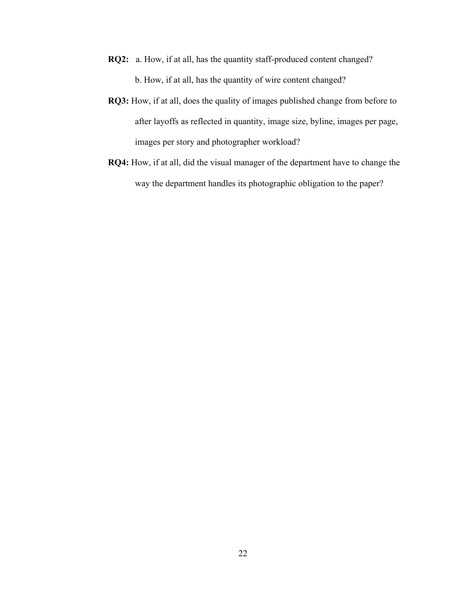- **RQ2:** a. How, if at all, has the quantity staff-produced content changed? b. How, if at all, has the quantity of wire content changed?
- **RQ3:** How, if at all, does the quality of images published change from before to after layoffs as reflected in quantity, image size, byline, images per page, images per story and photographer workload?
- **RQ4:** How, if at all, did the visual manager of the department have to change the way the department handles its photographic obligation to the paper?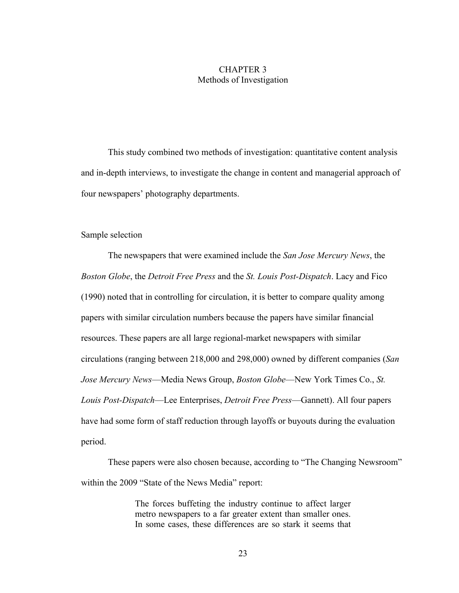### CHAPTER 3 Methods of Investigation

This study combined two methods of investigation: quantitative content analysis and in-depth interviews, to investigate the change in content and managerial approach of four newspapers' photography departments.

### Sample selection

The newspapers that were examined include the *San Jose Mercury News*, the *Boston Globe*, the *Detroit Free Press* and the *St. Louis Post-Dispatch*. Lacy and Fico (1990) noted that in controlling for circulation, it is better to compare quality among papers with similar circulation numbers because the papers have similar financial resources. These papers are all large regional-market newspapers with similar circulations (ranging between 218,000 and 298,000) owned by different companies (*San Jose Mercury News*—Media News Group, *Boston Globe*—New York Times Co., *St. Louis Post-Dispatch*—Lee Enterprises, *Detroit Free Press*—Gannett). All four papers have had some form of staff reduction through layoffs or buyouts during the evaluation period.

These papers were also chosen because, according to "The Changing Newsroom" within the 2009 "State of the News Media" report:

> The forces buffeting the industry continue to affect larger metro newspapers to a far greater extent than smaller ones. In some cases, these differences are so stark it seems that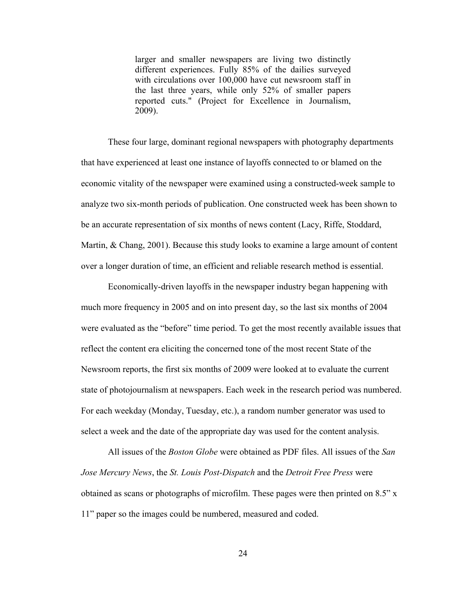larger and smaller newspapers are living two distinctly different experiences. Fully 85% of the dailies surveyed with circulations over 100,000 have cut newsroom staff in the last three years, while only 52% of smaller papers reported cuts." (Project for Excellence in Journalism, 2009).

These four large, dominant regional newspapers with photography departments that have experienced at least one instance of layoffs connected to or blamed on the economic vitality of the newspaper were examined using a constructed-week sample to analyze two six-month periods of publication. One constructed week has been shown to be an accurate representation of six months of news content (Lacy, Riffe, Stoddard, Martin, & Chang, 2001). Because this study looks to examine a large amount of content over a longer duration of time, an efficient and reliable research method is essential.

Economically-driven layoffs in the newspaper industry began happening with much more frequency in 2005 and on into present day, so the last six months of 2004 were evaluated as the "before" time period. To get the most recently available issues that reflect the content era eliciting the concerned tone of the most recent State of the Newsroom reports, the first six months of 2009 were looked at to evaluate the current state of photojournalism at newspapers. Each week in the research period was numbered. For each weekday (Monday, Tuesday, etc.), a random number generator was used to select a week and the date of the appropriate day was used for the content analysis.

All issues of the *Boston Globe* were obtained as PDF files. All issues of the *San Jose Mercury News*, the *St. Louis Post-Dispatch* and the *Detroit Free Press* were obtained as scans or photographs of microfilm. These pages were then printed on 8.5" x 11" paper so the images could be numbered, measured and coded.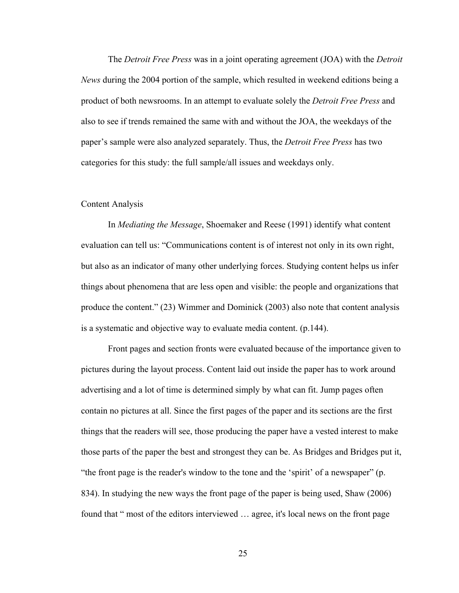The *Detroit Free Press* was in a joint operating agreement (JOA) with the *Detroit News* during the 2004 portion of the sample, which resulted in weekend editions being a product of both newsrooms. In an attempt to evaluate solely the *Detroit Free Press* and also to see if trends remained the same with and without the JOA, the weekdays of the paper's sample were also analyzed separately. Thus, the *Detroit Free Press* has two categories for this study: the full sample/all issues and weekdays only.

#### Content Analysis

In *Mediating the Message*, Shoemaker and Reese (1991) identify what content evaluation can tell us: "Communications content is of interest not only in its own right, but also as an indicator of many other underlying forces. Studying content helps us infer things about phenomena that are less open and visible: the people and organizations that produce the content." (23) Wimmer and Dominick (2003) also note that content analysis is a systematic and objective way to evaluate media content. (p.144).

Front pages and section fronts were evaluated because of the importance given to pictures during the layout process. Content laid out inside the paper has to work around advertising and a lot of time is determined simply by what can fit. Jump pages often contain no pictures at all. Since the first pages of the paper and its sections are the first things that the readers will see, those producing the paper have a vested interest to make those parts of the paper the best and strongest they can be. As Bridges and Bridges put it, "the front page is the reader's window to the tone and the 'spirit' of a newspaper" (p. 834). In studying the new ways the front page of the paper is being used, Shaw (2006) found that " most of the editors interviewed … agree, it's local news on the front page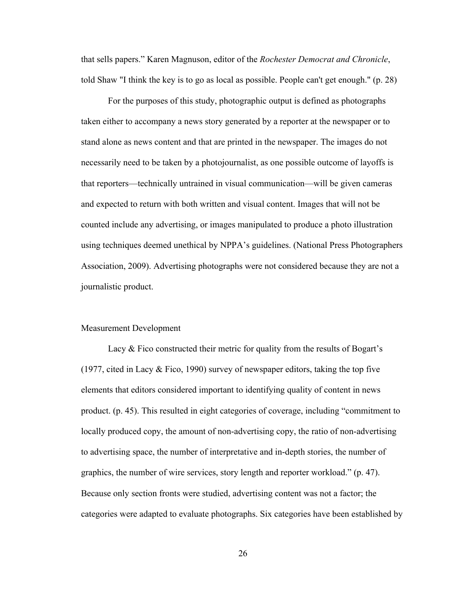that sells papers." Karen Magnuson, editor of the *Rochester Democrat and Chronicle*, told Shaw "I think the key is to go as local as possible. People can't get enough." (p. 28)

For the purposes of this study, photographic output is defined as photographs taken either to accompany a news story generated by a reporter at the newspaper or to stand alone as news content and that are printed in the newspaper. The images do not necessarily need to be taken by a photojournalist, as one possible outcome of layoffs is that reporters—technically untrained in visual communication—will be given cameras and expected to return with both written and visual content. Images that will not be counted include any advertising, or images manipulated to produce a photo illustration using techniques deemed unethical by NPPA's guidelines. (National Press Photographers Association, 2009). Advertising photographs were not considered because they are not a journalistic product.

#### Measurement Development

Lacy & Fico constructed their metric for quality from the results of Bogart's (1977, cited in Lacy & Fico, 1990) survey of newspaper editors, taking the top five elements that editors considered important to identifying quality of content in news product. (p. 45). This resulted in eight categories of coverage, including "commitment to locally produced copy, the amount of non-advertising copy, the ratio of non-advertising to advertising space, the number of interpretative and in-depth stories, the number of graphics, the number of wire services, story length and reporter workload." (p. 47). Because only section fronts were studied, advertising content was not a factor; the categories were adapted to evaluate photographs. Six categories have been established by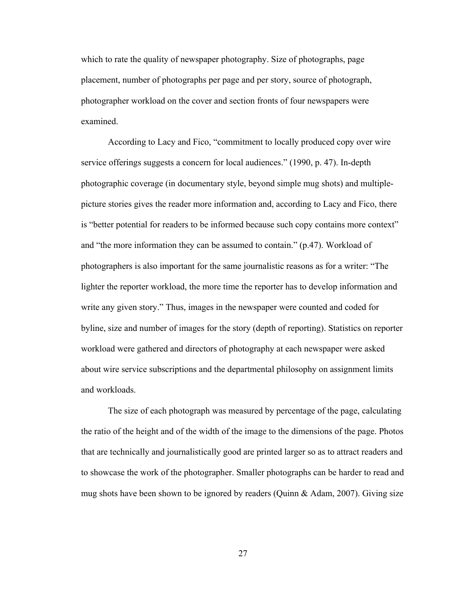which to rate the quality of newspaper photography. Size of photographs, page placement, number of photographs per page and per story, source of photograph, photographer workload on the cover and section fronts of four newspapers were examined.

According to Lacy and Fico, "commitment to locally produced copy over wire service offerings suggests a concern for local audiences." (1990, p. 47). In-depth photographic coverage (in documentary style, beyond simple mug shots) and multiplepicture stories gives the reader more information and, according to Lacy and Fico, there is "better potential for readers to be informed because such copy contains more context" and "the more information they can be assumed to contain." (p.47). Workload of photographers is also important for the same journalistic reasons as for a writer: "The lighter the reporter workload, the more time the reporter has to develop information and write any given story." Thus, images in the newspaper were counted and coded for byline, size and number of images for the story (depth of reporting). Statistics on reporter workload were gathered and directors of photography at each newspaper were asked about wire service subscriptions and the departmental philosophy on assignment limits and workloads.

The size of each photograph was measured by percentage of the page, calculating the ratio of the height and of the width of the image to the dimensions of the page. Photos that are technically and journalistically good are printed larger so as to attract readers and to showcase the work of the photographer. Smaller photographs can be harder to read and mug shots have been shown to be ignored by readers (Quinn & Adam, 2007). Giving size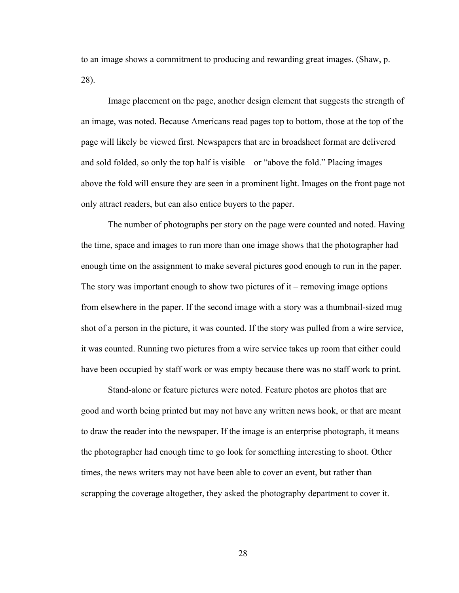to an image shows a commitment to producing and rewarding great images. (Shaw, p. 28).

Image placement on the page, another design element that suggests the strength of an image, was noted. Because Americans read pages top to bottom, those at the top of the page will likely be viewed first. Newspapers that are in broadsheet format are delivered and sold folded, so only the top half is visible—or "above the fold." Placing images above the fold will ensure they are seen in a prominent light. Images on the front page not only attract readers, but can also entice buyers to the paper.

The number of photographs per story on the page were counted and noted. Having the time, space and images to run more than one image shows that the photographer had enough time on the assignment to make several pictures good enough to run in the paper. The story was important enough to show two pictures of it – removing image options from elsewhere in the paper. If the second image with a story was a thumbnail-sized mug shot of a person in the picture, it was counted. If the story was pulled from a wire service, it was counted. Running two pictures from a wire service takes up room that either could have been occupied by staff work or was empty because there was no staff work to print.

Stand-alone or feature pictures were noted. Feature photos are photos that are good and worth being printed but may not have any written news hook, or that are meant to draw the reader into the newspaper. If the image is an enterprise photograph, it means the photographer had enough time to go look for something interesting to shoot. Other times, the news writers may not have been able to cover an event, but rather than scrapping the coverage altogether, they asked the photography department to cover it.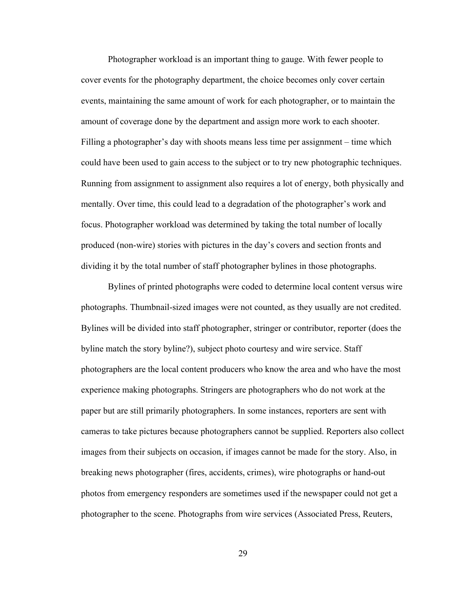Photographer workload is an important thing to gauge. With fewer people to cover events for the photography department, the choice becomes only cover certain events, maintaining the same amount of work for each photographer, or to maintain the amount of coverage done by the department and assign more work to each shooter. Filling a photographer's day with shoots means less time per assignment – time which could have been used to gain access to the subject or to try new photographic techniques. Running from assignment to assignment also requires a lot of energy, both physically and mentally. Over time, this could lead to a degradation of the photographer's work and focus. Photographer workload was determined by taking the total number of locally produced (non-wire) stories with pictures in the day's covers and section fronts and dividing it by the total number of staff photographer bylines in those photographs.

Bylines of printed photographs were coded to determine local content versus wire photographs. Thumbnail-sized images were not counted, as they usually are not credited. Bylines will be divided into staff photographer, stringer or contributor, reporter (does the byline match the story byline?), subject photo courtesy and wire service. Staff photographers are the local content producers who know the area and who have the most experience making photographs. Stringers are photographers who do not work at the paper but are still primarily photographers. In some instances, reporters are sent with cameras to take pictures because photographers cannot be supplied. Reporters also collect images from their subjects on occasion, if images cannot be made for the story. Also, in breaking news photographer (fires, accidents, crimes), wire photographs or hand-out photos from emergency responders are sometimes used if the newspaper could not get a photographer to the scene. Photographs from wire services (Associated Press, Reuters,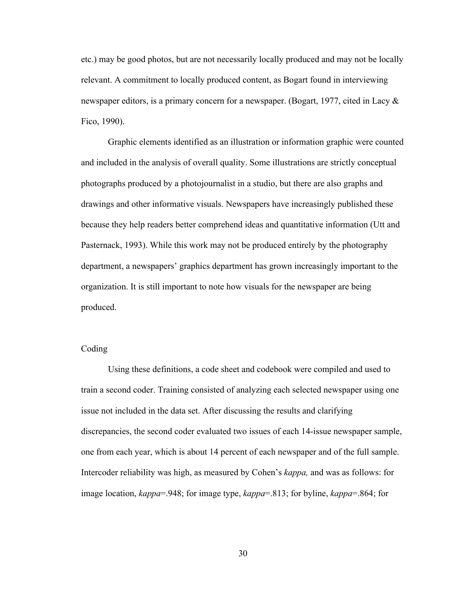etc.) may be good photos, but are not necessarily locally produced and may not be locally relevant. A commitment to locally produced content, as Bogart found in interviewing newspaper editors, is a primary concern for a newspaper. (Bogart, 1977, cited in Lacy  $\&$ Fico, 1990).

Graphic elements identified as an illustration or information graphic were counted and included in the analysis of overall quality. Some illustrations are strictly conceptual photographs produced by a photojournalist in a studio, but there are also graphs and drawings and other informative visuals. Newspapers have increasingly published these because they help readers better comprehend ideas and quantitative information (Utt and Pasternack, 1993). While this work may not be produced entirely by the photography department, a newspapers' graphics department has grown increasingly important to the organization. It is still important to note how visuals for the newspaper are being produced.

# Coding

Using these definitions, a code sheet and codebook were compiled and used to train a second coder. Training consisted of analyzing each selected newspaper using one issue not included in the data set. After discussing the results and clarifying discrepancies, the second coder evaluated two issues of each 14-issue newspaper sample, one from each year, which is about 14 percent of each newspaper and of the full sample. Intercoder reliability was high, as measured by Cohen's *kappa,* and was as follows: for image location, *kappa*=.948; for image type, *kappa*=.813; for byline, *kappa*=.864; for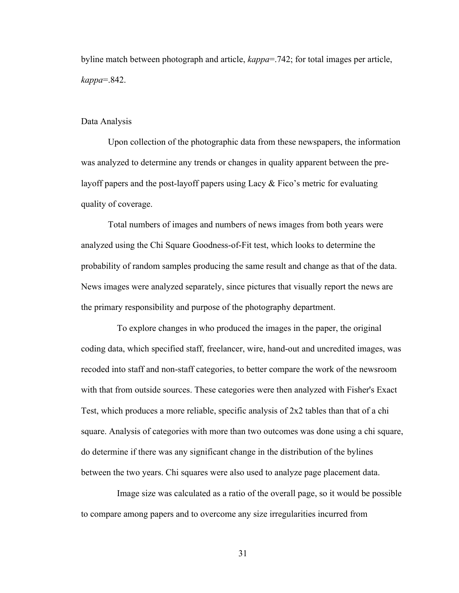byline match between photograph and article, *kappa*=.742; for total images per article, *kappa*=.842.

#### Data Analysis

Upon collection of the photographic data from these newspapers, the information was analyzed to determine any trends or changes in quality apparent between the prelayoff papers and the post-layoff papers using Lacy  $\&$  Fico's metric for evaluating quality of coverage.

Total numbers of images and numbers of news images from both years were analyzed using the Chi Square Goodness-of-Fit test, which looks to determine the probability of random samples producing the same result and change as that of the data. News images were analyzed separately, since pictures that visually report the news are the primary responsibility and purpose of the photography department.

 To explore changes in who produced the images in the paper, the original coding data, which specified staff, freelancer, wire, hand-out and uncredited images, was recoded into staff and non-staff categories, to better compare the work of the newsroom with that from outside sources. These categories were then analyzed with Fisher's Exact Test, which produces a more reliable, specific analysis of 2x2 tables than that of a chi square. Analysis of categories with more than two outcomes was done using a chi square, do determine if there was any significant change in the distribution of the bylines between the two years. Chi squares were also used to analyze page placement data.

 Image size was calculated as a ratio of the overall page, so it would be possible to compare among papers and to overcome any size irregularities incurred from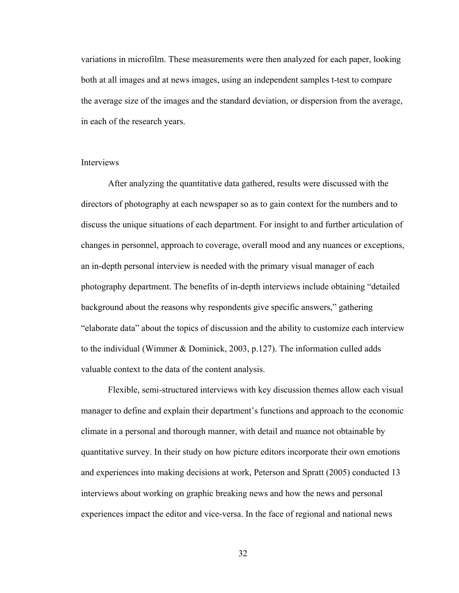variations in microfilm. These measurements were then analyzed for each paper, looking both at all images and at news images, using an independent samples t-test to compare the average size of the images and the standard deviation, or dispersion from the average, in each of the research years.

### **Interviews**

After analyzing the quantitative data gathered, results were discussed with the directors of photography at each newspaper so as to gain context for the numbers and to discuss the unique situations of each department. For insight to and further articulation of changes in personnel, approach to coverage, overall mood and any nuances or exceptions, an in-depth personal interview is needed with the primary visual manager of each photography department. The benefits of in-depth interviews include obtaining "detailed background about the reasons why respondents give specific answers," gathering "elaborate data" about the topics of discussion and the ability to customize each interview to the individual (Wimmer & Dominick, 2003, p.127). The information culled adds valuable context to the data of the content analysis.

Flexible, semi-structured interviews with key discussion themes allow each visual manager to define and explain their department's functions and approach to the economic climate in a personal and thorough manner, with detail and nuance not obtainable by quantitative survey. In their study on how picture editors incorporate their own emotions and experiences into making decisions at work, Peterson and Spratt (2005) conducted 13 interviews about working on graphic breaking news and how the news and personal experiences impact the editor and vice-versa. In the face of regional and national news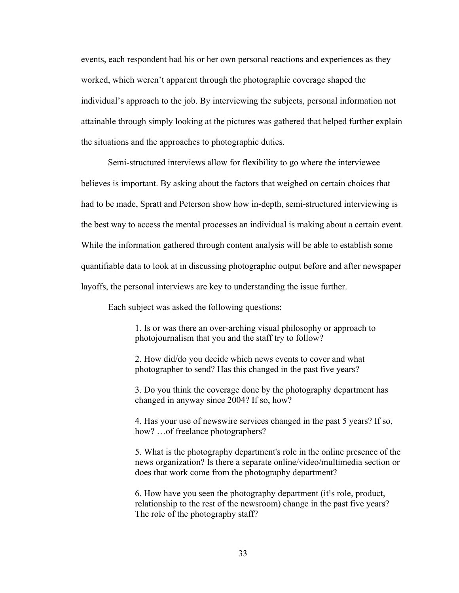events, each respondent had his or her own personal reactions and experiences as they worked, which weren't apparent through the photographic coverage shaped the individual's approach to the job. By interviewing the subjects, personal information not attainable through simply looking at the pictures was gathered that helped further explain the situations and the approaches to photographic duties.

Semi-structured interviews allow for flexibility to go where the interviewee believes is important. By asking about the factors that weighed on certain choices that had to be made, Spratt and Peterson show how in-depth, semi-structured interviewing is the best way to access the mental processes an individual is making about a certain event. While the information gathered through content analysis will be able to establish some quantifiable data to look at in discussing photographic output before and after newspaper layoffs, the personal interviews are key to understanding the issue further.

Each subject was asked the following questions:

1. Is or was there an over-arching visual philosophy or approach to photojournalism that you and the staff try to follow?

2. How did/do you decide which news events to cover and what photographer to send? Has this changed in the past five years?

3. Do you think the coverage done by the photography department has changed in anyway since 2004? If so, how?

4. Has your use of newswire services changed in the past 5 years? If so, how? ... of freelance photographers?

5. What is the photography department's role in the online presence of the news organization? Is there a separate online/video/multimedia section or does that work come from the photography department?

6. How have you seen the photography department (it<sup>1</sup>s role, product, relationship to the rest of the newsroom) change in the past five years? The role of the photography staff?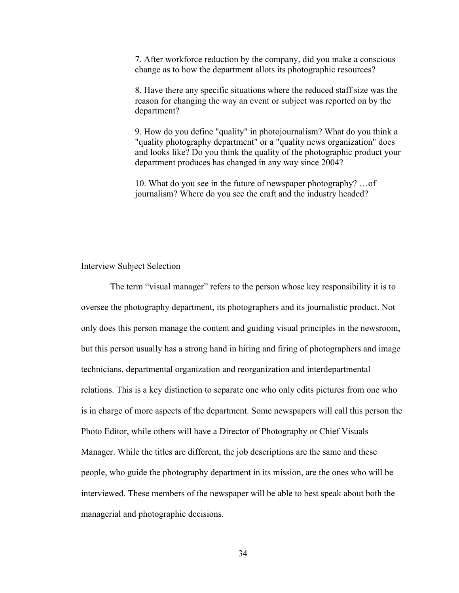7. After workforce reduction by the company, did you make a conscious change as to how the department allots its photographic resources?

8. Have there any specific situations where the reduced staff size was the reason for changing the way an event or subject was reported on by the department?

9. How do you define "quality" in photojournalism? What do you think a "quality photography department" or a "quality news organization" does and looks like? Do you think the quality of the photographic product your department produces has changed in any way since 2004?

10. What do you see in the future of newspaper photography? …of journalism? Where do you see the craft and the industry headed?

#### Interview Subject Selection

 The term "visual manager" refers to the person whose key responsibility it is to oversee the photography department, its photographers and its journalistic product. Not only does this person manage the content and guiding visual principles in the newsroom, but this person usually has a strong hand in hiring and firing of photographers and image technicians, departmental organization and reorganization and interdepartmental relations. This is a key distinction to separate one who only edits pictures from one who is in charge of more aspects of the department. Some newspapers will call this person the Photo Editor, while others will have a Director of Photography or Chief Visuals Manager. While the titles are different, the job descriptions are the same and these people, who guide the photography department in its mission, are the ones who will be interviewed. These members of the newspaper will be able to best speak about both the managerial and photographic decisions.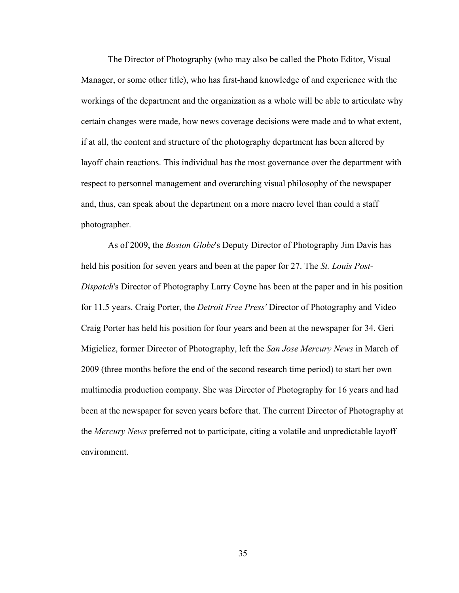The Director of Photography (who may also be called the Photo Editor, Visual Manager, or some other title), who has first-hand knowledge of and experience with the workings of the department and the organization as a whole will be able to articulate why certain changes were made, how news coverage decisions were made and to what extent, if at all, the content and structure of the photography department has been altered by layoff chain reactions. This individual has the most governance over the department with respect to personnel management and overarching visual philosophy of the newspaper and, thus, can speak about the department on a more macro level than could a staff photographer.

As of 2009, the *Boston Globe*'s Deputy Director of Photography Jim Davis has held his position for seven years and been at the paper for 27. The *St. Louis Post-Dispatch*'s Director of Photography Larry Coyne has been at the paper and in his position for 11.5 years. Craig Porter, the *Detroit Free Press'* Director of Photography and Video Craig Porter has held his position for four years and been at the newspaper for 34. Geri Migielicz, former Director of Photography, left the *San Jose Mercury News* in March of 2009 (three months before the end of the second research time period) to start her own multimedia production company. She was Director of Photography for 16 years and had been at the newspaper for seven years before that. The current Director of Photography at the *Mercury News* preferred not to participate, citing a volatile and unpredictable layoff environment.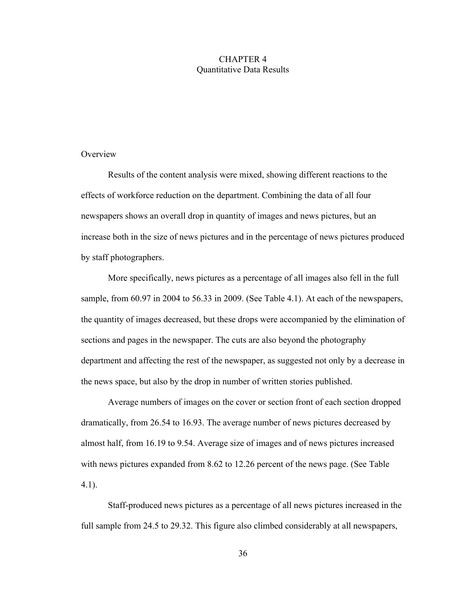# CHAPTER 4 Quantitative Data Results

# **Overview**

Results of the content analysis were mixed, showing different reactions to the effects of workforce reduction on the department. Combining the data of all four newspapers shows an overall drop in quantity of images and news pictures, but an increase both in the size of news pictures and in the percentage of news pictures produced by staff photographers.

More specifically, news pictures as a percentage of all images also fell in the full sample, from 60.97 in 2004 to 56.33 in 2009. (See Table 4.1). At each of the newspapers, the quantity of images decreased, but these drops were accompanied by the elimination of sections and pages in the newspaper. The cuts are also beyond the photography department and affecting the rest of the newspaper, as suggested not only by a decrease in the news space, but also by the drop in number of written stories published.

Average numbers of images on the cover or section front of each section dropped dramatically, from 26.54 to 16.93. The average number of news pictures decreased by almost half, from 16.19 to 9.54. Average size of images and of news pictures increased with news pictures expanded from 8.62 to 12.26 percent of the news page. (See Table 4.1).

Staff-produced news pictures as a percentage of all news pictures increased in the full sample from 24.5 to 29.32. This figure also climbed considerably at all newspapers,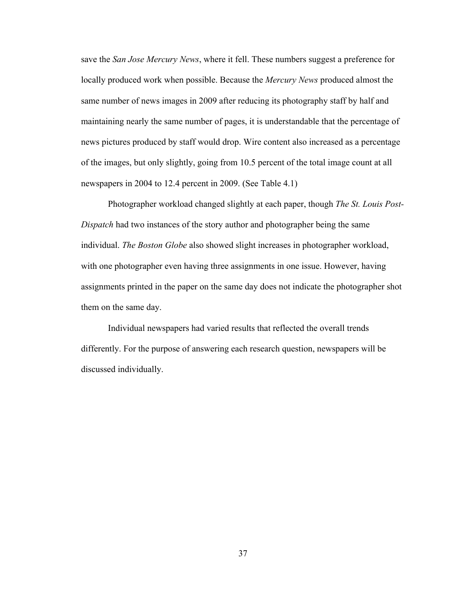save the *San Jose Mercury News*, where it fell. These numbers suggest a preference for locally produced work when possible. Because the *Mercury News* produced almost the same number of news images in 2009 after reducing its photography staff by half and maintaining nearly the same number of pages, it is understandable that the percentage of news pictures produced by staff would drop. Wire content also increased as a percentage of the images, but only slightly, going from 10.5 percent of the total image count at all newspapers in 2004 to 12.4 percent in 2009. (See Table 4.1)

Photographer workload changed slightly at each paper, though *The St. Louis Post-Dispatch* had two instances of the story author and photographer being the same individual. *The Boston Globe* also showed slight increases in photographer workload, with one photographer even having three assignments in one issue. However, having assignments printed in the paper on the same day does not indicate the photographer shot them on the same day.

Individual newspapers had varied results that reflected the overall trends differently. For the purpose of answering each research question, newspapers will be discussed individually.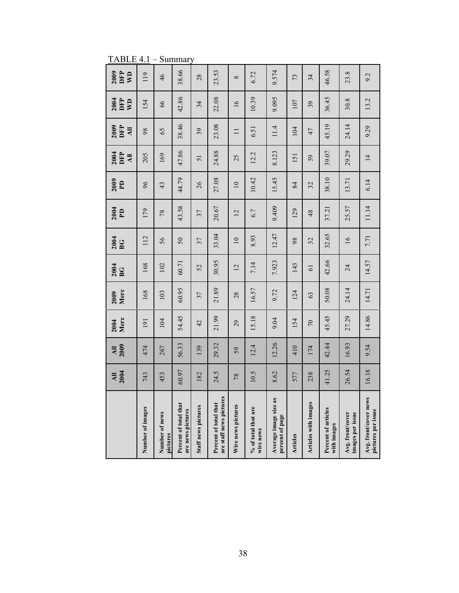TABLE 4.1 – Summary

|                                                  | <b>All</b><br>2004 | 2009<br>$\overline{M}$ | Merc<br>2004   | Merc<br>2009 | 2004<br>BG     | 2004<br>BG      | 2004<br>$\mathbf{P}$ | 2009<br>$\mathbf{P}$     | 2004<br>DFP<br>$\overline{AB}$ | 2009<br>DFP<br>$\overline{AB}$ | 2004<br>DFP<br>$\mathbb{R}^n$ | 2009<br>DFP<br>$\overline{\mathbf{v}}$ |
|--------------------------------------------------|--------------------|------------------------|----------------|--------------|----------------|-----------------|----------------------|--------------------------|--------------------------------|--------------------------------|-------------------------------|----------------------------------------|
| Number of images                                 | 743                | 474                    | 191            | 168          | 168            | 112             | 179                  | 96                       | 205                            | 98                             | 154                           | 119                                    |
| Number of news<br>pictures                       | 453                | 267                    | 104            | 103          | 102            | 56              | 78                   | 43                       | 169                            | 65                             | 66                            | 46                                     |
| Percent of total that<br>are news pictures       | 60.97              | 56.33                  | 54.45          | 60.95        | 60.71          | 50              | 43.58                | 44.79                    | 47.86                          | 38.46                          | 42.86                         | 38.66                                  |
| Staff news pictures                              | 182                | 139                    | 42             | 37           | 52             | 37              | 37                   | 26                       | 51                             | 39                             | 34                            | 28                                     |
| are staff news pictures<br>Percent of total that | 24.5               | 29.32                  | 21.99          | 21.89        | 30.95          | 33.04           | 20.67                | 27.08                    | 24.88                          | 23.08                          | 22.08                         | 23.53                                  |
| Wire news pictures                               | 78                 | 59                     | 29             | 28           | $\overline{2}$ | $\overline{10}$ | $\overline{2}$       | $\overline{\phantom{0}}$ | 25                             | $\equiv$                       | $\frac{6}{2}$                 | $\infty$                               |
| % of total that are<br>wire news                 | 10.5               | 12.4                   | 15.18          | 16.57        | 7.14           | 8.93            | 6.7                  | 10.42                    | 12.2                           | 6.51                           | 10.39                         | 6.72                                   |
| Average image size as<br>percent of page         | 8.62               | 12.26                  | 9.04           | 9.72         | 7.923          | 12.47           | 9.409                | 15.45                    | 8.123                          | 11.4                           | 9.095                         | 9.574                                  |
| Articles                                         | 577                | 410                    | 154            | 124          | 143            | 98              | 129                  | 84                       | 151                            | 104                            | 107                           | 73                                     |
| Articles with images                             | 238                | 174                    | $\overline{C}$ | 63           | $\overline{6}$ | 32              | 48                   | 32                       | 59                             | 47                             | 39                            | 34                                     |
| Percent of articles<br>with images               | 41.25              | 42.44                  | 45.45          | 50.08        | 42.66          | 32.65           | 37.21                | 38.10                    | 39.07                          | 45.19                          | 36.45                         | 46.58                                  |
| Avg. front/cover<br>images per issue             | 26.54              | 16.93                  | 27.29          | 24.14        | 24             | $\overline{16}$ | 25.57                | 13.71                    | 29.29                          | 24.14                          | 30.8                          | 23.8                                   |
| Avg. front/cover news<br>pictures per issue      | 16.18              | 9.54                   | 14.86          | 14.71        | 14.57          | 7.71            | 11.14                | 6.14                     | $\overline{4}$                 | 9.29                           | 13.2                          | 9.2                                    |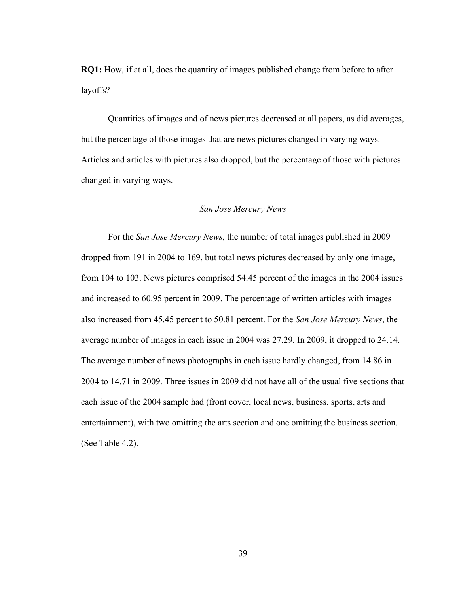**RQ1:** How, if at all, does the quantity of images published change from before to after layoffs?

Quantities of images and of news pictures decreased at all papers, as did averages, but the percentage of those images that are news pictures changed in varying ways. Articles and articles with pictures also dropped, but the percentage of those with pictures changed in varying ways.

#### *San Jose Mercury News*

For the *San Jose Mercury News*, the number of total images published in 2009 dropped from 191 in 2004 to 169, but total news pictures decreased by only one image, from 104 to 103. News pictures comprised 54.45 percent of the images in the 2004 issues and increased to 60.95 percent in 2009. The percentage of written articles with images also increased from 45.45 percent to 50.81 percent. For the *San Jose Mercury News*, the average number of images in each issue in 2004 was 27.29. In 2009, it dropped to 24.14. The average number of news photographs in each issue hardly changed, from 14.86 in 2004 to 14.71 in 2009. Three issues in 2009 did not have all of the usual five sections that each issue of the 2004 sample had (front cover, local news, business, sports, arts and entertainment), with two omitting the arts section and one omitting the business section. (See Table 4.2).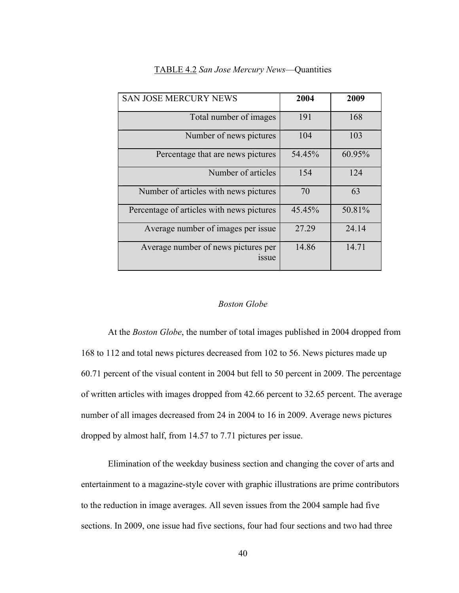| <b>SAN JOSE MERCURY NEWS</b>                       | 2004   | 2009   |
|----------------------------------------------------|--------|--------|
| Total number of images                             | 191    | 168    |
| Number of news pictures                            | 104    | 103    |
| Percentage that are news pictures                  | 54.45% | 60.95% |
| Number of articles                                 | 154    | 124    |
| Number of articles with news pictures              | 70     | 63     |
| Percentage of articles with news pictures          | 45.45% | 50.81% |
| Average number of images per issue.                | 27.29  | 24.14  |
| Average number of news pictures per<br><i>ssue</i> | 14.86  | 14.71  |

# TABLE 4.2 *San Jose Mercury News*—Quantities

### *Boston Globe*

At the *Boston Globe*, the number of total images published in 2004 dropped from 168 to 112 and total news pictures decreased from 102 to 56. News pictures made up 60.71 percent of the visual content in 2004 but fell to 50 percent in 2009. The percentage of written articles with images dropped from 42.66 percent to 32.65 percent. The average number of all images decreased from 24 in 2004 to 16 in 2009. Average news pictures dropped by almost half, from 14.57 to 7.71 pictures per issue.

Elimination of the weekday business section and changing the cover of arts and entertainment to a magazine-style cover with graphic illustrations are prime contributors to the reduction in image averages. All seven issues from the 2004 sample had five sections. In 2009, one issue had five sections, four had four sections and two had three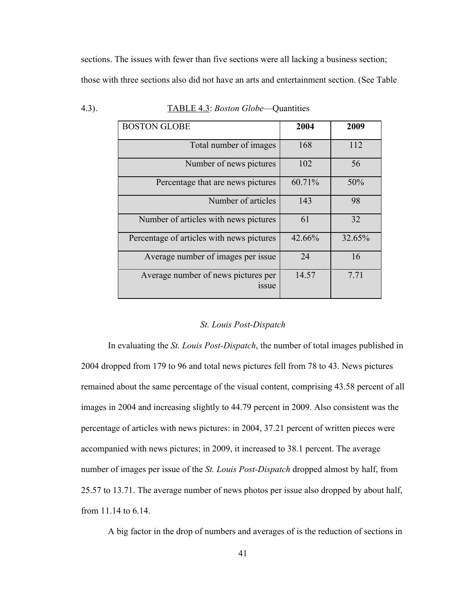sections. The issues with fewer than five sections were all lacking a business section; those with three sections also did not have an arts and entertainment section. (See Table

| <b>BOSTON GLOBE</b>                                | 2004   | 2009   |
|----------------------------------------------------|--------|--------|
| Total number of images                             | 168    | 112    |
| Number of news pictures                            | 102    | 56     |
| Percentage that are news pictures                  | 60.71% | 50%    |
| Number of articles                                 | 143    | 98     |
| Number of articles with news pictures              | 61     | 32     |
| Percentage of articles with news pictures          | 42.66% | 32.65% |
| Average number of images per issue.                | 24     | 16     |
| Average number of news pictures per<br><i>ssue</i> | 14.57  | 7.71   |

| 4.3). |  | TABLE 4.3: <i>Boston Globe</i> —Quantities |
|-------|--|--------------------------------------------|
|       |  |                                            |

#### *St. Louis Post-Dispatch*

In evaluating the *St. Louis Post-Dispatch*, the number of total images published in 2004 dropped from 179 to 96 and total news pictures fell from 78 to 43. News pictures remained about the same percentage of the visual content, comprising 43.58 percent of all images in 2004 and increasing slightly to 44.79 percent in 2009. Also consistent was the percentage of articles with news pictures: in 2004, 37.21 percent of written pieces were accompanied with news pictures; in 2009, it increased to 38.1 percent. The average number of images per issue of the *St. Louis Post-Dispatch* dropped almost by half, from 25.57 to 13.71. The average number of news photos per issue also dropped by about half, from 11.14 to 6.14.

A big factor in the drop of numbers and averages of is the reduction of sections in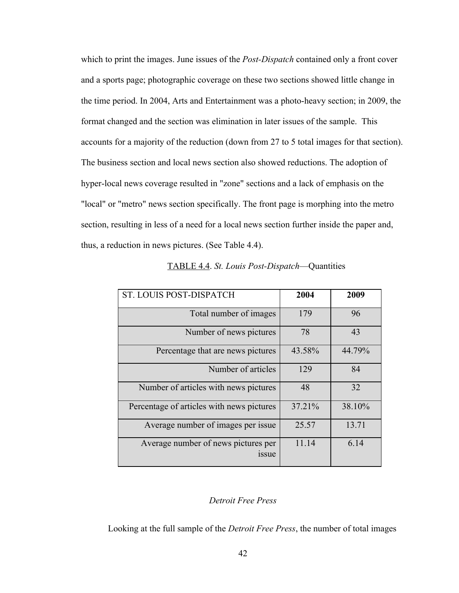which to print the images. June issues of the *Post-Dispatch* contained only a front cover and a sports page; photographic coverage on these two sections showed little change in the time period. In 2004, Arts and Entertainment was a photo-heavy section; in 2009, the format changed and the section was elimination in later issues of the sample. This accounts for a majority of the reduction (down from 27 to 5 total images for that section). The business section and local news section also showed reductions. The adoption of hyper-local news coverage resulted in "zone" sections and a lack of emphasis on the "local" or "metro" news section specifically. The front page is morphing into the metro section, resulting in less of a need for a local news section further inside the paper and, thus, a reduction in news pictures. (See Table 4.4).

| ST. LOUIS POST-DISPATCH                            | 2004   | 2009   |
|----------------------------------------------------|--------|--------|
| Total number of images                             | 179    | 96     |
| Number of news pictures                            | 78     | 43     |
| Percentage that are news pictures                  | 43.58% | 44.79% |
| Number of articles                                 | 129    | 84     |
| Number of articles with news pictures              | 48     | 32     |
| Percentage of articles with news pictures          | 37.21% | 38.10% |
| Average number of images per issue.                | 25.57  | 13.71  |
| Average number of news pictures per<br><i>ssue</i> | 11.14  | 6.14   |

#### TABLE 4.4. *St. Louis Post-Dispatch*—Quantities

# *Detroit Free Press*

Looking at the full sample of the *Detroit Free Press*, the number of total images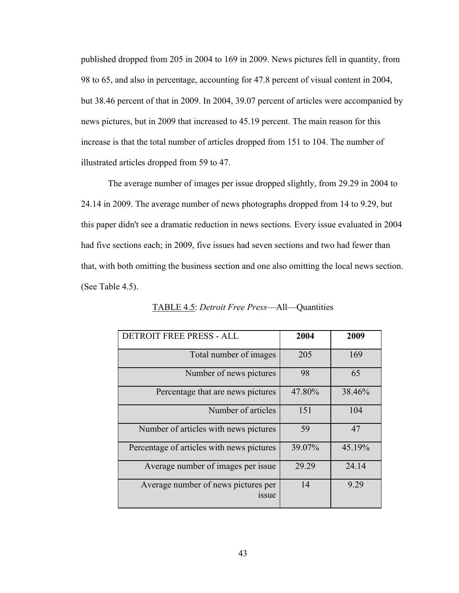published dropped from 205 in 2004 to 169 in 2009. News pictures fell in quantity, from 98 to 65, and also in percentage, accounting for 47.8 percent of visual content in 2004, but 38.46 percent of that in 2009. In 2004, 39.07 percent of articles were accompanied by news pictures, but in 2009 that increased to 45.19 percent. The main reason for this increase is that the total number of articles dropped from 151 to 104. The number of illustrated articles dropped from 59 to 47.

The average number of images per issue dropped slightly, from 29.29 in 2004 to 24.14 in 2009. The average number of news photographs dropped from 14 to 9.29, but this paper didn't see a dramatic reduction in news sections. Every issue evaluated in 2004 had five sections each; in 2009, five issues had seven sections and two had fewer than that, with both omitting the business section and one also omitting the local news section. (See Table 4.5).

| DETROIT FREE PRESS - ALL                           | 2004   | 2009   |
|----------------------------------------------------|--------|--------|
| Total number of images                             | 205    | 169    |
| Number of news pictures                            | 98     | 65     |
| Percentage that are news pictures                  | 47.80% | 38.46% |
| Number of articles                                 | 151    | 104    |
| Number of articles with news pictures              | 59     | 47     |
| Percentage of articles with news pictures          | 39.07% | 45.19% |
| Average number of images per issue.                | 29.29  | 24.14  |
| Average number of news pictures per<br><i>ssue</i> | 14     | 9.29   |

TABLE 4.5: *Detroit Free Press*—All—Quantities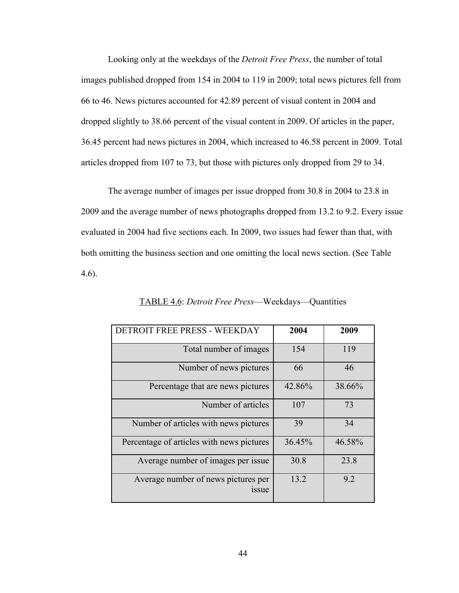Looking only at the weekdays of the *Detroit Free Press*, the number of total images published dropped from 154 in 2004 to 119 in 2009; total news pictures fell from 66 to 46. News pictures accounted for 42.89 percent of visual content in 2004 and dropped slightly to 38.66 percent of the visual content in 2009. Of articles in the paper, 36.45 percent had news pictures in 2004, which increased to 46.58 percent in 2009. Total articles dropped from 107 to 73, but those with pictures only dropped from 29 to 34.

The average number of images per issue dropped from 30.8 in 2004 to 23.8 in 2009 and the average number of news photographs dropped from 13.2 to 9.2. Every issue evaluated in 2004 had five sections each. In 2009, two issues had fewer than that, with both omitting the business section and one omitting the local news section. (See Table 4.6).

| DETROIT FREE PRESS - WEEKDAY                       | 2004   | 2009   |
|----------------------------------------------------|--------|--------|
| Total number of images                             | 154    | 119    |
| Number of news pictures                            | 66     | 46     |
| Percentage that are news pictures                  | 42.86% | 38.66% |
| Number of articles                                 | 107    | 73     |
| Number of articles with news pictures              | 39     | 34     |
| Percentage of articles with news pictures          | 36.45% | 46.58% |
| Average number of images per issue.                | 30.8   | 23.8   |
| Average number of news pictures per<br><i>ssue</i> | 13.2   | 9.2    |

TABLE 4.6: *Detroit Free Press*—Weekdays—Quantities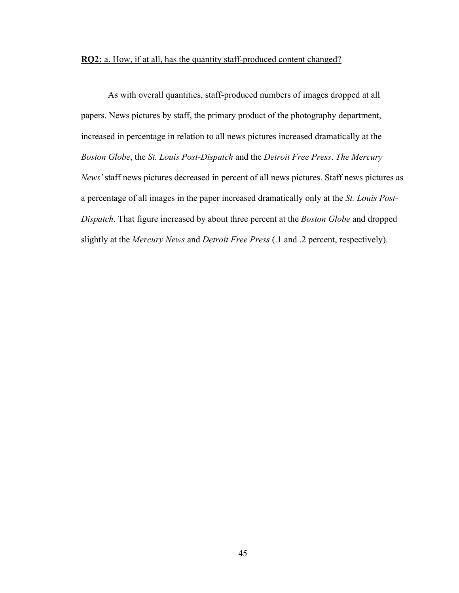# **RQ2:** a. How, if at all, has the quantity staff-produced content changed?

As with overall quantities, staff-produced numbers of images dropped at all papers. News pictures by staff, the primary product of the photography department, increased in percentage in relation to all news pictures increased dramatically at the *Boston Globe*, the *St. Louis Post-Dispatch* and the *Detroit Free Press*. *The Mercury News'* staff news pictures decreased in percent of all news pictures. Staff news pictures as a percentage of all images in the paper increased dramatically only at the *St. Louis Post-Dispatch*. That figure increased by about three percent at the *Boston Globe* and dropped slightly at the *Mercury News* and *Detroit Free Press* (.1 and .2 percent, respectively).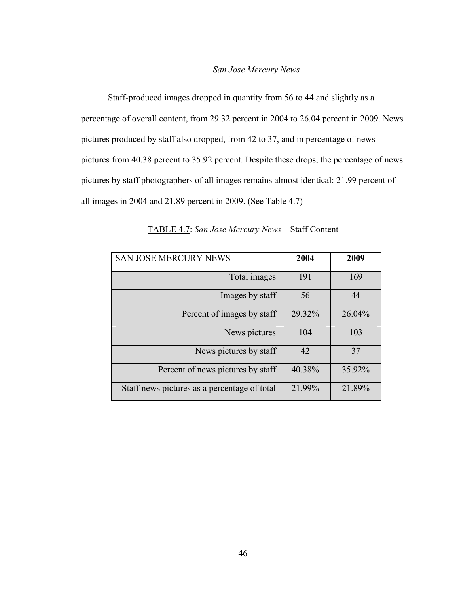### *San Jose Mercury News*

Staff-produced images dropped in quantity from 56 to 44 and slightly as a percentage of overall content, from 29.32 percent in 2004 to 26.04 percent in 2009. News pictures produced by staff also dropped, from 42 to 37, and in percentage of news pictures from 40.38 percent to 35.92 percent. Despite these drops, the percentage of news pictures by staff photographers of all images remains almost identical: 21.99 percent of all images in 2004 and 21.89 percent in 2009. (See Table 4.7)

| <b>SAN JOSE MERCURY NEWS</b>                 | 2004   | 2009   |
|----------------------------------------------|--------|--------|
| Total images                                 | 191    | 169    |
| Images by staff                              | 56     | 44     |
| Percent of images by staff                   | 29.32% | 26.04% |
| News pictures                                | 104    | 103    |
| News pictures by staff                       | 42     | 37     |
| Percent of news pictures by staff            | 40.38% | 35.92% |
| Staff news pictures as a percentage of total | 21.99% | 21.89% |

TABLE 4.7: *San Jose Mercury News*—Staff Content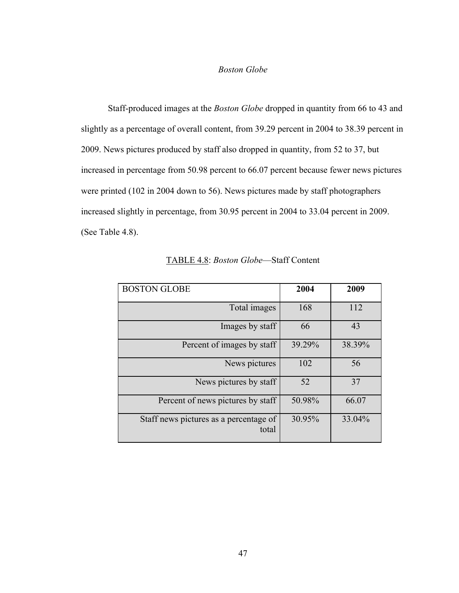#### *Boston Globe*

Staff-produced images at the *Boston Globe* dropped in quantity from 66 to 43 and slightly as a percentage of overall content, from 39.29 percent in 2004 to 38.39 percent in 2009. News pictures produced by staff also dropped in quantity, from 52 to 37, but increased in percentage from 50.98 percent to 66.07 percent because fewer news pictures were printed (102 in 2004 down to 56). News pictures made by staff photographers increased slightly in percentage, from 30.95 percent in 2004 to 33.04 percent in 2009. (See Table 4.8).

| <b>BOSTON GLOBE</b>                             | 2004   | 2009   |
|-------------------------------------------------|--------|--------|
| Total images                                    | 168    | 112    |
| Images by staff                                 | 66     | 43     |
| Percent of images by staff                      | 39.29% | 38.39% |
| News pictures                                   | 102    | 56     |
| News pictures by staff                          | 52     | 37     |
| Percent of news pictures by staff               | 50.98% | 66.07  |
| Staff news pictures as a percentage of<br>total | 30.95% | 33.04% |

TABLE 4.8: *Boston Globe*—Staff Content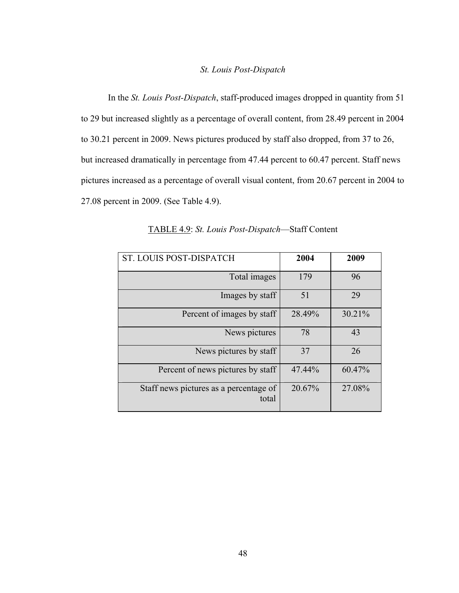### *St. Louis Post-Dispatch*

In the *St. Louis Post-Dispatch*, staff-produced images dropped in quantity from 51 to 29 but increased slightly as a percentage of overall content, from 28.49 percent in 2004 to 30.21 percent in 2009. News pictures produced by staff also dropped, from 37 to 26, but increased dramatically in percentage from 47.44 percent to 60.47 percent. Staff news pictures increased as a percentage of overall visual content, from 20.67 percent in 2004 to 27.08 percent in 2009. (See Table 4.9).

| ST. LOUIS POST-DISPATCH                         | 2004   | 2009   |
|-------------------------------------------------|--------|--------|
| Total images                                    | 179    | 96     |
| Images by staff                                 | 51     | 29     |
| Percent of images by staff                      | 28.49% | 30.21% |
| News pictures                                   | 78     | 43     |
| News pictures by staff                          | 37     | 26     |
| Percent of news pictures by staff               | 47.44% | 60.47% |
| Staff news pictures as a percentage of<br>total | 20.67% | 27.08% |

TABLE 4.9: *St. Louis Post-Dispatch*—Staff Content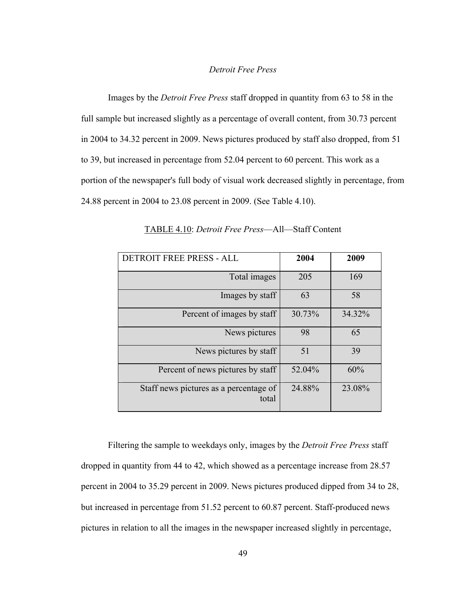### *Detroit Free Press*

Images by the *Detroit Free Press* staff dropped in quantity from 63 to 58 in the full sample but increased slightly as a percentage of overall content, from 30.73 percent in 2004 to 34.32 percent in 2009. News pictures produced by staff also dropped, from 51 to 39, but increased in percentage from 52.04 percent to 60 percent. This work as a portion of the newspaper's full body of visual work decreased slightly in percentage, from 24.88 percent in 2004 to 23.08 percent in 2009. (See Table 4.10).

| <b>DETROIT FREE PRESS - ALL</b>                 | 2004   | 2009   |
|-------------------------------------------------|--------|--------|
| Total images                                    | 205    | 169    |
| Images by staff                                 | 63     | 58     |
| Percent of images by staff                      | 30.73% | 34.32% |
| News pictures                                   | 98     | 65     |
| News pictures by staff                          | 51     | 39     |
| Percent of news pictures by staff               | 52.04% | 60%    |
| Staff news pictures as a percentage of<br>total | 24.88% | 23.08% |

TABLE 4.10: *Detroit Free Press*—All—Staff Content

Filtering the sample to weekdays only, images by the *Detroit Free Press* staff dropped in quantity from 44 to 42, which showed as a percentage increase from 28.57 percent in 2004 to 35.29 percent in 2009. News pictures produced dipped from 34 to 28, but increased in percentage from 51.52 percent to 60.87 percent. Staff-produced news pictures in relation to all the images in the newspaper increased slightly in percentage,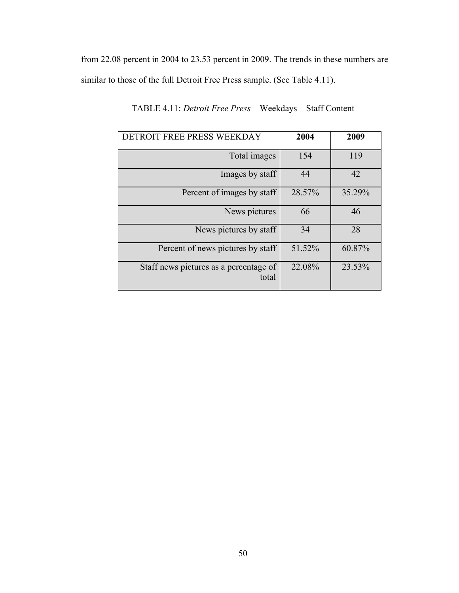from 22.08 percent in 2004 to 23.53 percent in 2009. The trends in these numbers are similar to those of the full Detroit Free Press sample. (See Table 4.11).

| DETROIT FREE PRESS WEEKDAY                      | 2004   | 2009   |
|-------------------------------------------------|--------|--------|
| Total images                                    | 154    | 119    |
| Images by staff                                 | 44     | 42     |
| Percent of images by staff                      | 28.57% | 35.29% |
| News pictures                                   | 66     | 46     |
| News pictures by staff                          | 34     | 28     |
| Percent of news pictures by staff               | 51.52% | 60.87% |
| Staff news pictures as a percentage of<br>total | 22.08% | 23.53% |

TABLE 4.11: *Detroit Free Press*—Weekdays—Staff Content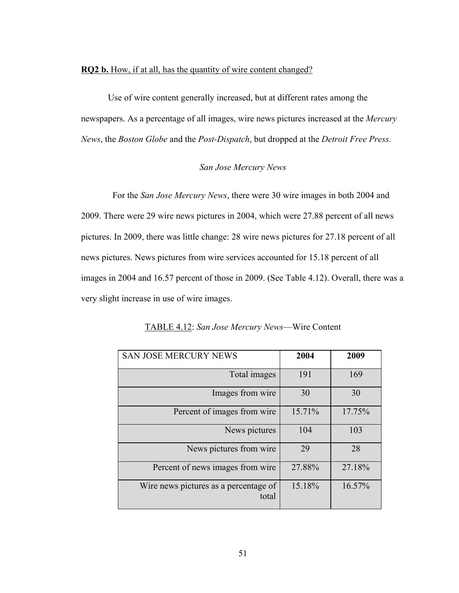#### **RQ2 b.** How, if at all, has the quantity of wire content changed?

Use of wire content generally increased, but at different rates among the newspapers. As a percentage of all images, wire news pictures increased at the *Mercury News*, the *Boston Globe* and the *Post-Dispatch*, but dropped at the *Detroit Free Press*.

# *San Jose Mercury News*

 For the *San Jose Mercury News*, there were 30 wire images in both 2004 and 2009. There were 29 wire news pictures in 2004, which were 27.88 percent of all news pictures. In 2009, there was little change: 28 wire news pictures for 27.18 percent of all news pictures. News pictures from wire services accounted for 15.18 percent of all images in 2004 and 16.57 percent of those in 2009. (See Table 4.12). Overall, there was a very slight increase in use of wire images.

| <b>SAN JOSE MERCURY NEWS</b>                   | 2004   | 2009   |
|------------------------------------------------|--------|--------|
| Total images                                   | 191    | 169    |
| Images from wire                               | 30     | 30     |
| Percent of images from wire                    | 15.71% | 17.75% |
| News pictures                                  | 104    | 103    |
| News pictures from wire                        | 29     | 28     |
| Percent of news images from wire               | 27.88% | 27.18% |
| Wire news pictures as a percentage of<br>total | 15.18% | 16.57% |

TABLE 4.12: *San Jose Mercury News*—Wire Content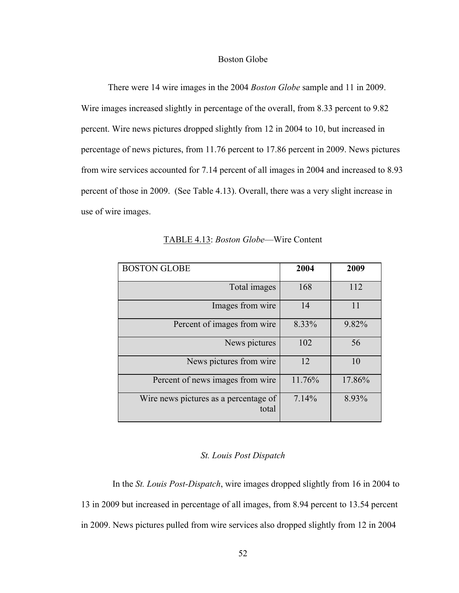#### Boston Globe

There were 14 wire images in the 2004 *Boston Globe* sample and 11 in 2009. Wire images increased slightly in percentage of the overall, from 8.33 percent to 9.82 percent. Wire news pictures dropped slightly from 12 in 2004 to 10, but increased in percentage of news pictures, from 11.76 percent to 17.86 percent in 2009. News pictures from wire services accounted for 7.14 percent of all images in 2004 and increased to 8.93 percent of those in 2009. (See Table 4.13). Overall, there was a very slight increase in use of wire images.

| <b>BOSTON GLOBE</b>                            | 2004   | 2009   |
|------------------------------------------------|--------|--------|
| Total images                                   | 168    | 112    |
| Images from wire                               | 14     | 11     |
| Percent of images from wire                    | 8.33%  | 9.82%  |
| News pictures                                  | 102    | 56     |
| News pictures from wire.                       | 12     | 10     |
| Percent of news images from wire               | 11.76% | 17.86% |
| Wire news pictures as a percentage of<br>total | 7.14%  | 8.93%  |

TABLE 4.13: *Boston Globe*—Wire Content

# *St. Louis Post Dispatch*

 In the *St. Louis Post-Dispatch*, wire images dropped slightly from 16 in 2004 to 13 in 2009 but increased in percentage of all images, from 8.94 percent to 13.54 percent in 2009. News pictures pulled from wire services also dropped slightly from 12 in 2004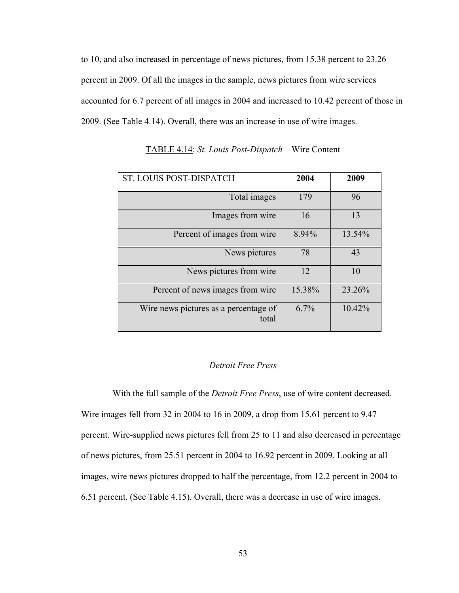to 10, and also increased in percentage of news pictures, from 15.38 percent to 23.26 percent in 2009. Of all the images in the sample, news pictures from wire services accounted for 6.7 percent of all images in 2004 and increased to 10.42 percent of those in 2009. (See Table 4.14). Overall, there was an increase in use of wire images.

| ST. LOUIS POST-DISPATCH                        | 2004   | 2009   |
|------------------------------------------------|--------|--------|
| Total images                                   | 179    | 96     |
| Images from wire                               | 16     | 13     |
| Percent of images from wire                    | 8.94%  | 13.54% |
| News pictures                                  | 78     | 43     |
| News pictures from wire                        | 12     | 10     |
| Percent of news images from wire               | 15.38% | 23.26% |
| Wire news pictures as a percentage of<br>total | 6.7%   | 10.42% |

TABLE 4.14: *St. Louis Post-Dispatch*—Wire Content

#### *Detroit Free Press*

 With the full sample of the *Detroit Free Press*, use of wire content decreased. Wire images fell from 32 in 2004 to 16 in 2009, a drop from 15.61 percent to 9.47 percent. Wire-supplied news pictures fell from 25 to 11 and also decreased in percentage of news pictures, from 25.51 percent in 2004 to 16.92 percent in 2009. Looking at all images, wire news pictures dropped to half the percentage, from 12.2 percent in 2004 to 6.51 percent. (See Table 4.15). Overall, there was a decrease in use of wire images.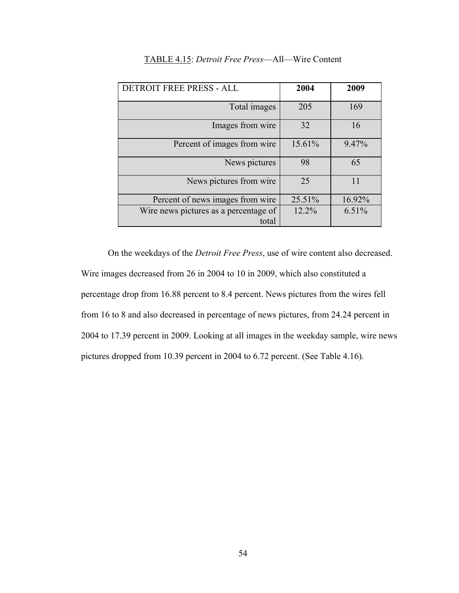| DETROIT FREE PRESS - ALL                       | 2004   | 2009   |
|------------------------------------------------|--------|--------|
| Total images                                   | 205    | 169    |
| Images from wire                               | 32     | 16     |
| Percent of images from wire                    | 15.61% | 9.47%  |
| News pictures                                  | 98     | 65     |
| News pictures from wire                        | 25     | 11     |
| Percent of news images from wire               | 25.51% | 16.92% |
| Wire news pictures as a percentage of<br>total | 12.2%  | 6.51%  |

# TABLE 4.15: *Detroit Free Press*—All—Wire Content

On the weekdays of the *Detroit Free Press*, use of wire content also decreased. Wire images decreased from 26 in 2004 to 10 in 2009, which also constituted a percentage drop from 16.88 percent to 8.4 percent. News pictures from the wires fell from 16 to 8 and also decreased in percentage of news pictures, from 24.24 percent in 2004 to 17.39 percent in 2009. Looking at all images in the weekday sample, wire news pictures dropped from 10.39 percent in 2004 to 6.72 percent. (See Table 4.16).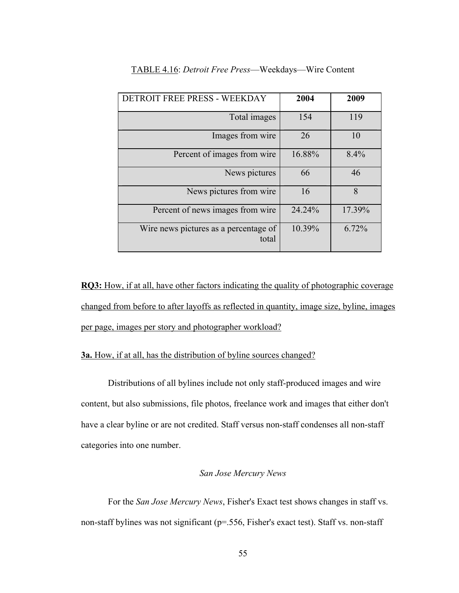| DETROIT FREE PRESS - WEEKDAY                   | 2004   | 2009   |
|------------------------------------------------|--------|--------|
| Total images                                   | 154    | 119    |
| Images from wire                               | 26     | 10     |
| Percent of images from wire                    | 16.88% | 8.4%   |
| News pictures                                  | 66     | 46     |
| News pictures from wire                        | 16     | 8      |
| Percent of news images from wire               | 24.24% | 17.39% |
| Wire news pictures as a percentage of<br>total | 10.39% | 6.72%  |

### TABLE 4.16: *Detroit Free Press*—Weekdays—Wire Content

**RQ3:** How, if at all, have other factors indicating the quality of photographic coverage changed from before to after layoffs as reflected in quantity, image size, byline, images per page, images per story and photographer workload?

# **3a.** How, if at all, has the distribution of byline sources changed?

Distributions of all bylines include not only staff-produced images and wire content, but also submissions, file photos, freelance work and images that either don't have a clear byline or are not credited. Staff versus non-staff condenses all non-staff categories into one number.

# *San Jose Mercury News*

For the *San Jose Mercury News*, Fisher's Exact test shows changes in staff vs. non-staff bylines was not significant (p=.556, Fisher's exact test). Staff vs. non-staff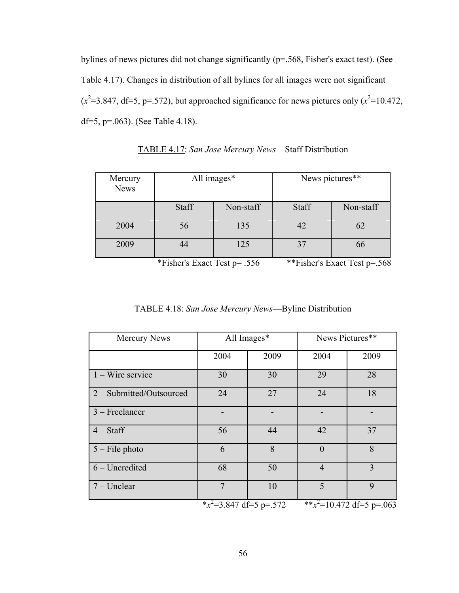bylines of news pictures did not change significantly (p=.568, Fisher's exact test). (See Table 4.17). Changes in distribution of all bylines for all images were not significant  $(x^2=3.847, df=5, p=.572)$ , but approached significance for news pictures only  $(x^2=10.472,$ df=5, p=.063). (See Table 4.18).

| Mercury<br><b>News</b> | All images* |           |       | News pictures** |
|------------------------|-------------|-----------|-------|-----------------|
|                        | Staff       | Non-staff | Staff | Non-staff       |
| 2004                   | 56          | 135       | 42    |                 |
| 2009                   | 44          | 125       | 37    | 66              |

TABLE 4.17: *San Jose Mercury News*—Staff Distribution

\*Fisher's Exact Test p= .556 \*\*Fisher's Exact Test p=.568

| Mercury News             | All Images*                |      | News Pictures** |                              |
|--------------------------|----------------------------|------|-----------------|------------------------------|
|                          | 2004                       | 2009 | 2004            | 2009                         |
| $1 -$ Wire service       | 30                         | 30   | 29              | 28                           |
| 2 - Submitted/Outsourced | 24                         | 27   | 24              | 18                           |
| $3$ – Freelancer         |                            |      |                 |                              |
| $4 - Staff$              | 56                         | 44   | 42              | 37                           |
| $5$ – File photo         | 6                          | 8    | $\theta$        | 8                            |
| $6$ – Uncredited         | 68                         | 50   | $\overline{4}$  | 3                            |
| $7 -$ Unclear            | 7                          | 10   | 5               | $\mathbf Q$                  |
|                          | * $x^2$ =3.847 df=5 p=.572 |      |                 | ** $x^2$ =10.472 df=5 p=.063 |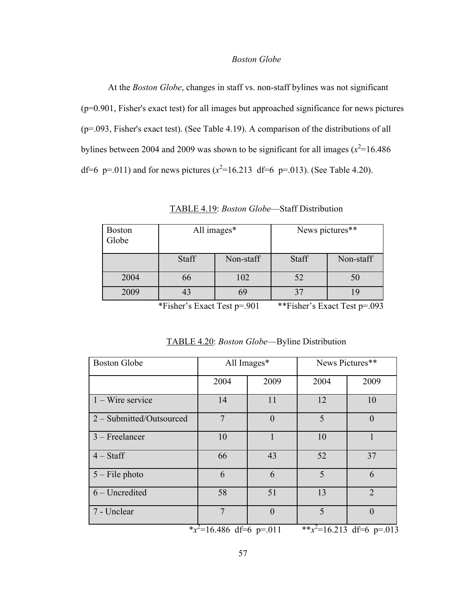# *Boston Globe*

At the *Boston Globe*, changes in staff vs. non-staff bylines was not significant (p=0.901, Fisher's exact test) for all images but approached significance for news pictures (p=.093, Fisher's exact test). (See Table 4.19). A comparison of the distributions of all bylines between 2004 and 2009 was shown to be significant for all images  $(x^2=16.486)$ df=6 p=.011) and for news pictures  $(x^2=16.213 \text{ df}=6 \text{ p} = .013)$ . (See Table 4.20).

| <b>Boston</b><br>Globe | All images* |           | News pictures** |           |
|------------------------|-------------|-----------|-----------------|-----------|
|                        | Staff       | Non-staff |                 | Non-staff |
| 2004                   | 66          | 102       | 52              |           |
| 2009                   | 43<br>69    |           | 37              |           |

| TABLE 4.19: <i>Boston Globe</i> —Staff Distribution |  |  |
|-----------------------------------------------------|--|--|
|-----------------------------------------------------|--|--|

\*Fisher's Exact Test p=.901 \*\*Fisher's Exact Test p=.093

| <b>Boston Globe</b>      | All Images*                 |                | News Pictures**              |                       |
|--------------------------|-----------------------------|----------------|------------------------------|-----------------------|
|                          | 2004                        | 2009           | 2004                         | 2009                  |
| $1 -$ Wire service       | 14                          | 11             | 12                           | 10                    |
| 2 – Submitted/Outsourced | $\overline{7}$              | $\overline{0}$ | 5                            | $\overline{0}$        |
| $3$ – Freelancer         | 10                          | $\mathbf{1}$   | 10                           | $\mathbf{1}$          |
| $4 - Staff$              | 66                          | 43             | 52                           | 37                    |
| $5$ – File photo         | 6                           | 6              | 5                            | 6                     |
| $6$ – Uncredited         | 58                          | 51             | 13                           | $\mathcal{D}_{\cdot}$ |
| 7 - Unclear              | $\tau$                      | $\theta$       | 5                            | $\theta$              |
|                          | * $x^2$ =16.486 df=6 p=.011 |                | ** $x^2$ =16.213 df=6 p=.013 |                       |

TABLE 4.20: *Boston Globe*—Byline Distribution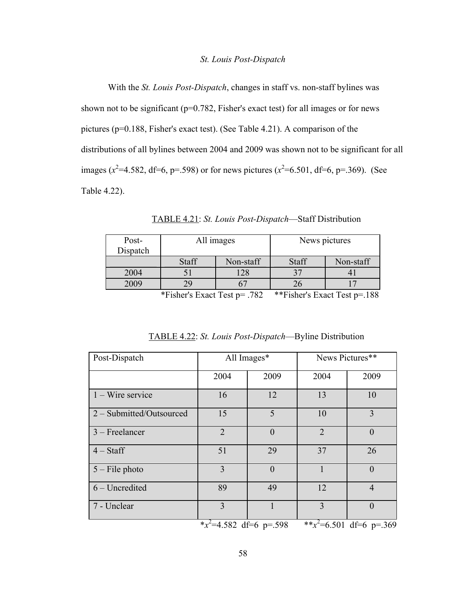#### *St. Louis Post-Dispatch*

With the *St. Louis Post-Dispatch*, changes in staff vs. non-staff bylines was shown not to be significant ( $p=0.782$ , Fisher's exact test) for all images or for news pictures (p=0.188, Fisher's exact test). (See Table 4.21). A comparison of the distributions of all bylines between 2004 and 2009 was shown not to be significant for all images ( $x^2$ =4.582, df=6, p=.598) or for news pictures ( $x^2$ =6.501, df=6, p=.369). (See Table 4.22).

| Post-<br>Dispatch | All images         |  |       | News pictures |
|-------------------|--------------------|--|-------|---------------|
|                   | Staff<br>Non-staff |  | Staff | Non-staff     |
| 2004              |                    |  |       |               |
| 2009              |                    |  |       |               |

TABLE 4.21: *St. Louis Post-Dispatch*—Staff Distribution

\*Fisher's Exact Test p= .782 \*\*Fisher's Exact Test p=.188

| Post-Dispatch            | All Images*                |          | News Pictures**             |                |
|--------------------------|----------------------------|----------|-----------------------------|----------------|
|                          | 2004                       | 2009     | 2004                        | 2009           |
| $1 -$ Wire service       | 16                         | 12       | 13                          | 10             |
| 2 - Submitted/Outsourced | 15                         | 5        | 10                          | 3              |
| $3$ – Freelancer         | $\overline{2}$             | $\theta$ | $\overline{2}$              | $\theta$       |
| $4 - Staff$              | 51                         | 29       | 37                          | 26             |
| $5$ – File photo         | 3                          | $\theta$ | $\mathbf{1}$                | $\theta$       |
| $6$ – Uncredited         | 89                         | 49       | 12                          | $\overline{4}$ |
| 7 - Unclear              | 3                          |          | 3                           | $\theta$       |
|                          | * $x^2$ =4.582 df=6 p=.598 |          | ** $x^2$ =6.501 df=6 p=.369 |                |

TABLE 4.22: *St. Louis Post-Dispatch*—Byline Distribution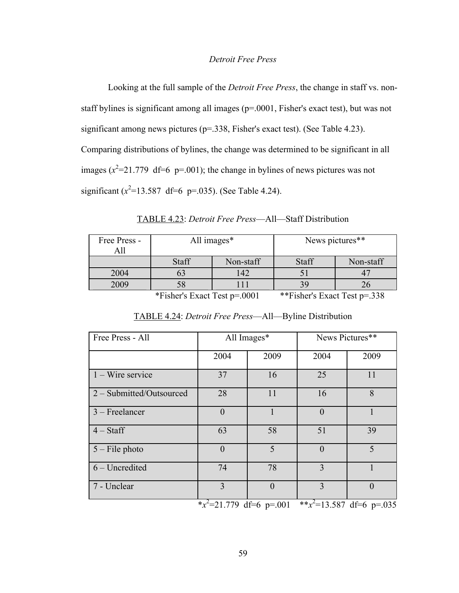### *Detroit Free Press*

Looking at the full sample of the *Detroit Free Press*, the change in staff vs. nonstaff bylines is significant among all images (p=.0001, Fisher's exact test), but was not significant among news pictures (p=.338, Fisher's exact test). (See Table 4.23). Comparing distributions of bylines, the change was determined to be significant in all images  $(x^2=21.779 \text{ df}=6 \text{ p} = .001)$ ; the change in bylines of news pictures was not significant  $(x^2=13.587 \text{ df}=6 \text{ p}=.035)$ . (See Table 4.24).

| Free Press - |              | All images* |       | News pictures** |
|--------------|--------------|-------------|-------|-----------------|
|              |              |             |       |                 |
|              | <b>Staff</b> | Non-staff   | Staff | Non-staff       |
| 2004         |              |             |       |                 |

TABLE 4.23: *Detroit Free Press*—All—Staff Distribution

| 2009 |                              |                              |  |
|------|------------------------------|------------------------------|--|
|      | *Fisher's Exact Test p=.0001 | **Fisher's Exact Test p=.338 |  |

| Free Press - All         | All Images*                 |              | News Pictures** |                              |
|--------------------------|-----------------------------|--------------|-----------------|------------------------------|
|                          | 2004                        | 2009         | 2004            | 2009                         |
| $1 - W$ ire service      | 37                          | 16           | 25              | 11                           |
| 2 - Submitted/Outsourced | 28                          | 11           | 16              | 8                            |
| $3$ – Freelancer         | $\mathbf{0}$                | $\mathbf{1}$ | $\overline{0}$  | 1                            |
| $4 - Staff$              | 63                          | 58           | 51              | 39                           |
| $5 -$ File photo         | $\theta$                    | 5            | $\overline{0}$  | 5                            |
| $6$ – Uncredited         | 74                          | 78           | 3               |                              |
| 7 - Unclear              | 3                           | $\theta$     | 3               | $\theta$                     |
|                          | * $x^2$ =21.779 df=6 p=.001 |              |                 | ** $x^2$ =13.587 df=6 p=.035 |

TABLE 4.24: *Detroit Free Press*—All—Byline Distribution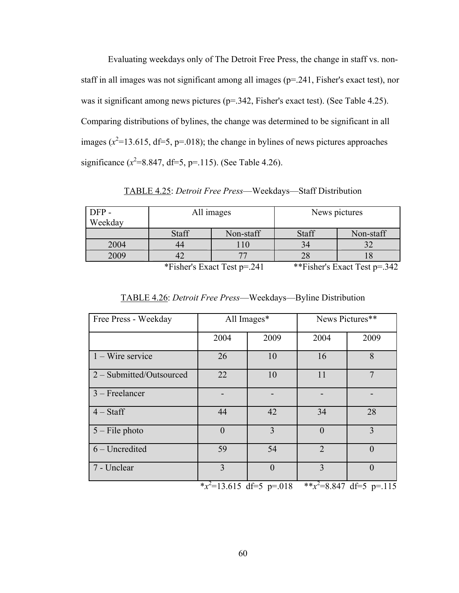Evaluating weekdays only of The Detroit Free Press, the change in staff vs. nonstaff in all images was not significant among all images (p=.241, Fisher's exact test), nor was it significant among news pictures (p=.342, Fisher's exact test). (See Table 4.25). Comparing distributions of bylines, the change was determined to be significant in all images  $(x^2=13.615, df=5, p=.018)$ ; the change in bylines of news pictures approaches significance  $(x^2=8.847, df=5, p=.115)$ . (See Table 4.26).

TABLE 4.25: *Detroit Free Press*—Weekdays—Staff Distribution

| DFP-<br>Weekday                                            | All images   |           | News pictures |           |
|------------------------------------------------------------|--------------|-----------|---------------|-----------|
|                                                            | <b>Staff</b> | Non-staff | Staff         | Non-staff |
| 2004                                                       | 44           |           | 34            |           |
| 2009                                                       |              |           | 28            |           |
| $+ + \Gamma$ 1 1 $\Gamma$ 1 $\Gamma$ 1 $\gamma$ 1 $\gamma$ |              |           |               |           |

\*Fisher's Exact Test p=.241 \*\*Fisher's Exact Test p=.342

|  | TABLE 4.26: <i>Detroit Free Press</i> —Weekdays—Byline Distribution |  |  |  |  |  |
|--|---------------------------------------------------------------------|--|--|--|--|--|
|--|---------------------------------------------------------------------|--|--|--|--|--|

| Free Press - Weekday     | All Images*                 |          | News Pictures** |                             |
|--------------------------|-----------------------------|----------|-----------------|-----------------------------|
|                          | 2004                        | 2009     | 2004            | 2009                        |
| $1 -$ Wire service       | 26                          | 10       | 16              | 8                           |
| 2 - Submitted/Outsourced | 22                          | 10       | 11              | $\overline{7}$              |
| $3$ – Freelancer         |                             |          |                 |                             |
| $4 - Staff$              | 44                          | 42       | 34              | 28                          |
| $5$ – File photo         | $\theta$                    | 3        | $\theta$        | 3                           |
| $6$ – Uncredited         | 59                          | 54       | $\overline{2}$  | $\theta$                    |
| 7 - Unclear              | 3                           | $\theta$ | 3               | $\theta$                    |
|                          | * $x^2$ =13.615 df=5 p=.018 |          |                 | ** $x^2$ =8.847 df=5 p=.115 |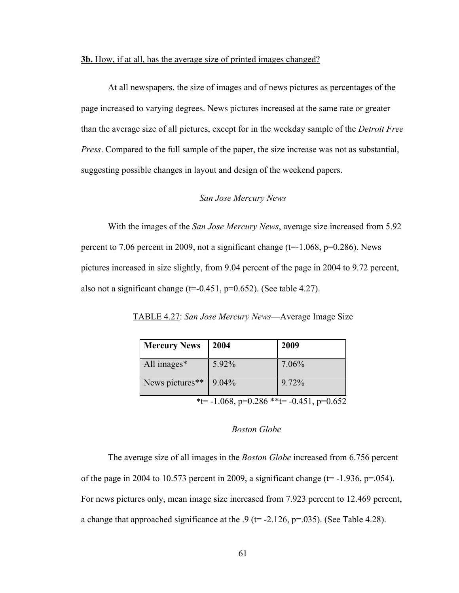# **3b.** How, if at all, has the average size of printed images changed?

At all newspapers, the size of images and of news pictures as percentages of the page increased to varying degrees. News pictures increased at the same rate or greater than the average size of all pictures, except for in the weekday sample of the *Detroit Free Press*. Compared to the full sample of the paper, the size increase was not as substantial, suggesting possible changes in layout and design of the weekend papers.

## *San Jose Mercury News*

With the images of the *San Jose Mercury News*, average size increased from 5.92 percent to 7.06 percent in 2009, not a significant change ( $t=1.068$ ,  $p=0.286$ ). News pictures increased in size slightly, from 9.04 percent of the page in 2004 to 9.72 percent, also not a significant change  $(t=0.451, p=0.652)$ . (See table 4.27).

TABLE 4.27: *San Jose Mercury News*—Average Image Size

| <b>Mercury News</b>                      | 2004  | 2009  |  |  |  |
|------------------------------------------|-------|-------|--|--|--|
| All images*                              | 5.92% | 7.06% |  |  |  |
| News pictures**                          | 9.04% | 9.72% |  |  |  |
| *t= -1.068, p=0.286 **t= -0.451, p=0.652 |       |       |  |  |  |

### *Boston Globe*

The average size of all images in the *Boston Globe* increased from 6.756 percent of the page in 2004 to 10.573 percent in 2009, a significant change ( $t=$  -1.936,  $p=$  054). For news pictures only, mean image size increased from 7.923 percent to 12.469 percent, a change that approached significance at the  $.9$  (t= -2.126, p=.035). (See Table 4.28).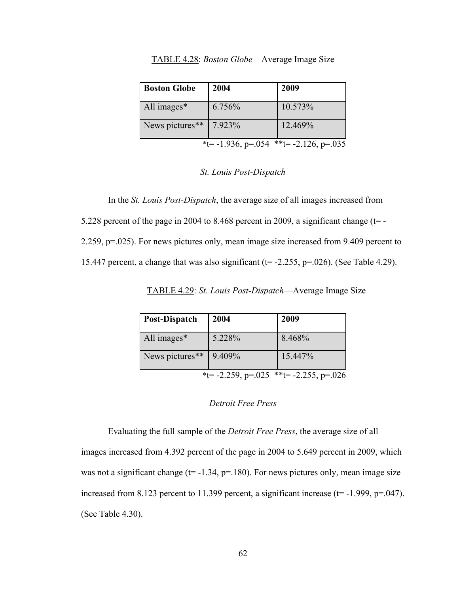| <b>Boston Globe</b>                    | 2004   | 2009    |  |  |  |
|----------------------------------------|--------|---------|--|--|--|
| All images*                            | 6.756% | 10.573% |  |  |  |
| News pictures**                        | 7.923% | 12.469% |  |  |  |
| *t= -1.936, p=.054 **t= -2.126, p=.035 |        |         |  |  |  |

TABLE 4.28: *Boston Globe*—Average Image Size

### *St. Louis Post-Dispatch*

In the *St. Louis Post-Dispatch*, the average size of all images increased from

5.228 percent of the page in 2004 to 8.468 percent in 2009, a significant change  $(t=$  -

2.259, p=.025). For news pictures only, mean image size increased from 9.409 percent to

15.447 percent, a change that was also significant ( $t=$  -2.255,  $p=0.026$ ). (See Table 4.29).

TABLE 4.29: *St. Louis Post-Dispatch*—Average Image Size

| Post-Dispatch   | 2004                                   | 2009    |
|-----------------|----------------------------------------|---------|
| All images*     | 5.228%                                 | 8.468%  |
| News pictures** | 9.409%                                 | 15.447% |
|                 | *t= -2.259, p=.025 **t= -2.255, p=.026 |         |

### *Detroit Free Press*

Evaluating the full sample of the *Detroit Free Press*, the average size of all images increased from 4.392 percent of the page in 2004 to 5.649 percent in 2009, which was not a significant change ( $t=$  -1.34,  $p=$  180). For news pictures only, mean image size increased from 8.123 percent to 11.399 percent, a significant increase ( $t = -1.999$ ,  $p = .047$ ). (See Table 4.30).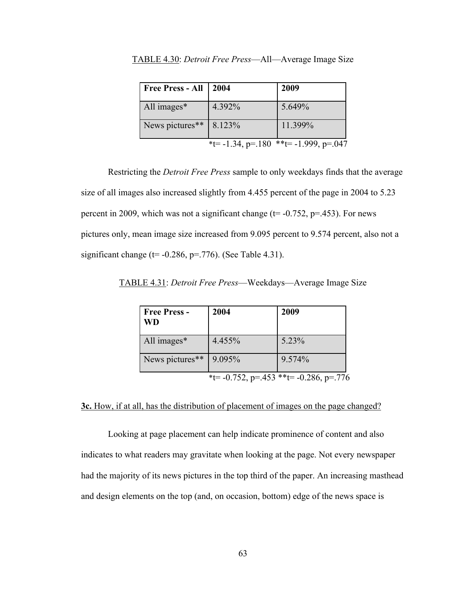| Free Press - All   2004   |                                       | 2009    |
|---------------------------|---------------------------------------|---------|
| All images*               | 4.392%                                | 5.649%  |
| News pictures** $8.123\%$ |                                       | 11.399% |
|                           | *t= -1.34, p=.180 **t= -1.999, p=.047 |         |

TABLE 4.30: *Detroit Free Press*—All—Average Image Size

Restricting the *Detroit Free Press* sample to only weekdays finds that the average size of all images also increased slightly from 4.455 percent of the page in 2004 to 5.23 percent in 2009, which was not a significant change ( $t = -0.752$ ,  $p = 0.453$ ). For news pictures only, mean image size increased from 9.095 percent to 9.574 percent, also not a significant change ( $t = -0.286$ ,  $p = .776$ ). (See Table 4.31).

| TABLE 4.31: Detroit Free Press—Weekdays—Average Image Size |  |  |
|------------------------------------------------------------|--|--|

| <b>Free Press -</b><br><b>WD</b> | 2004                                         | 2009   |
|----------------------------------|----------------------------------------------|--------|
| All images*                      | 4.455%                                       | 5.23%  |
| News pictures**                  | 9.095%                                       | 9.574% |
|                                  | *t= $-0.752$ , p=.453 **t= $-0.286$ , p=.776 |        |

## **3c.** How, if at all, has the distribution of placement of images on the page changed?

Looking at page placement can help indicate prominence of content and also indicates to what readers may gravitate when looking at the page. Not every newspaper had the majority of its news pictures in the top third of the paper. An increasing masthead and design elements on the top (and, on occasion, bottom) edge of the news space is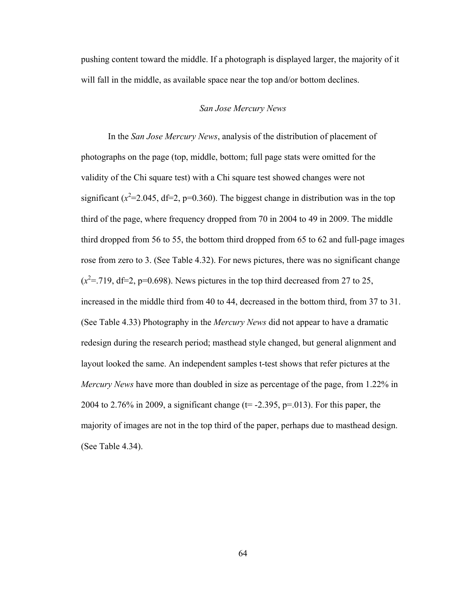pushing content toward the middle. If a photograph is displayed larger, the majority of it will fall in the middle, as available space near the top and/or bottom declines.

### *San Jose Mercury News*

In the *San Jose Mercury News*, analysis of the distribution of placement of photographs on the page (top, middle, bottom; full page stats were omitted for the validity of the Chi square test) with a Chi square test showed changes were not significant  $(x^2=2.045, df=2, p=0.360)$ . The biggest change in distribution was in the top third of the page, where frequency dropped from 70 in 2004 to 49 in 2009. The middle third dropped from 56 to 55, the bottom third dropped from 65 to 62 and full-page images rose from zero to 3. (See Table 4.32). For news pictures, there was no significant change  $(x^2 = 719, df = 2, p = 0.698)$ . News pictures in the top third decreased from 27 to 25, increased in the middle third from 40 to 44, decreased in the bottom third, from 37 to 31. (See Table 4.33) Photography in the *Mercury News* did not appear to have a dramatic redesign during the research period; masthead style changed, but general alignment and layout looked the same. An independent samples t-test shows that refer pictures at the *Mercury News* have more than doubled in size as percentage of the page, from 1.22% in 2004 to 2.76% in 2009, a significant change ( $t = -2.395$ ,  $p = 0.013$ ). For this paper, the majority of images are not in the top third of the paper, perhaps due to masthead design. (See Table 4.34).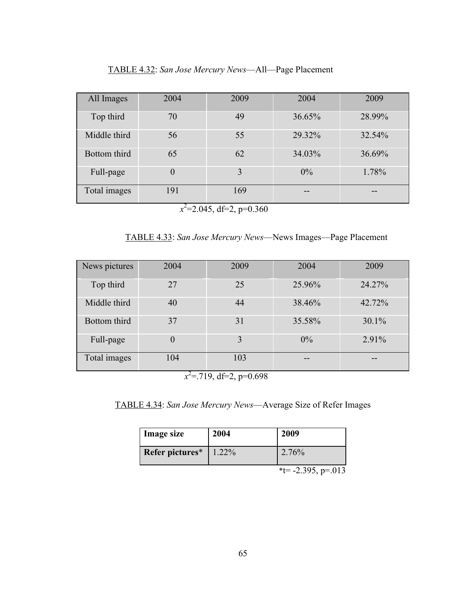| All Images   | 2004           | 2009 | 2004   | 2009   |
|--------------|----------------|------|--------|--------|
| Top third    | 70             | 49   | 36.65% | 28.99% |
| Middle third | 56             | 55   | 29.32% | 32.54% |
| Bottom third | 65             | 62   | 34.03% | 36.69% |
| Full-page    | $\overline{0}$ | 3    | $0\%$  | 1.78%  |
| Total images | 191            | 169  | --     |        |

 $x^2$ =2.045, df=2, p=0.360

TABLE 4.33: *San Jose Mercury News*—News Images—Page Placement

| News pictures | 2004     | 2009 | 2004   | 2009     |
|---------------|----------|------|--------|----------|
| Top third     | 27       | 25   | 25.96% | 24.27%   |
| Middle third  | 40       | 44   | 38.46% | 42.72%   |
| Bottom third  | 37       | 31   | 35.58% | $30.1\%$ |
| Full-page     | $\theta$ | 3    | $0\%$  | 2.91%    |
| Total images  | 104      | 103  | --     | --       |

 $x^2$ =.719, df=2, p=0.698

TABLE 4.34: *San Jose Mercury News*—Average Size of Refer Images

| <b>Image size</b> | 2004     | 2009                                                  |
|-------------------|----------|-------------------------------------------------------|
| Refer pictures*   | $1.22\%$ | 2.76%                                                 |
|                   |          | $*$ - $\frac{1}{205}$ $\frac{1}{205}$ $\frac{1}{205}$ |

 $\text{`t}$ = -2.395, p=.013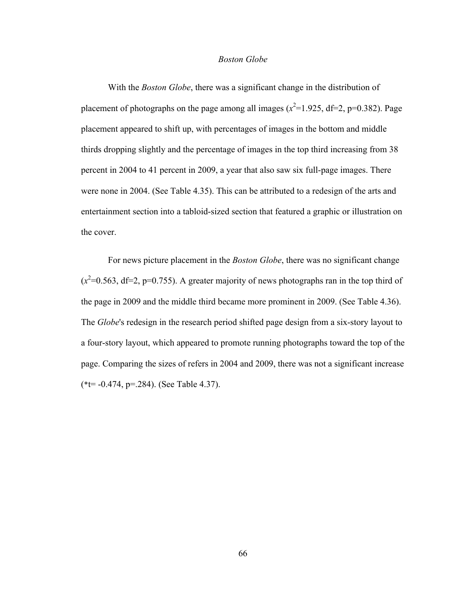### *Boston Globe*

With the *Boston Globe*, there was a significant change in the distribution of placement of photographs on the page among all images  $(x^2=1.925, df=2, p=0.382)$ . Page placement appeared to shift up, with percentages of images in the bottom and middle thirds dropping slightly and the percentage of images in the top third increasing from 38 percent in 2004 to 41 percent in 2009, a year that also saw six full-page images. There were none in 2004. (See Table 4.35). This can be attributed to a redesign of the arts and entertainment section into a tabloid-sized section that featured a graphic or illustration on the cover.

For news picture placement in the *Boston Globe*, there was no significant change  $(x^2=0.563, df=2, p=0.755)$ . A greater majority of news photographs ran in the top third of the page in 2009 and the middle third became more prominent in 2009. (See Table 4.36). The *Globe*'s redesign in the research period shifted page design from a six-story layout to a four-story layout, which appeared to promote running photographs toward the top of the page. Comparing the sizes of refers in 2004 and 2009, there was not a significant increase (\*t= -0.474, p=.284). (See Table 4.37).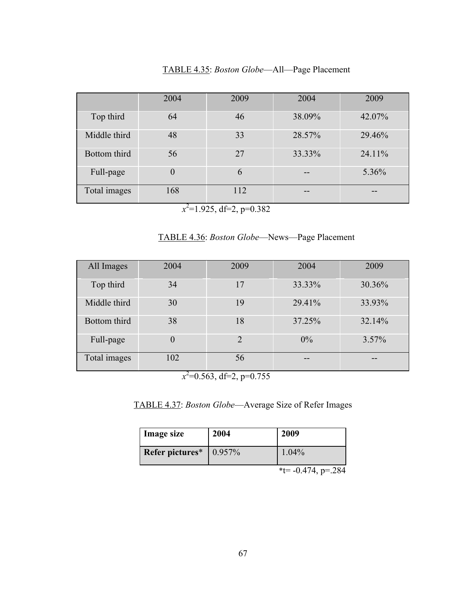|  |  |  |  | TABLE 4.35: Boston Globe-All-Page Placement |
|--|--|--|--|---------------------------------------------|
|  |  |  |  |                                             |

|              | 2004 | 2009 | 2004   | 2009   |
|--------------|------|------|--------|--------|
| Top third    | 64   | 46   | 38.09% | 42.07% |
| Middle third | 48   | 33   | 28.57% | 29.46% |
| Bottom third | 56   | 27   | 33.33% | 24.11% |
| Full-page    | 0    | 6    |        | 5.36%  |
| Total images | 168  | 112  | --     | --     |

 $x^2$ =1.925, df=2, p=0.382

TABLE 4.36: *Boston Globe*—News—Page Placement

| All Images   | 2004 | 2009                        | 2004   | 2009   |
|--------------|------|-----------------------------|--------|--------|
| Top third    | 34   | 17                          | 33.33% | 30.36% |
| Middle third | 30   | 19                          | 29.41% | 33.93% |
| Bottom third | 38   | 18                          | 37.25% | 32.14% |
| Full-page    | 0    | $\mathcal{D}_{\mathcal{A}}$ | $0\%$  | 3.57%  |
| Total images | 102  | 56                          | --     |        |

 $x^2$ =0.563, df=2, p=0.755

TABLE 4.37: *Boston Globe*—Average Size of Refer Images

| <b>Image size</b> | 2004       | 2009             |
|-------------------|------------|------------------|
| Refer pictures*   | $ 0.957\%$ | 1.04%            |
|                   |            | ** 0.474 $-0.01$ |

 $*t$ = -0.474, p=.284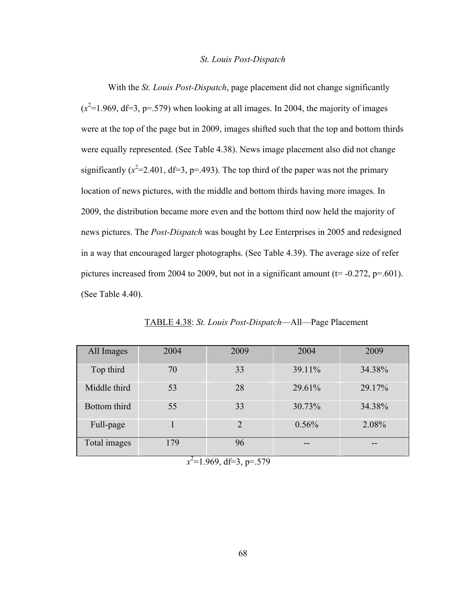### *St. Louis Post-Dispatch*

With the *St. Louis Post-Dispatch*, page placement did not change significantly  $(x^2=1.969, df=3, p=.579)$  when looking at all images. In 2004, the majority of images were at the top of the page but in 2009, images shifted such that the top and bottom thirds were equally represented. (See Table 4.38). News image placement also did not change significantly  $(x^2=2.401, df=3, p=.493)$ . The top third of the paper was not the primary location of news pictures, with the middle and bottom thirds having more images. In 2009, the distribution became more even and the bottom third now held the majority of news pictures. The *Post-Dispatch* was bought by Lee Enterprises in 2005 and redesigned in a way that encouraged larger photographs. (See Table 4.39). The average size of refer pictures increased from 2004 to 2009, but not in a significant amount ( $t = -0.272$ ,  $p = .601$ ). (See Table 4.40).

| All Images   | 2004           | 2009           | 2004   | 2009   |
|--------------|----------------|----------------|--------|--------|
| Top third    | 70             | 33             | 39.11% | 34.38% |
| Middle third | 53             | 28             | 29.61% | 29.17% |
| Bottom third | 55             | 33             | 30.73% | 34.38% |
| Full-page    |                | $\overline{2}$ | 0.56%  | 2.08%  |
| Total images | 179            | 96             | --     | --     |
|              | $\overline{ }$ |                |        |        |

TABLE 4.38: *St. Louis Post-Dispatch*—All—Page Placement

*x*  $2^2$ =1.969, df=3, p=.579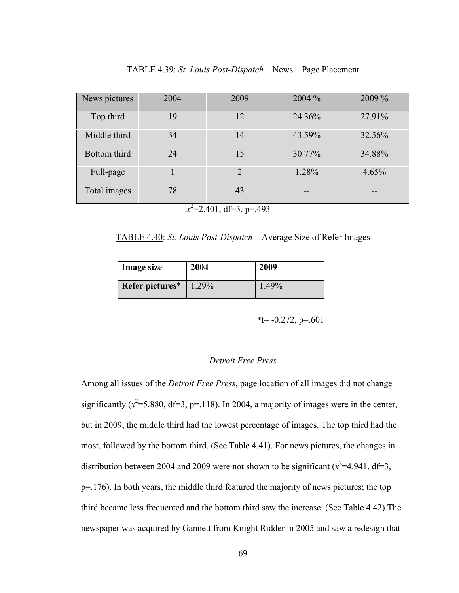News pictures 2004 2009 2009 2004 <sup>2004</sup> 2009 % Top third 19 12  $12$  24.36% 27.91% Middle third 34 14 43.59% 32.56%

Bottom third 24 15 30.77% 34.88%

Full-page 1 2 1.28% 4.65%

TABLE 4.39: *St. Louis Post-Dispatch*—News—Page Placement

 $x^2$ =2.401, df=3, p=.493

Total images 78 43

TABLE 4.40: *St. Louis Post-Dispatch*—Average Size of Refer Images

| Image size      | 2004  | 2009  |
|-----------------|-------|-------|
| Refer pictures* | 1.29% | 1.49% |

 $*t=-0.272$ , p=.601

### *Detroit Free Press*

Among all issues of the *Detroit Free Press*, page location of all images did not change significantly  $(x^2=5.880, df=3, p=.118)$ . In 2004, a majority of images were in the center, but in 2009, the middle third had the lowest percentage of images. The top third had the most, followed by the bottom third. (See Table 4.41). For news pictures, the changes in distribution between 2004 and 2009 were not shown to be significant  $(x^2=4.941, df=3,$ p=.176). In both years, the middle third featured the majority of news pictures; the top third became less frequented and the bottom third saw the increase. (See Table 4.42).The newspaper was acquired by Gannett from Knight Ridder in 2005 and saw a redesign that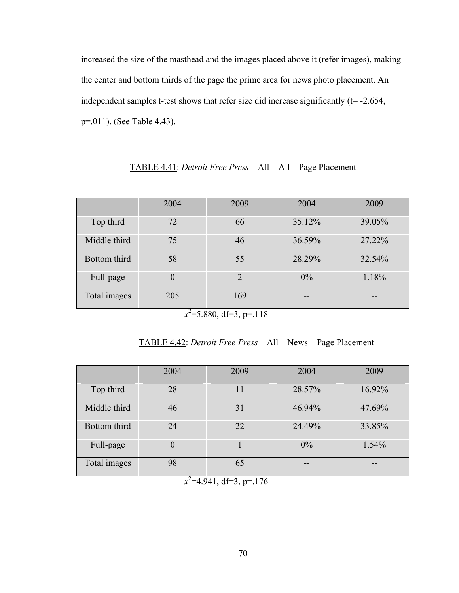increased the size of the masthead and the images placed above it (refer images), making the center and bottom thirds of the page the prime area for news photo placement. An independent samples t-test shows that refer size did increase significantly  $(t= -2.654)$ , p=.011). (See Table 4.43).

|              | 2004 | 2009           | 2004   | 2009   |
|--------------|------|----------------|--------|--------|
| Top third    | 72   | 66             | 35.12% | 39.05% |
| Middle third | 75   | 46             | 36.59% | 27.22% |
| Bottom third | 58   | 55             | 28.29% | 32.54% |
| Full-page    | 0    | $\overline{2}$ | $0\%$  | 1.18%  |
| Total images | 205  | 169            |        |        |

TABLE 4.41: *Detroit Free Press*—All—All—Page Placement

 $x^2$ =5.880, df=3, p=.118

TABLE 4.42: *Detroit Free Press*—All—News—Page Placement

|              | 2004 | 2009 | 2004   | 2009   |
|--------------|------|------|--------|--------|
| Top third    | 28   | 11   | 28.57% | 16.92% |
| Middle third | 46   | 31   | 46.94% | 47.69% |
| Bottom third | 24   | 22   | 24.49% | 33.85% |
| Full-page    | 0    |      | $0\%$  | 1.54%  |
| Total images | 98   | 65   | --     |        |

 $x^2$ =4.941, df=3, p=.176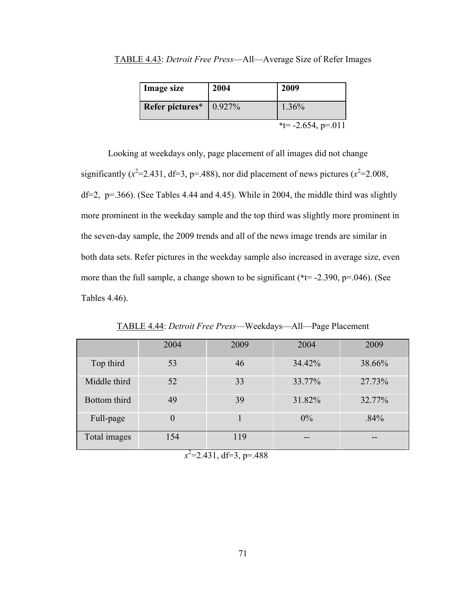| <b>TABLE 4.43:</b> Detroit Free Press-All-Average Size of Refer Images |  |  |  |
|------------------------------------------------------------------------|--|--|--|
|                                                                        |  |  |  |

| <b>Image size</b>           | 2004 | 2009                  |
|-----------------------------|------|-----------------------|
| Refer pictures $*$   0.927% |      | $1.36\%$              |
|                             |      | *t= $-2.654$ , p=.011 |

Looking at weekdays only, page placement of all images did not change significantly ( $x^2$ =2.431, df=3, p=.488), nor did placement of news pictures ( $x^2$ =2.008,  $df=2$ ,  $p=.366$ ). (See Tables 4.44 and 4.45). While in 2004, the middle third was slightly more prominent in the weekday sample and the top third was slightly more prominent in the seven-day sample, the 2009 trends and all of the news image trends are similar in both data sets. Refer pictures in the weekday sample also increased in average size, even more than the full sample, a change shown to be significant ( $*$ t= -2.390, p=.046). (See Tables 4.46).

|              | 2004 | 2009              | 2004   | 2009   |
|--------------|------|-------------------|--------|--------|
| Top third    | 53   | 46                | 34.42% | 38.66% |
| Middle third | 52   | 33                | 33.77% | 27.73% |
| Bottom third | 49   | 39                | 31.82% | 32.77% |
| Full-page    |      |                   | $0\%$  | .84%   |
| Total images | 154  | 119               |        |        |
|              |      | 2.01122<br>$\sim$ |        |        |

TABLE 4.44: *Detroit Free Press*—Weekdays—All—Page Placement

 $x^2$ =2.431, df=3, p=.488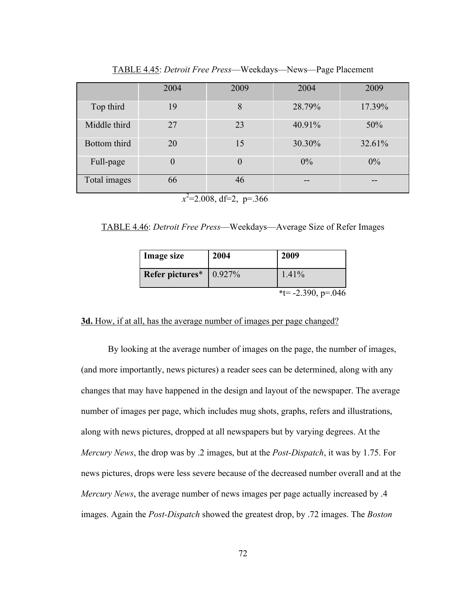|              | 2004                     | 2009           | 2004   | 2009   |
|--------------|--------------------------|----------------|--------|--------|
| Top third    | 19                       | 8              | 28.79% | 17.39% |
| Middle third | 27                       | 23             | 40.91% | 50%    |
| Bottom third | 20                       | 15             | 30.30% | 32.61% |
| Full-page    | $\overline{0}$           | $\overline{0}$ | $0\%$  | 0%     |
| Total images | 66                       | 46             | --     | --     |
|              | $\overline{\phantom{a}}$ |                |        |        |

TABLE 4.45: *Detroit Free Press*—Weekdays—News—Page Placement

 *x*  $\lambda^2$ =2.008, df=2, p=.366

TABLE 4.46: *Detroit Free Press*—Weekdays—Average Size of Refer Images

| <b>Image size</b>           | 2004 | 2009                        |
|-----------------------------|------|-----------------------------|
| Refer pictures $*$   0.927% |      | 1.41%                       |
|                             |      | $*t = -2.390$ , $p = 0.046$ |

## **3d.** How, if at all, has the average number of images per page changed?

By looking at the average number of images on the page, the number of images, (and more importantly, news pictures) a reader sees can be determined, along with any changes that may have happened in the design and layout of the newspaper. The average number of images per page, which includes mug shots, graphs, refers and illustrations, along with news pictures, dropped at all newspapers but by varying degrees. At the *Mercury News*, the drop was by .2 images, but at the *Post-Dispatch*, it was by 1.75. For news pictures, drops were less severe because of the decreased number overall and at the *Mercury News*, the average number of news images per page actually increased by .4 images. Again the *Post-Dispatch* showed the greatest drop, by .72 images. The *Boston*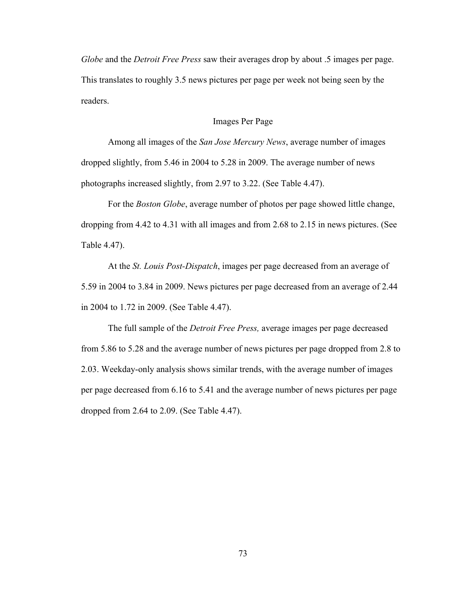*Globe* and the *Detroit Free Press* saw their averages drop by about .5 images per page. This translates to roughly 3.5 news pictures per page per week not being seen by the readers.

### Images Per Page

Among all images of the *San Jose Mercury News*, average number of images dropped slightly, from 5.46 in 2004 to 5.28 in 2009. The average number of news photographs increased slightly, from 2.97 to 3.22. (See Table 4.47).

For the *Boston Globe*, average number of photos per page showed little change, dropping from 4.42 to 4.31 with all images and from 2.68 to 2.15 in news pictures. (See Table 4.47).

At the *St. Louis Post-Dispatch*, images per page decreased from an average of 5.59 in 2004 to 3.84 in 2009. News pictures per page decreased from an average of 2.44 in 2004 to 1.72 in 2009. (See Table 4.47).

The full sample of the *Detroit Free Press,* average images per page decreased from 5.86 to 5.28 and the average number of news pictures per page dropped from 2.8 to 2.03. Weekday-only analysis shows similar trends, with the average number of images per page decreased from 6.16 to 5.41 and the average number of news pictures per page dropped from 2.64 to 2.09. (See Table 4.47).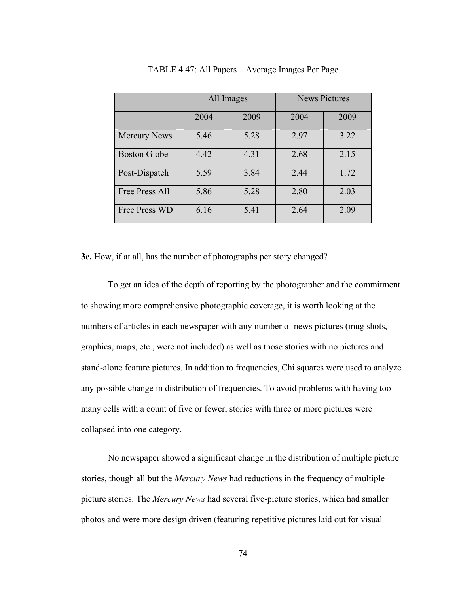|                     | All Images |      | <b>News Pictures</b> |      |
|---------------------|------------|------|----------------------|------|
|                     | 2004       | 2009 | 2004                 | 2009 |
| <b>Mercury News</b> | 5.46       | 5.28 | 2.97                 | 3.22 |
| <b>Boston Globe</b> | 4.42       | 4.31 | 2.68                 | 2.15 |
| Post-Dispatch       | 5.59       | 3.84 | 2.44                 | 1.72 |
| Free Press All      | 5.86       | 5.28 | 2.80                 | 2.03 |
| Free Press WD       | 6.16       | 5.41 | 2.64                 | 2.09 |

### TABLE 4.47: All Papers—Average Images Per Page

## **3e.** How, if at all, has the number of photographs per story changed?

To get an idea of the depth of reporting by the photographer and the commitment to showing more comprehensive photographic coverage, it is worth looking at the numbers of articles in each newspaper with any number of news pictures (mug shots, graphics, maps, etc., were not included) as well as those stories with no pictures and stand-alone feature pictures. In addition to frequencies, Chi squares were used to analyze any possible change in distribution of frequencies. To avoid problems with having too many cells with a count of five or fewer, stories with three or more pictures were collapsed into one category.

No newspaper showed a significant change in the distribution of multiple picture stories, though all but the *Mercury News* had reductions in the frequency of multiple picture stories. The *Mercury News* had several five-picture stories, which had smaller photos and were more design driven (featuring repetitive pictures laid out for visual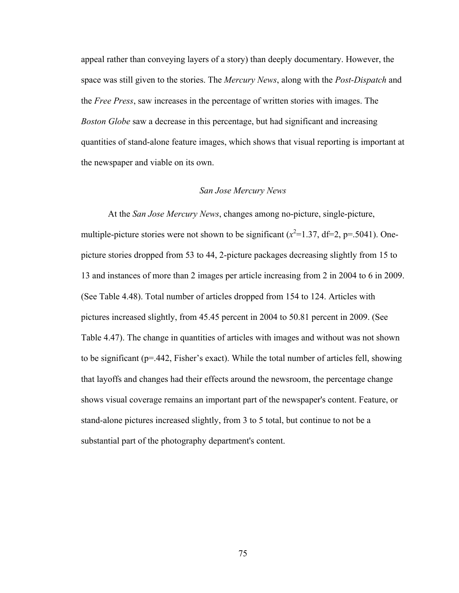appeal rather than conveying layers of a story) than deeply documentary. However, the space was still given to the stories. The *Mercury News*, along with the *Post-Dispatch* and the *Free Press*, saw increases in the percentage of written stories with images. The *Boston Globe* saw a decrease in this percentage, but had significant and increasing quantities of stand-alone feature images, which shows that visual reporting is important at the newspaper and viable on its own.

#### *San Jose Mercury News*

At the *San Jose Mercury News*, changes among no-picture, single-picture, multiple-picture stories were not shown to be significant  $(x^2=1.37, df=2, p=.5041)$ . Onepicture stories dropped from 53 to 44, 2-picture packages decreasing slightly from 15 to 13 and instances of more than 2 images per article increasing from 2 in 2004 to 6 in 2009. (See Table 4.48). Total number of articles dropped from 154 to 124. Articles with pictures increased slightly, from 45.45 percent in 2004 to 50.81 percent in 2009. (See Table 4.47). The change in quantities of articles with images and without was not shown to be significant (p=.442, Fisher's exact). While the total number of articles fell, showing that layoffs and changes had their effects around the newsroom, the percentage change shows visual coverage remains an important part of the newspaper's content. Feature, or stand-alone pictures increased slightly, from 3 to 5 total, but continue to not be a substantial part of the photography department's content.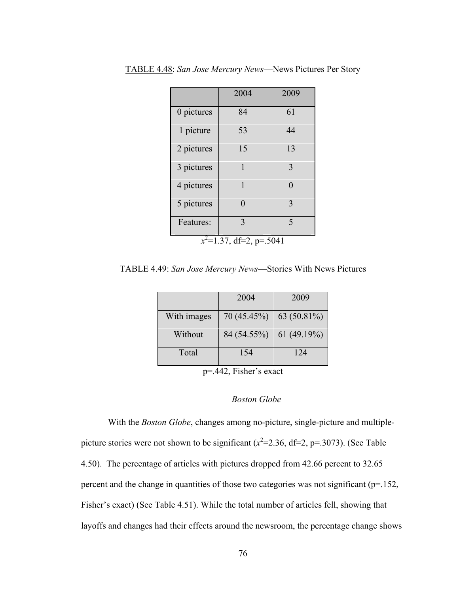|                            | 2004     | 2009        |  |  |
|----------------------------|----------|-------------|--|--|
| 0 pictures                 | 84       | 61          |  |  |
| 1 picture                  | 53       | 44          |  |  |
| 2 pictures                 | 15       | 13          |  |  |
| 3 pictures                 | 1        | 3           |  |  |
| 4 pictures                 | 1        | $\Omega$    |  |  |
| 5 pictures                 | $\Omega$ | 3           |  |  |
| Features:                  | 3        | $\varsigma$ |  |  |
| $x^2$ =1.37, df=2, p=.5041 |          |             |  |  |

TABLE 4.48: *San Jose Mercury News*—News Pictures Per Story

TABLE 4.49: *San Jose Mercury News*—Stories With News Pictures

|             | 2004        | 2009          |
|-------------|-------------|---------------|
|             |             |               |
|             |             |               |
| With images | 70 (45.45%) | $63(50.81\%)$ |
|             |             |               |
| Without     | 84 (54.55%) | 61(49.19%)    |
|             |             |               |
|             |             |               |
| Total       | 154         | 124           |
|             |             |               |
|             |             |               |

p=.442, Fisher's exact

## *Boston Globe*

With the *Boston Globe*, changes among no-picture, single-picture and multiplepicture stories were not shown to be significant  $(x^2=2.36, df=2, p=.3073)$ . (See Table 4.50). The percentage of articles with pictures dropped from 42.66 percent to 32.65 percent and the change in quantities of those two categories was not significant (p=.152, Fisher's exact) (See Table 4.51). While the total number of articles fell, showing that layoffs and changes had their effects around the newsroom, the percentage change shows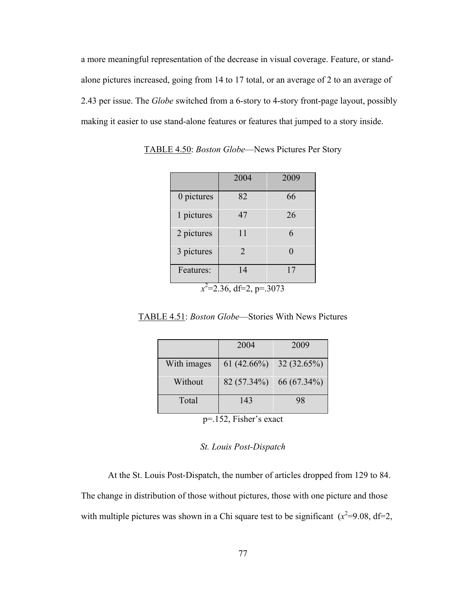a more meaningful representation of the decrease in visual coverage. Feature, or standalone pictures increased, going from 14 to 17 total, or an average of 2 to an average of 2.43 per issue. The *Globe* switched from a 6-story to 4-story front-page layout, possibly making it easier to use stand-alone features or features that jumped to a story inside.

|                            | 2004 | 2009 |
|----------------------------|------|------|
| 0 pictures                 | 82   | 66   |
| 1 pictures                 | 47   | 26   |
| 2 pictures                 | 11   | 6    |
| 3 pictures                 | 2    | 0    |
| Features:                  | 14   | 17   |
| $x^2$ =2.36, df=2, p=.3073 |      |      |

TABLE 4.50: *Boston Globe*—News Pictures Per Story

TABLE 4.51: *Boston Globe*—Stories With News Pictures

|             | 2004          | 2009        |
|-------------|---------------|-------------|
| With images | $61(42.66\%)$ | 32(32.65%)  |
| Without     | 82 (57.34%)   | 66 (67.34%) |
| Total       | 143           | 98          |

p=.152, Fisher's exact

## *St. Louis Post-Dispatch*

At the St. Louis Post-Dispatch, the number of articles dropped from 129 to 84. The change in distribution of those without pictures, those with one picture and those with multiple pictures was shown in a Chi square test to be significant  $(x^2=9.08, df=2,$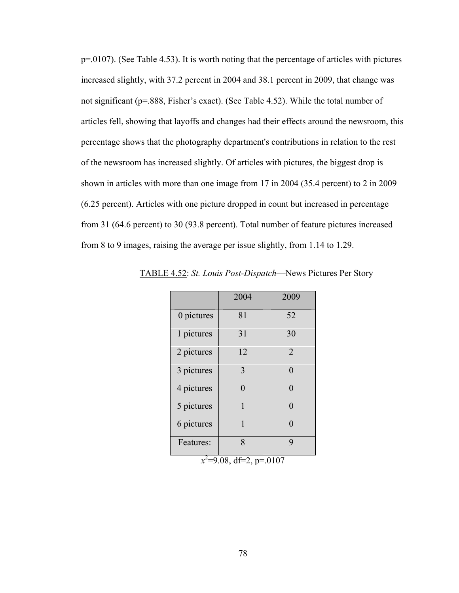p=.0107). (See Table 4.53). It is worth noting that the percentage of articles with pictures increased slightly, with 37.2 percent in 2004 and 38.1 percent in 2009, that change was not significant (p=.888, Fisher's exact). (See Table 4.52). While the total number of articles fell, showing that layoffs and changes had their effects around the newsroom, this percentage shows that the photography department's contributions in relation to the rest of the newsroom has increased slightly. Of articles with pictures, the biggest drop is shown in articles with more than one image from 17 in 2004 (35.4 percent) to 2 in 2009 (6.25 percent). Articles with one picture dropped in count but increased in percentage from 31 (64.6 percent) to 30 (93.8 percent). Total number of feature pictures increased from 8 to 9 images, raising the average per issue slightly, from 1.14 to 1.29.

|            | 2004     | 2009           |
|------------|----------|----------------|
| 0 pictures | 81       | 52             |
| 1 pictures | 31       | 30             |
| 2 pictures | 12       | $\overline{2}$ |
| 3 pictures | 3        | $\Omega$       |
| 4 pictures | $\Omega$ | $\Omega$       |
| 5 pictures | 1        | 0              |
| 6 pictures | 1        | 0              |
| Features:  | 8        | 9              |

TABLE 4.52: *St. Louis Post-Dispatch*—News Pictures Per Story

 $x^2$ =9.08, df=2, p=.0107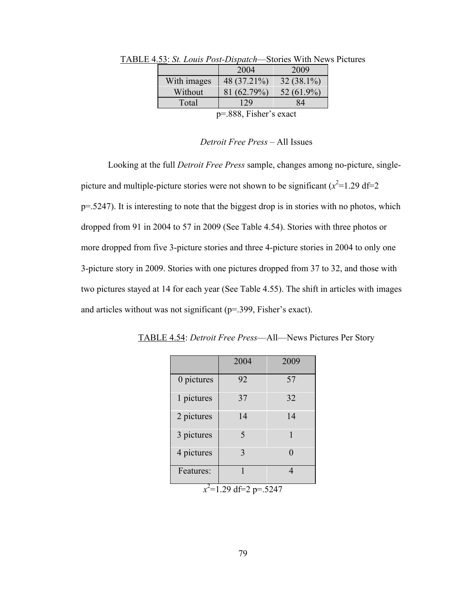|         | $\sim$ 4.99. St. Louis T ost-Disputen—Switch With INCW. |             |               |  |
|---------|---------------------------------------------------------|-------------|---------------|--|
|         |                                                         | 2004        | 2009          |  |
|         | With images                                             | 48 (37.21%) | $32(38.1\%)$  |  |
|         | Without                                                 | 81 (62.79%) | 52 $(61.9\%)$ |  |
|         | Total                                                   | 129         | 84            |  |
| 000 F 1 |                                                         |             |               |  |

TABLE 4.53: *St. Louis Post-Dispatch*—Stories With News Pictures

p=.888, Fisher's exact

### *Detroit Free Press* – All Issues

Looking at the full *Detroit Free Press* sample, changes among no-picture, singlepicture and multiple-picture stories were not shown to be significant  $(x^2=1.29 \text{ df}=2$ p=.5247). It is interesting to note that the biggest drop is in stories with no photos, which dropped from 91 in 2004 to 57 in 2009 (See Table 4.54). Stories with three photos or more dropped from five 3-picture stories and three 4-picture stories in 2004 to only one 3-picture story in 2009. Stories with one pictures dropped from 37 to 32, and those with two pictures stayed at 14 for each year (See Table 4.55). The shift in articles with images and articles without was not significant (p=.399, Fisher's exact).

|                          | 2004                     | 2009 |
|--------------------------|--------------------------|------|
| 0 pictures               | 92                       | 57   |
| 1 pictures               | 37                       | 32   |
| 2 pictures               | 14                       | 14   |
| 3 pictures               | $\overline{\mathcal{L}}$ | 1    |
| 4 pictures               | 3                        | 0    |
| Features:                | 1                        |      |
| $x^2$ =1.29 df=2 p=.5247 |                          |      |

TABLE 4.54: *Detroit Free Press*—All—News Pictures Per Story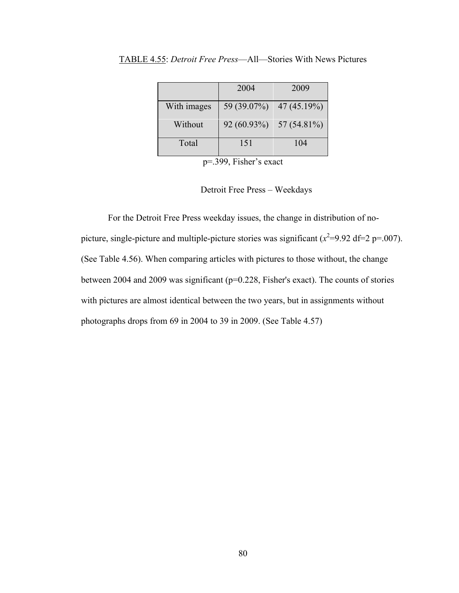|             | 2004        | 2009           |
|-------------|-------------|----------------|
| With images | 59 (39.07%) | 47(45.19%)     |
| Without     | 92 (60.93%) | 57 $(54.81\%)$ |
| Total       | 151         | 104            |

TABLE 4.55: *Detroit Free Press*—All—Stories With News Pictures

p=.399, Fisher's exact

Detroit Free Press – Weekdays

For the Detroit Free Press weekday issues, the change in distribution of nopicture, single-picture and multiple-picture stories was significant  $(x^2=9.92 \text{ df}=2 \text{ p} = .007)$ . (See Table 4.56). When comparing articles with pictures to those without, the change between 2004 and 2009 was significant (p=0.228, Fisher's exact). The counts of stories with pictures are almost identical between the two years, but in assignments without photographs drops from 69 in 2004 to 39 in 2009. (See Table 4.57)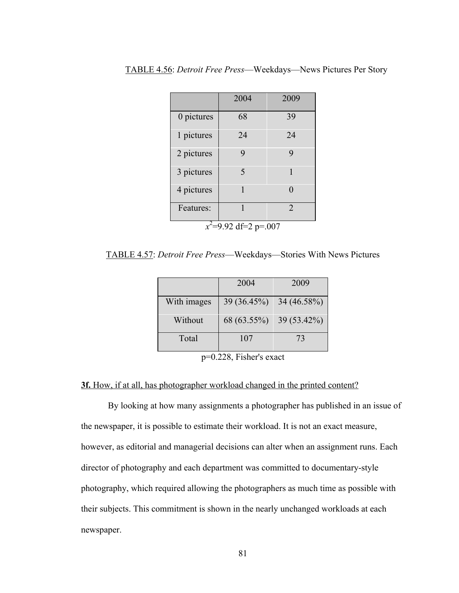|                         | 2004 | 2009           |
|-------------------------|------|----------------|
| 0 pictures              | 68   | 39             |
| 1 pictures              | 24   | 24             |
| 2 pictures              | 9    | 9              |
| 3 pictures              | 5    | 1              |
| 4 pictures              | 1    | 0              |
| Features:               | 1    | $\mathfrak{D}$ |
| $x^2$ =9.92 df=2 p=.007 |      |                |

TABLE 4.56: *Detroit Free Press*—Weekdays—News Pictures Per Story

TABLE 4.57: *Detroit Free Press*—Weekdays—Stories With News Pictures

|             | 2004        | 2009        |
|-------------|-------------|-------------|
| With images | 39 (36.45%) | 34 (46.58%) |
| Without     | 68 (63.55%) | 39 (53.42%) |
| Total       | 107         | 73          |

p=0.228, Fisher's exact

## **3f.** How, if at all, has photographer workload changed in the printed content?

By looking at how many assignments a photographer has published in an issue of the newspaper, it is possible to estimate their workload. It is not an exact measure, however, as editorial and managerial decisions can alter when an assignment runs. Each director of photography and each department was committed to documentary-style photography, which required allowing the photographers as much time as possible with their subjects. This commitment is shown in the nearly unchanged workloads at each newspaper.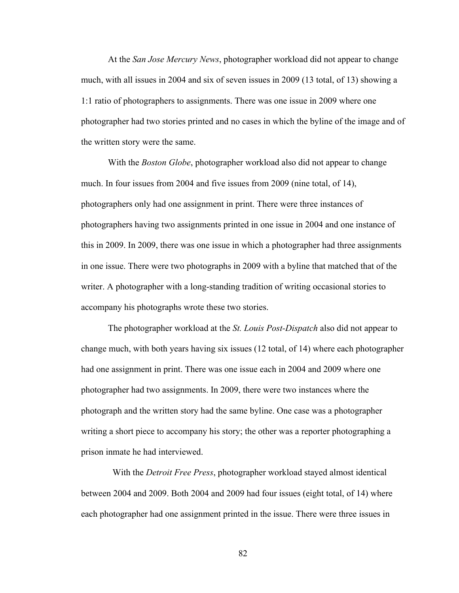At the *San Jose Mercury News*, photographer workload did not appear to change much, with all issues in 2004 and six of seven issues in 2009 (13 total, of 13) showing a 1:1 ratio of photographers to assignments. There was one issue in 2009 where one photographer had two stories printed and no cases in which the byline of the image and of the written story were the same.

With the *Boston Globe*, photographer workload also did not appear to change much. In four issues from 2004 and five issues from 2009 (nine total, of 14), photographers only had one assignment in print. There were three instances of photographers having two assignments printed in one issue in 2004 and one instance of this in 2009. In 2009, there was one issue in which a photographer had three assignments in one issue. There were two photographs in 2009 with a byline that matched that of the writer. A photographer with a long-standing tradition of writing occasional stories to accompany his photographs wrote these two stories.

The photographer workload at the *St. Louis Post-Dispatch* also did not appear to change much, with both years having six issues (12 total, of 14) where each photographer had one assignment in print. There was one issue each in 2004 and 2009 where one photographer had two assignments. In 2009, there were two instances where the photograph and the written story had the same byline. One case was a photographer writing a short piece to accompany his story; the other was a reporter photographing a prison inmate he had interviewed.

 With the *Detroit Free Press*, photographer workload stayed almost identical between 2004 and 2009. Both 2004 and 2009 had four issues (eight total, of 14) where each photographer had one assignment printed in the issue. There were three issues in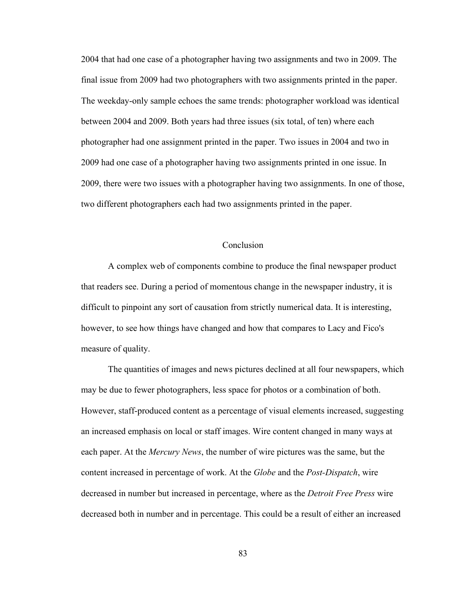2004 that had one case of a photographer having two assignments and two in 2009. The final issue from 2009 had two photographers with two assignments printed in the paper. The weekday-only sample echoes the same trends: photographer workload was identical between 2004 and 2009. Both years had three issues (six total, of ten) where each photographer had one assignment printed in the paper. Two issues in 2004 and two in 2009 had one case of a photographer having two assignments printed in one issue. In 2009, there were two issues with a photographer having two assignments. In one of those, two different photographers each had two assignments printed in the paper.

### Conclusion

A complex web of components combine to produce the final newspaper product that readers see. During a period of momentous change in the newspaper industry, it is difficult to pinpoint any sort of causation from strictly numerical data. It is interesting, however, to see how things have changed and how that compares to Lacy and Fico's measure of quality.

The quantities of images and news pictures declined at all four newspapers, which may be due to fewer photographers, less space for photos or a combination of both. However, staff-produced content as a percentage of visual elements increased, suggesting an increased emphasis on local or staff images. Wire content changed in many ways at each paper. At the *Mercury News*, the number of wire pictures was the same, but the content increased in percentage of work. At the *Globe* and the *Post-Dispatch*, wire decreased in number but increased in percentage, where as the *Detroit Free Press* wire decreased both in number and in percentage. This could be a result of either an increased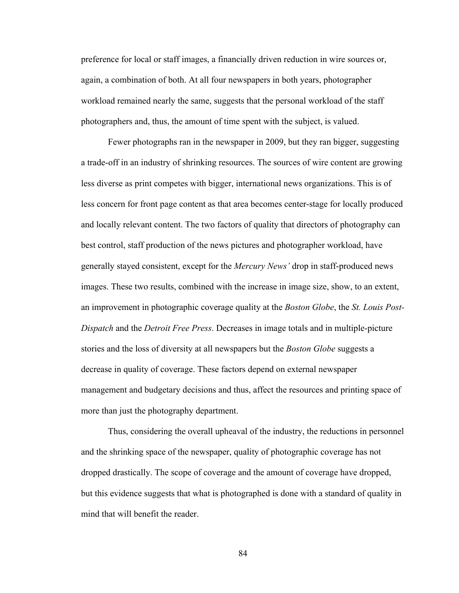preference for local or staff images, a financially driven reduction in wire sources or, again, a combination of both. At all four newspapers in both years, photographer workload remained nearly the same, suggests that the personal workload of the staff photographers and, thus, the amount of time spent with the subject, is valued.

Fewer photographs ran in the newspaper in 2009, but they ran bigger, suggesting a trade-off in an industry of shrinking resources. The sources of wire content are growing less diverse as print competes with bigger, international news organizations. This is of less concern for front page content as that area becomes center-stage for locally produced and locally relevant content. The two factors of quality that directors of photography can best control, staff production of the news pictures and photographer workload, have generally stayed consistent, except for the *Mercury News'* drop in staff-produced news images. These two results, combined with the increase in image size, show, to an extent, an improvement in photographic coverage quality at the *Boston Globe*, the *St. Louis Post-Dispatch* and the *Detroit Free Press*. Decreases in image totals and in multiple-picture stories and the loss of diversity at all newspapers but the *Boston Globe* suggests a decrease in quality of coverage. These factors depend on external newspaper management and budgetary decisions and thus, affect the resources and printing space of more than just the photography department.

Thus, considering the overall upheaval of the industry, the reductions in personnel and the shrinking space of the newspaper, quality of photographic coverage has not dropped drastically. The scope of coverage and the amount of coverage have dropped, but this evidence suggests that what is photographed is done with a standard of quality in mind that will benefit the reader.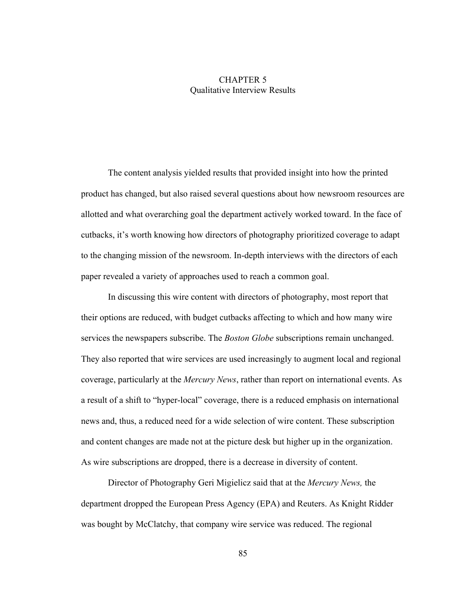# CHAPTER 5 Qualitative Interview Results

The content analysis yielded results that provided insight into how the printed product has changed, but also raised several questions about how newsroom resources are allotted and what overarching goal the department actively worked toward. In the face of cutbacks, it's worth knowing how directors of photography prioritized coverage to adapt to the changing mission of the newsroom. In-depth interviews with the directors of each paper revealed a variety of approaches used to reach a common goal.

In discussing this wire content with directors of photography, most report that their options are reduced, with budget cutbacks affecting to which and how many wire services the newspapers subscribe. The *Boston Globe* subscriptions remain unchanged. They also reported that wire services are used increasingly to augment local and regional coverage, particularly at the *Mercury News*, rather than report on international events. As a result of a shift to "hyper-local" coverage, there is a reduced emphasis on international news and, thus, a reduced need for a wide selection of wire content. These subscription and content changes are made not at the picture desk but higher up in the organization. As wire subscriptions are dropped, there is a decrease in diversity of content.

Director of Photography Geri Migielicz said that at the *Mercury News,* the department dropped the European Press Agency (EPA) and Reuters. As Knight Ridder was bought by McClatchy, that company wire service was reduced. The regional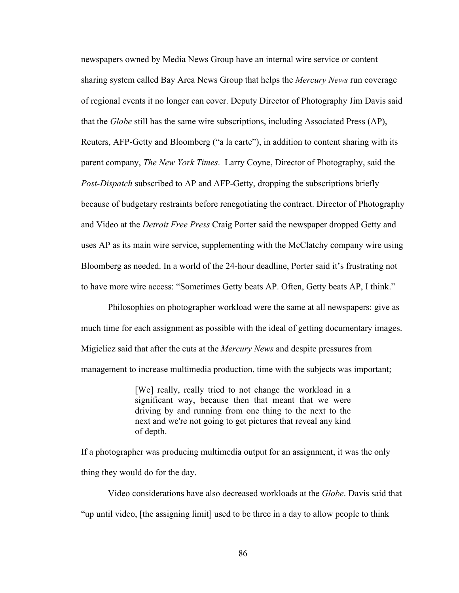newspapers owned by Media News Group have an internal wire service or content sharing system called Bay Area News Group that helps the *Mercury News* run coverage of regional events it no longer can cover. Deputy Director of Photography Jim Davis said that the *Globe* still has the same wire subscriptions, including Associated Press (AP), Reuters, AFP-Getty and Bloomberg ("a la carte"), in addition to content sharing with its parent company, *The New York Times*. Larry Coyne, Director of Photography, said the *Post-Dispatch* subscribed to AP and AFP-Getty, dropping the subscriptions briefly because of budgetary restraints before renegotiating the contract. Director of Photography and Video at the *Detroit Free Press* Craig Porter said the newspaper dropped Getty and uses AP as its main wire service, supplementing with the McClatchy company wire using Bloomberg as needed. In a world of the 24-hour deadline, Porter said it's frustrating not to have more wire access: "Sometimes Getty beats AP. Often, Getty beats AP, I think."

Philosophies on photographer workload were the same at all newspapers: give as much time for each assignment as possible with the ideal of getting documentary images. Migielicz said that after the cuts at the *Mercury News* and despite pressures from management to increase multimedia production, time with the subjects was important;

> [We] really, really tried to not change the workload in a significant way, because then that meant that we were driving by and running from one thing to the next to the next and we're not going to get pictures that reveal any kind of depth.

If a photographer was producing multimedia output for an assignment, it was the only thing they would do for the day.

Video considerations have also decreased workloads at the *Globe*. Davis said that "up until video, [the assigning limit] used to be three in a day to allow people to think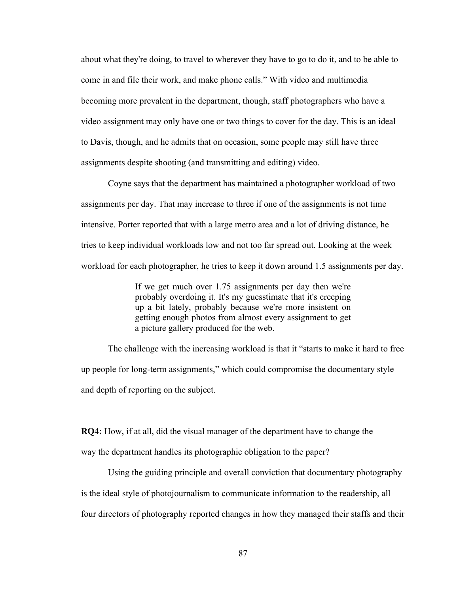about what they're doing, to travel to wherever they have to go to do it, and to be able to come in and file their work, and make phone calls." With video and multimedia becoming more prevalent in the department, though, staff photographers who have a video assignment may only have one or two things to cover for the day. This is an ideal to Davis, though, and he admits that on occasion, some people may still have three assignments despite shooting (and transmitting and editing) video.

Coyne says that the department has maintained a photographer workload of two assignments per day. That may increase to three if one of the assignments is not time intensive. Porter reported that with a large metro area and a lot of driving distance, he tries to keep individual workloads low and not too far spread out. Looking at the week workload for each photographer, he tries to keep it down around 1.5 assignments per day.

> If we get much over 1.75 assignments per day then we're probably overdoing it. It's my guesstimate that it's creeping up a bit lately, probably because we're more insistent on getting enough photos from almost every assignment to get a picture gallery produced for the web.

The challenge with the increasing workload is that it "starts to make it hard to free up people for long-term assignments," which could compromise the documentary style and depth of reporting on the subject.

**RQ4:** How, if at all, did the visual manager of the department have to change the way the department handles its photographic obligation to the paper?

Using the guiding principle and overall conviction that documentary photography is the ideal style of photojournalism to communicate information to the readership, all four directors of photography reported changes in how they managed their staffs and their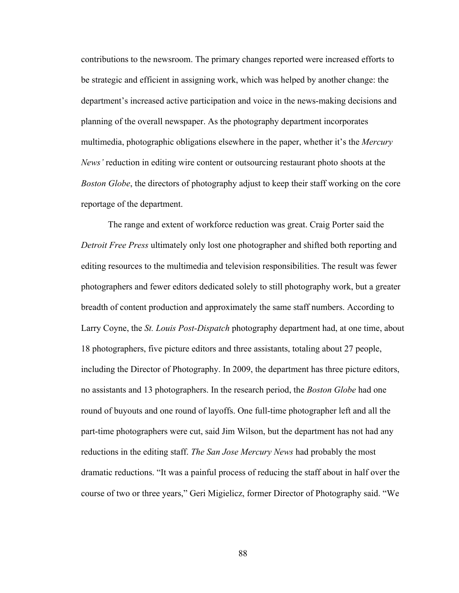contributions to the newsroom. The primary changes reported were increased efforts to be strategic and efficient in assigning work, which was helped by another change: the department's increased active participation and voice in the news-making decisions and planning of the overall newspaper. As the photography department incorporates multimedia, photographic obligations elsewhere in the paper, whether it's the *Mercury News'* reduction in editing wire content or outsourcing restaurant photo shoots at the *Boston Globe*, the directors of photography adjust to keep their staff working on the core reportage of the department.

The range and extent of workforce reduction was great. Craig Porter said the *Detroit Free Press* ultimately only lost one photographer and shifted both reporting and editing resources to the multimedia and television responsibilities. The result was fewer photographers and fewer editors dedicated solely to still photography work, but a greater breadth of content production and approximately the same staff numbers. According to Larry Coyne, the *St. Louis Post-Dispatch* photography department had, at one time, about 18 photographers, five picture editors and three assistants, totaling about 27 people, including the Director of Photography. In 2009, the department has three picture editors, no assistants and 13 photographers. In the research period, the *Boston Globe* had one round of buyouts and one round of layoffs. One full-time photographer left and all the part-time photographers were cut, said Jim Wilson, but the department has not had any reductions in the editing staff. *The San Jose Mercury News* had probably the most dramatic reductions. "It was a painful process of reducing the staff about in half over the course of two or three years," Geri Migielicz, former Director of Photography said. "We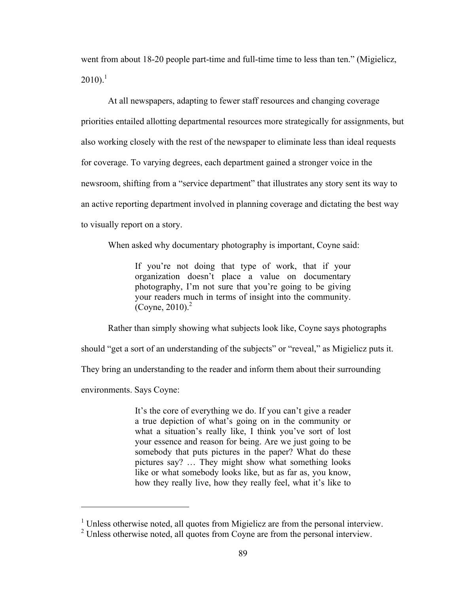went from about 18-20 people part-time and full-time time to less than ten." (Migielicz,  $2010$ ).<sup>1</sup>

At all newspapers, adapting to fewer staff resources and changing coverage priorities entailed allotting departmental resources more strategically for assignments, but also working closely with the rest of the newspaper to eliminate less than ideal requests for coverage. To varying degrees, each department gained a stronger voice in the newsroom, shifting from a "service department" that illustrates any story sent its way to an active reporting department involved in planning coverage and dictating the best way to visually report on a story.

When asked why documentary photography is important, Coyne said:

If you're not doing that type of work, that if your organization doesn't place a value on documentary photography, I'm not sure that you're going to be giving your readers much in terms of insight into the community. (Coyne,  $2010$ ). $^{2}$ 

Rather than simply showing what subjects look like, Coyne says photographs

should "get a sort of an understanding of the subjects" or "reveal," as Migielicz puts it.

They bring an understanding to the reader and inform them about their surrounding

environments. Says Coyne:

!!!!!!!!!!!!!!!!!!!!!!!!!!!!!!!!!!!!!!!!!!!!!!!!!!!!!!!

It's the core of everything we do. If you can't give a reader a true depiction of what's going on in the community or what a situation's really like, I think you've sort of lost your essence and reason for being. Are we just going to be somebody that puts pictures in the paper? What do these pictures say? … They might show what something looks like or what somebody looks like, but as far as, you know, how they really live, how they really feel, what it's like to

<sup>&</sup>lt;sup>1</sup> Unless otherwise noted, all quotes from Migielicz are from the personal interview.

 $2^2$  Unless otherwise noted, all quotes from Coyne are from the personal interview.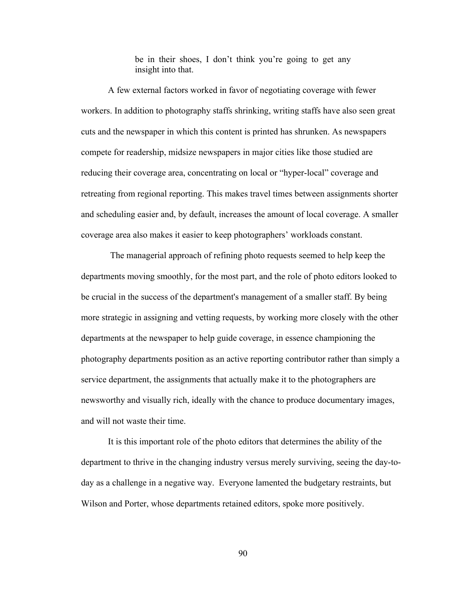be in their shoes, I don't think you're going to get any insight into that.

A few external factors worked in favor of negotiating coverage with fewer workers. In addition to photography staffs shrinking, writing staffs have also seen great cuts and the newspaper in which this content is printed has shrunken. As newspapers compete for readership, midsize newspapers in major cities like those studied are reducing their coverage area, concentrating on local or "hyper-local" coverage and retreating from regional reporting. This makes travel times between assignments shorter and scheduling easier and, by default, increases the amount of local coverage. A smaller coverage area also makes it easier to keep photographers' workloads constant.

 The managerial approach of refining photo requests seemed to help keep the departments moving smoothly, for the most part, and the role of photo editors looked to be crucial in the success of the department's management of a smaller staff. By being more strategic in assigning and vetting requests, by working more closely with the other departments at the newspaper to help guide coverage, in essence championing the photography departments position as an active reporting contributor rather than simply a service department, the assignments that actually make it to the photographers are newsworthy and visually rich, ideally with the chance to produce documentary images, and will not waste their time.

It is this important role of the photo editors that determines the ability of the department to thrive in the changing industry versus merely surviving, seeing the day-today as a challenge in a negative way. Everyone lamented the budgetary restraints, but Wilson and Porter, whose departments retained editors, spoke more positively.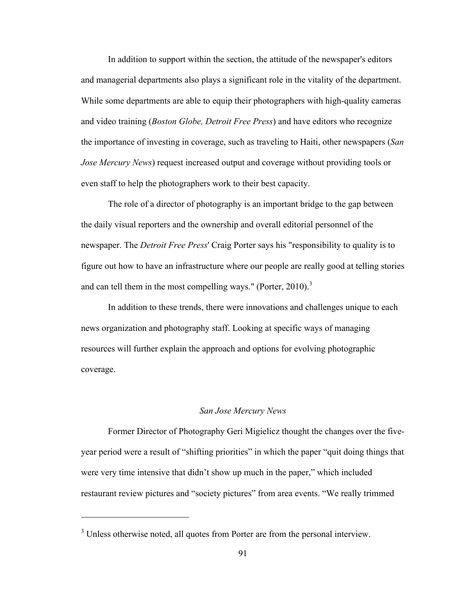In addition to support within the section, the attitude of the newspaper's editors and managerial departments also plays a significant role in the vitality of the department. While some departments are able to equip their photographers with high-quality cameras and video training (*Boston Globe, Detroit Free Press*) and have editors who recognize the importance of investing in coverage, such as traveling to Haiti, other newspapers (*San Jose Mercury News*) request increased output and coverage without providing tools or even staff to help the photographers work to their best capacity.

The role of a director of photography is an important bridge to the gap between the daily visual reporters and the ownership and overall editorial personnel of the newspaper. The *Detroit Free Press*' Craig Porter says his "responsibility to quality is to figure out how to have an infrastructure where our people are really good at telling stories and can tell them in the most compelling ways." (Porter, 2010).<sup>3</sup>

In addition to these trends, there were innovations and challenges unique to each news organization and photography staff. Looking at specific ways of managing resources will further explain the approach and options for evolving photographic coverage.

## *San Jose Mercury News*

Former Director of Photography Geri Migielicz thought the changes over the fiveyear period were a result of "shifting priorities" in which the paper "quit doing things that were very time intensive that didn't show up much in the paper," which included restaurant review pictures and "society pictures" from area events. "We really trimmed

!!!!!!!!!!!!!!!!!!!!!!!!!!!!!!!!!!!!!!!!!!!!!!!!!!!!!!!

 $3$  Unless otherwise noted, all quotes from Porter are from the personal interview.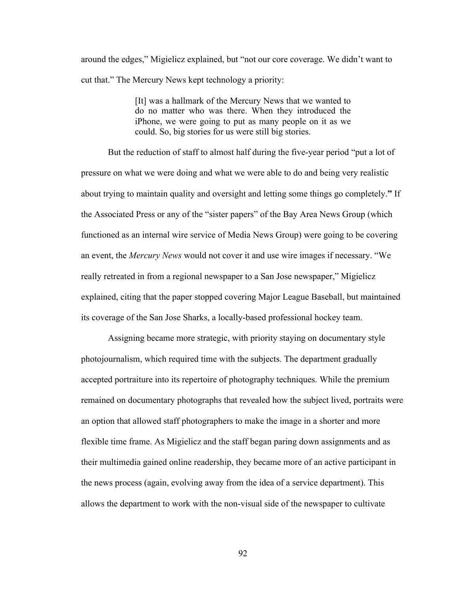around the edges," Migielicz explained, but "not our core coverage. We didn't want to cut that." The Mercury News kept technology a priority:

> [It] was a hallmark of the Mercury News that we wanted to do no matter who was there. When they introduced the iPhone, we were going to put as many people on it as we could. So, big stories for us were still big stories.

But the reduction of staff to almost half during the five-year period "put a lot of pressure on what we were doing and what we were able to do and being very realistic about trying to maintain quality and oversight and letting some things go completely.**"** If the Associated Press or any of the "sister papers" of the Bay Area News Group (which functioned as an internal wire service of Media News Group) were going to be covering an event, the *Mercury News* would not cover it and use wire images if necessary. "We really retreated in from a regional newspaper to a San Jose newspaper," Migielicz explained, citing that the paper stopped covering Major League Baseball, but maintained its coverage of the San Jose Sharks, a locally-based professional hockey team.

Assigning became more strategic, with priority staying on documentary style photojournalism, which required time with the subjects. The department gradually accepted portraiture into its repertoire of photography techniques. While the premium remained on documentary photographs that revealed how the subject lived, portraits were an option that allowed staff photographers to make the image in a shorter and more flexible time frame. As Migielicz and the staff began paring down assignments and as their multimedia gained online readership, they became more of an active participant in the news process (again, evolving away from the idea of a service department). This allows the department to work with the non-visual side of the newspaper to cultivate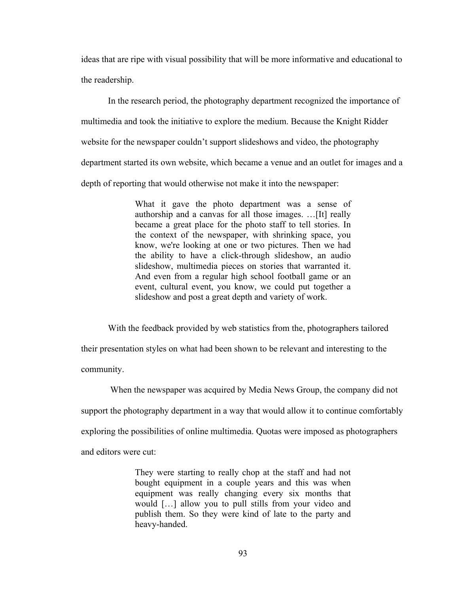ideas that are ripe with visual possibility that will be more informative and educational to the readership.

In the research period, the photography department recognized the importance of multimedia and took the initiative to explore the medium. Because the Knight Ridder website for the newspaper couldn't support slideshows and video, the photography department started its own website, which became a venue and an outlet for images and a depth of reporting that would otherwise not make it into the newspaper:

> What it gave the photo department was a sense of authorship and a canvas for all those images. …[It] really became a great place for the photo staff to tell stories. In the context of the newspaper, with shrinking space, you know, we're looking at one or two pictures. Then we had the ability to have a click-through slideshow, an audio slideshow, multimedia pieces on stories that warranted it. And even from a regular high school football game or an event, cultural event, you know, we could put together a slideshow and post a great depth and variety of work.

With the feedback provided by web statistics from the, photographers tailored their presentation styles on what had been shown to be relevant and interesting to the community.

 When the newspaper was acquired by Media News Group, the company did not support the photography department in a way that would allow it to continue comfortably exploring the possibilities of online multimedia. Quotas were imposed as photographers and editors were cut:

> They were starting to really chop at the staff and had not bought equipment in a couple years and this was when equipment was really changing every six months that would […] allow you to pull stills from your video and publish them. So they were kind of late to the party and heavy-handed.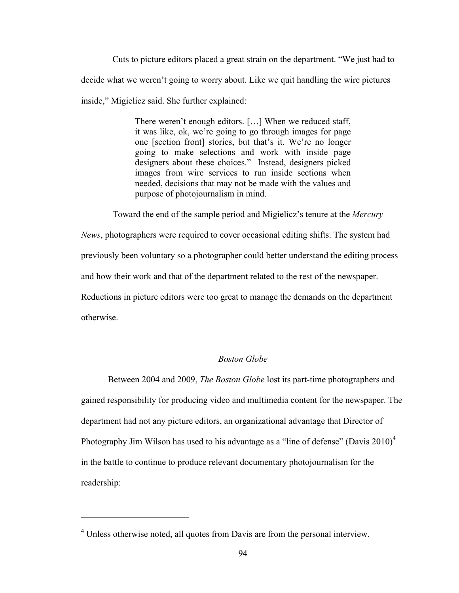Cuts to picture editors placed a great strain on the department. "We just had to decide what we weren't going to worry about. Like we quit handling the wire pictures inside," Migielicz said. She further explained:

> There weren't enough editors. […] When we reduced staff, it was like, ok, we're going to go through images for page one [section front] stories, but that's it. We're no longer going to make selections and work with inside page designers about these choices." Instead, designers picked images from wire services to run inside sections when needed, decisions that may not be made with the values and purpose of photojournalism in mind.

Toward the end of the sample period and Migielicz's tenure at the *Mercury* 

*News*, photographers were required to cover occasional editing shifts. The system had previously been voluntary so a photographer could better understand the editing process and how their work and that of the department related to the rest of the newspaper. Reductions in picture editors were too great to manage the demands on the department otherwise.

## *Boston Globe*

Between 2004 and 2009, *The Boston Globe* lost its part-time photographers and gained responsibility for producing video and multimedia content for the newspaper. The department had not any picture editors, an organizational advantage that Director of Photography Jim Wilson has used to his advantage as a "line of defense" (Davis  $2010<sup>4</sup>$ in the battle to continue to produce relevant documentary photojournalism for the readership:

!!!!!!!!!!!!!!!!!!!!!!!!!!!!!!!!!!!!!!!!!!!!!!!!!!!!!!!

<sup>&</sup>lt;sup>4</sup> Unless otherwise noted, all quotes from Davis are from the personal interview.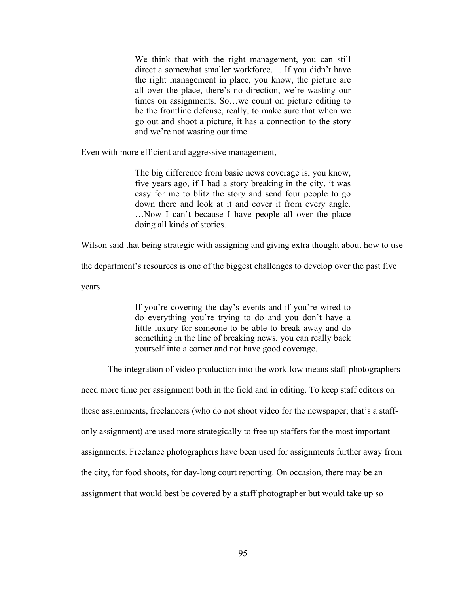We think that with the right management, you can still direct a somewhat smaller workforce. …If you didn't have the right management in place, you know, the picture are all over the place, there's no direction, we're wasting our times on assignments. So…we count on picture editing to be the frontline defense, really, to make sure that when we go out and shoot a picture, it has a connection to the story and we're not wasting our time.

Even with more efficient and aggressive management,

The big difference from basic news coverage is, you know, five years ago, if I had a story breaking in the city, it was easy for me to blitz the story and send four people to go down there and look at it and cover it from every angle. …Now I can't because I have people all over the place doing all kinds of stories.

Wilson said that being strategic with assigning and giving extra thought about how to use

the department's resources is one of the biggest challenges to develop over the past five

years.

If you're covering the day's events and if you're wired to do everything you're trying to do and you don't have a little luxury for someone to be able to break away and do something in the line of breaking news, you can really back yourself into a corner and not have good coverage.

The integration of video production into the workflow means staff photographers

need more time per assignment both in the field and in editing. To keep staff editors on

these assignments, freelancers (who do not shoot video for the newspaper; that's a staff-

only assignment) are used more strategically to free up staffers for the most important

assignments. Freelance photographers have been used for assignments further away from

the city, for food shoots, for day-long court reporting. On occasion, there may be an

assignment that would best be covered by a staff photographer but would take up so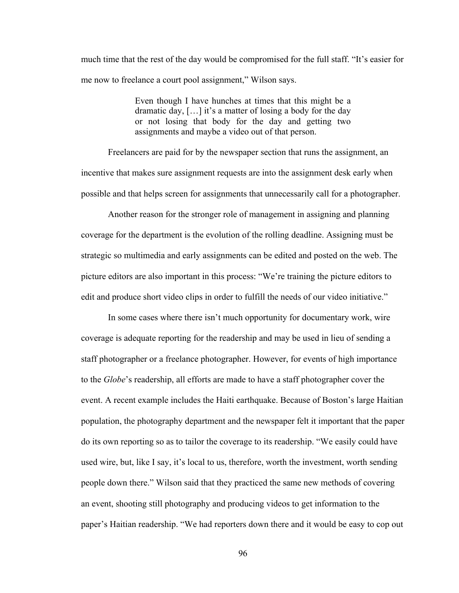much time that the rest of the day would be compromised for the full staff. "It's easier for me now to freelance a court pool assignment," Wilson says.

> Even though I have hunches at times that this might be a dramatic day, […] it's a matter of losing a body for the day or not losing that body for the day and getting two assignments and maybe a video out of that person.

Freelancers are paid for by the newspaper section that runs the assignment, an incentive that makes sure assignment requests are into the assignment desk early when possible and that helps screen for assignments that unnecessarily call for a photographer.

Another reason for the stronger role of management in assigning and planning coverage for the department is the evolution of the rolling deadline. Assigning must be strategic so multimedia and early assignments can be edited and posted on the web. The picture editors are also important in this process: "We're training the picture editors to edit and produce short video clips in order to fulfill the needs of our video initiative."

In some cases where there isn't much opportunity for documentary work, wire coverage is adequate reporting for the readership and may be used in lieu of sending a staff photographer or a freelance photographer. However, for events of high importance to the *Globe*'s readership, all efforts are made to have a staff photographer cover the event. A recent example includes the Haiti earthquake. Because of Boston's large Haitian population, the photography department and the newspaper felt it important that the paper do its own reporting so as to tailor the coverage to its readership. "We easily could have used wire, but, like I say, it's local to us, therefore, worth the investment, worth sending people down there." Wilson said that they practiced the same new methods of covering an event, shooting still photography and producing videos to get information to the paper's Haitian readership. "We had reporters down there and it would be easy to cop out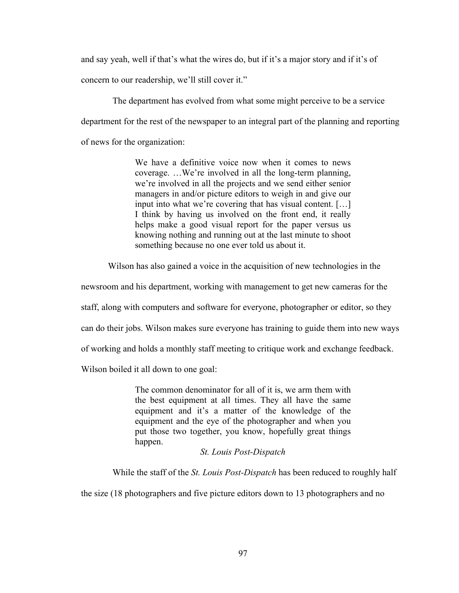and say yeah, well if that's what the wires do, but if it's a major story and if it's of

concern to our readership, we'll still cover it."

 The department has evolved from what some might perceive to be a service department for the rest of the newspaper to an integral part of the planning and reporting of news for the organization:

> We have a definitive voice now when it comes to news coverage. …We're involved in all the long-term planning, we're involved in all the projects and we send either senior managers in and/or picture editors to weigh in and give our input into what we're covering that has visual content. […] I think by having us involved on the front end, it really helps make a good visual report for the paper versus us knowing nothing and running out at the last minute to shoot something because no one ever told us about it.

Wilson has also gained a voice in the acquisition of new technologies in the

newsroom and his department, working with management to get new cameras for the

staff, along with computers and software for everyone, photographer or editor, so they

can do their jobs. Wilson makes sure everyone has training to guide them into new ways

of working and holds a monthly staff meeting to critique work and exchange feedback.

Wilson boiled it all down to one goal:

The common denominator for all of it is, we arm them with the best equipment at all times. They all have the same equipment and it's a matter of the knowledge of the equipment and the eye of the photographer and when you put those two together, you know, hopefully great things happen.

*St. Louis Post-Dispatch*

While the staff of the *St. Louis Post-Dispatch* has been reduced to roughly half

the size (18 photographers and five picture editors down to 13 photographers and no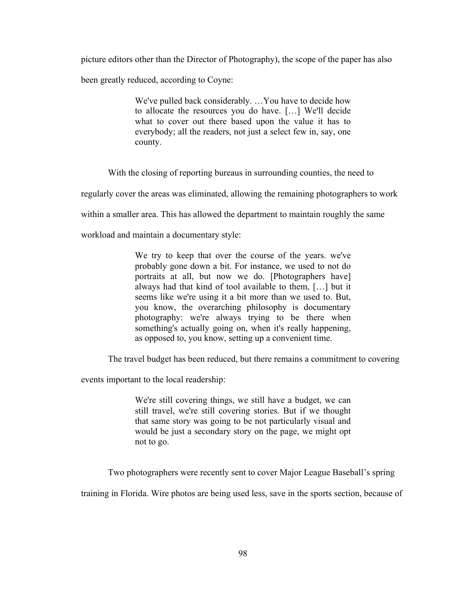picture editors other than the Director of Photography), the scope of the paper has also been greatly reduced, according to Coyne:

> We've pulled back considerably. …You have to decide how to allocate the resources you do have. […] We'll decide what to cover out there based upon the value it has to everybody; all the readers, not just a select few in, say, one county.

With the closing of reporting bureaus in surrounding counties, the need to

regularly cover the areas was eliminated, allowing the remaining photographers to work

within a smaller area. This has allowed the department to maintain roughly the same

workload and maintain a documentary style:

We try to keep that over the course of the years. we've probably gone down a bit. For instance, we used to not do portraits at all, but now we do. [Photographers have] always had that kind of tool available to them, […] but it seems like we're using it a bit more than we used to. But, you know, the overarching philosophy is documentary photography: we're always trying to be there when something's actually going on, when it's really happening, as opposed to, you know, setting up a convenient time.

The travel budget has been reduced, but there remains a commitment to covering

events important to the local readership:

We're still covering things, we still have a budget, we can still travel, we're still covering stories. But if we thought that same story was going to be not particularly visual and would be just a secondary story on the page, we might opt not to go.

Two photographers were recently sent to cover Major League Baseball's spring

training in Florida. Wire photos are being used less, save in the sports section, because of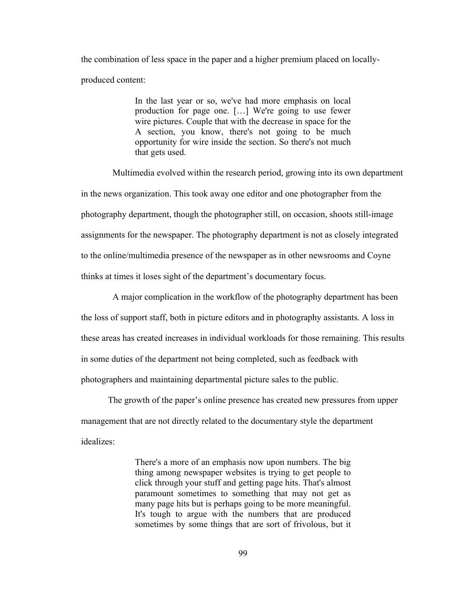the combination of less space in the paper and a higher premium placed on locallyproduced content:

> In the last year or so, we've had more emphasis on local production for page one. […] We're going to use fewer wire pictures. Couple that with the decrease in space for the A section, you know, there's not going to be much opportunity for wire inside the section. So there's not much that gets used.

 Multimedia evolved within the research period, growing into its own department in the news organization. This took away one editor and one photographer from the photography department, though the photographer still, on occasion, shoots still-image assignments for the newspaper. The photography department is not as closely integrated to the online/multimedia presence of the newspaper as in other newsrooms and Coyne thinks at times it loses sight of the department's documentary focus.

 A major complication in the workflow of the photography department has been the loss of support staff, both in picture editors and in photography assistants. A loss in these areas has created increases in individual workloads for those remaining. This results in some duties of the department not being completed, such as feedback with photographers and maintaining departmental picture sales to the public.

The growth of the paper's online presence has created new pressures from upper management that are not directly related to the documentary style the department idealizes:

> There's a more of an emphasis now upon numbers. The big thing among newspaper websites is trying to get people to click through your stuff and getting page hits. That's almost paramount sometimes to something that may not get as many page hits but is perhaps going to be more meaningful. It's tough to argue with the numbers that are produced sometimes by some things that are sort of frivolous, but it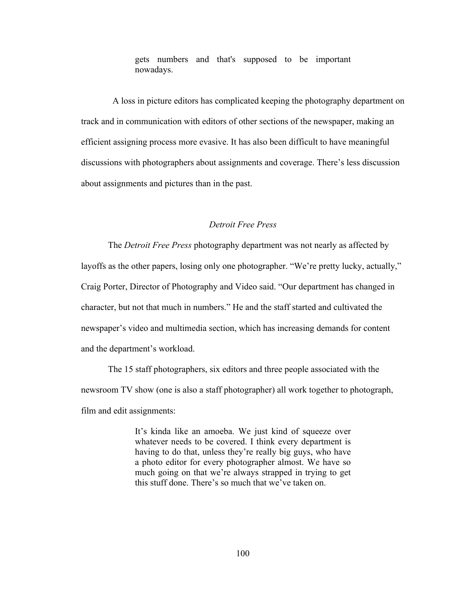gets numbers and that's supposed to be important nowadays.

 A loss in picture editors has complicated keeping the photography department on track and in communication with editors of other sections of the newspaper, making an efficient assigning process more evasive. It has also been difficult to have meaningful discussions with photographers about assignments and coverage. There's less discussion about assignments and pictures than in the past.

# *Detroit Free Press*

The *Detroit Free Press* photography department was not nearly as affected by layoffs as the other papers, losing only one photographer. "We're pretty lucky, actually," Craig Porter, Director of Photography and Video said. "Our department has changed in character, but not that much in numbers." He and the staff started and cultivated the newspaper's video and multimedia section, which has increasing demands for content and the department's workload.

The 15 staff photographers, six editors and three people associated with the newsroom TV show (one is also a staff photographer) all work together to photograph, film and edit assignments:

> It's kinda like an amoeba. We just kind of squeeze over whatever needs to be covered. I think every department is having to do that, unless they're really big guys, who have a photo editor for every photographer almost. We have so much going on that we're always strapped in trying to get this stuff done. There's so much that we've taken on.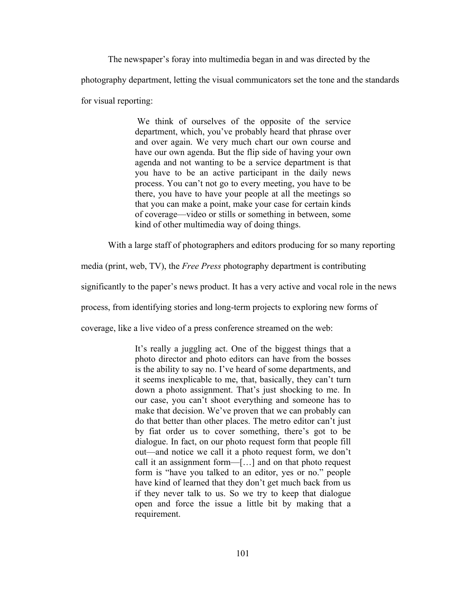The newspaper's foray into multimedia began in and was directed by the photography department, letting the visual communicators set the tone and the standards for visual reporting:

> We think of ourselves of the opposite of the service department, which, you've probably heard that phrase over and over again. We very much chart our own course and have our own agenda. But the flip side of having your own agenda and not wanting to be a service department is that you have to be an active participant in the daily news process. You can't not go to every meeting, you have to be there, you have to have your people at all the meetings so that you can make a point, make your case for certain kinds of coverage—video or stills or something in between, some kind of other multimedia way of doing things.

With a large staff of photographers and editors producing for so many reporting

media (print, web, TV), the *Free Press* photography department is contributing

significantly to the paper's news product. It has a very active and vocal role in the news

process, from identifying stories and long-term projects to exploring new forms of

coverage, like a live video of a press conference streamed on the web:

It's really a juggling act. One of the biggest things that a photo director and photo editors can have from the bosses is the ability to say no. I've heard of some departments, and it seems inexplicable to me, that, basically, they can't turn down a photo assignment. That's just shocking to me. In our case, you can't shoot everything and someone has to make that decision. We've proven that we can probably can do that better than other places. The metro editor can't just by fiat order us to cover something, there's got to be dialogue. In fact, on our photo request form that people fill out—and notice we call it a photo request form, we don't call it an assignment form—[…] and on that photo request form is "have you talked to an editor, yes or no." people have kind of learned that they don't get much back from us if they never talk to us. So we try to keep that dialogue open and force the issue a little bit by making that a requirement.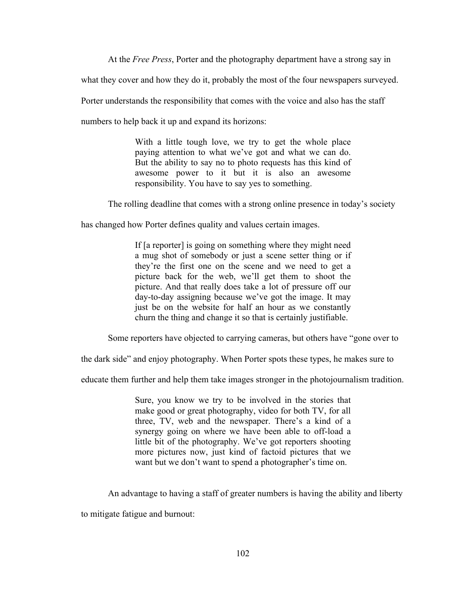At the *Free Press*, Porter and the photography department have a strong say in

what they cover and how they do it, probably the most of the four newspapers surveyed.

Porter understands the responsibility that comes with the voice and also has the staff

numbers to help back it up and expand its horizons:

With a little tough love, we try to get the whole place paying attention to what we've got and what we can do. But the ability to say no to photo requests has this kind of awesome power to it but it is also an awesome responsibility. You have to say yes to something.

The rolling deadline that comes with a strong online presence in today's society

has changed how Porter defines quality and values certain images.

If [a reporter] is going on something where they might need a mug shot of somebody or just a scene setter thing or if they're the first one on the scene and we need to get a picture back for the web, we'll get them to shoot the picture. And that really does take a lot of pressure off our day-to-day assigning because we've got the image. It may just be on the website for half an hour as we constantly churn the thing and change it so that is certainly justifiable.

Some reporters have objected to carrying cameras, but others have "gone over to

the dark side" and enjoy photography. When Porter spots these types, he makes sure to

educate them further and help them take images stronger in the photojournalism tradition.

Sure, you know we try to be involved in the stories that make good or great photography, video for both TV, for all three, TV, web and the newspaper. There's a kind of a synergy going on where we have been able to off-load a little bit of the photography. We've got reporters shooting more pictures now, just kind of factoid pictures that we want but we don't want to spend a photographer's time on.

An advantage to having a staff of greater numbers is having the ability and liberty

to mitigate fatigue and burnout: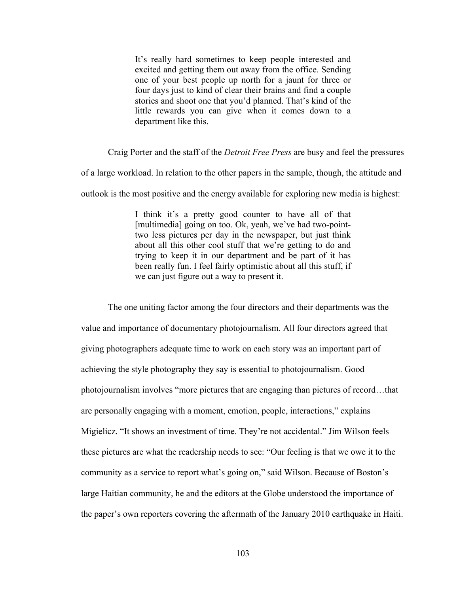It's really hard sometimes to keep people interested and excited and getting them out away from the office. Sending one of your best people up north for a jaunt for three or four days just to kind of clear their brains and find a couple stories and shoot one that you'd planned. That's kind of the little rewards you can give when it comes down to a department like this.

Craig Porter and the staff of the *Detroit Free Press* are busy and feel the pressures of a large workload. In relation to the other papers in the sample, though, the attitude and outlook is the most positive and the energy available for exploring new media is highest:

> I think it's a pretty good counter to have all of that [multimedia] going on too. Ok, yeah, we've had two-pointtwo less pictures per day in the newspaper, but just think about all this other cool stuff that we're getting to do and trying to keep it in our department and be part of it has been really fun. I feel fairly optimistic about all this stuff, if we can just figure out a way to present it.

The one uniting factor among the four directors and their departments was the value and importance of documentary photojournalism. All four directors agreed that giving photographers adequate time to work on each story was an important part of achieving the style photography they say is essential to photojournalism. Good photojournalism involves "more pictures that are engaging than pictures of record…that are personally engaging with a moment, emotion, people, interactions," explains Migielicz. "It shows an investment of time. They're not accidental." Jim Wilson feels these pictures are what the readership needs to see: "Our feeling is that we owe it to the community as a service to report what's going on," said Wilson. Because of Boston's large Haitian community, he and the editors at the Globe understood the importance of the paper's own reporters covering the aftermath of the January 2010 earthquake in Haiti.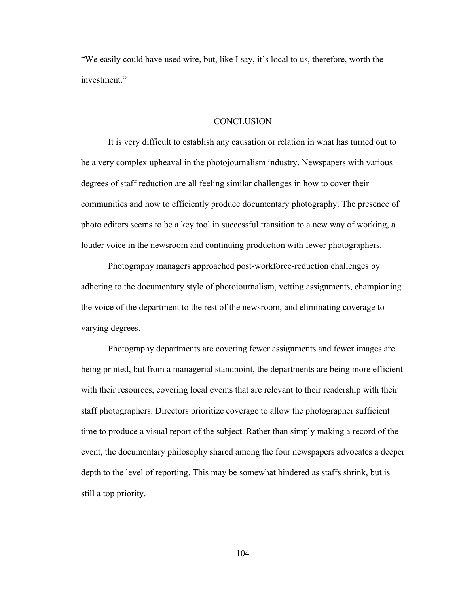"We easily could have used wire, but, like I say, it's local to us, therefore, worth the investment."

#### **CONCLUSION**

It is very difficult to establish any causation or relation in what has turned out to be a very complex upheaval in the photojournalism industry. Newspapers with various degrees of staff reduction are all feeling similar challenges in how to cover their communities and how to efficiently produce documentary photography. The presence of photo editors seems to be a key tool in successful transition to a new way of working, a louder voice in the newsroom and continuing production with fewer photographers.

Photography managers approached post-workforce-reduction challenges by adhering to the documentary style of photojournalism, vetting assignments, championing the voice of the department to the rest of the newsroom, and eliminating coverage to varying degrees.

Photography departments are covering fewer assignments and fewer images are being printed, but from a managerial standpoint, the departments are being more efficient with their resources, covering local events that are relevant to their readership with their staff photographers. Directors prioritize coverage to allow the photographer sufficient time to produce a visual report of the subject. Rather than simply making a record of the event, the documentary philosophy shared among the four newspapers advocates a deeper depth to the level of reporting. This may be somewhat hindered as staffs shrink, but is still a top priority.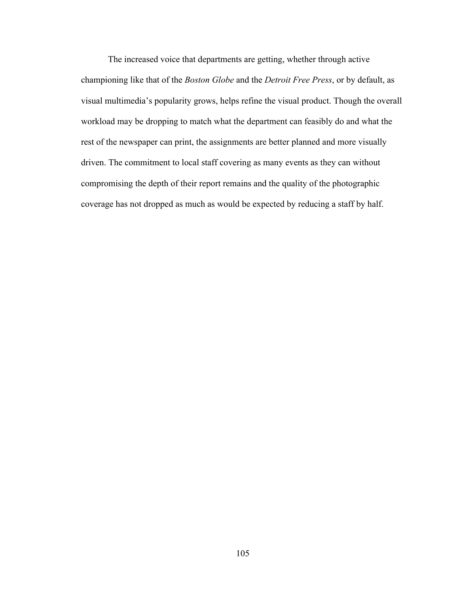The increased voice that departments are getting, whether through active championing like that of the *Boston Globe* and the *Detroit Free Press*, or by default, as visual multimedia's popularity grows, helps refine the visual product. Though the overall workload may be dropping to match what the department can feasibly do and what the rest of the newspaper can print, the assignments are better planned and more visually driven. The commitment to local staff covering as many events as they can without compromising the depth of their report remains and the quality of the photographic coverage has not dropped as much as would be expected by reducing a staff by half.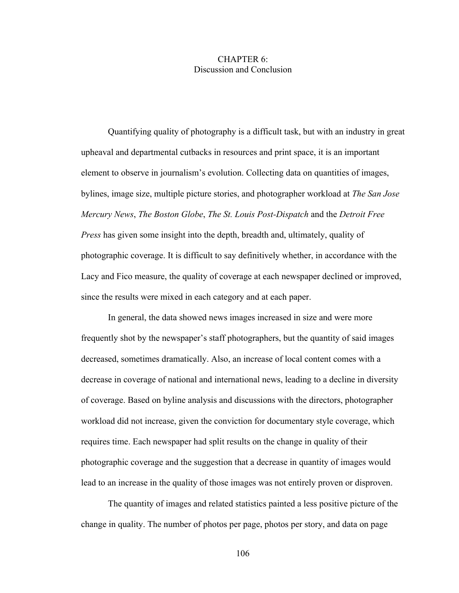## CHAPTER 6: Discussion and Conclusion

Quantifying quality of photography is a difficult task, but with an industry in great upheaval and departmental cutbacks in resources and print space, it is an important element to observe in journalism's evolution. Collecting data on quantities of images, bylines, image size, multiple picture stories, and photographer workload at *The San Jose Mercury News*, *The Boston Globe*, *The St. Louis Post-Dispatch* and the *Detroit Free Press* has given some insight into the depth, breadth and, ultimately, quality of photographic coverage. It is difficult to say definitively whether, in accordance with the Lacy and Fico measure, the quality of coverage at each newspaper declined or improved, since the results were mixed in each category and at each paper.

In general, the data showed news images increased in size and were more frequently shot by the newspaper's staff photographers, but the quantity of said images decreased, sometimes dramatically. Also, an increase of local content comes with a decrease in coverage of national and international news, leading to a decline in diversity of coverage. Based on byline analysis and discussions with the directors, photographer workload did not increase, given the conviction for documentary style coverage, which requires time. Each newspaper had split results on the change in quality of their photographic coverage and the suggestion that a decrease in quantity of images would lead to an increase in the quality of those images was not entirely proven or disproven.

The quantity of images and related statistics painted a less positive picture of the change in quality. The number of photos per page, photos per story, and data on page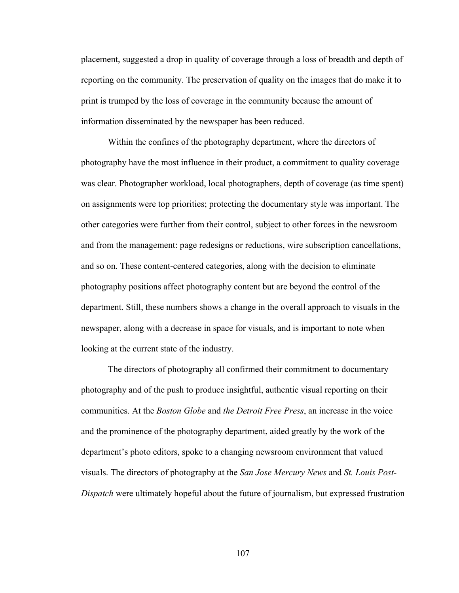placement, suggested a drop in quality of coverage through a loss of breadth and depth of reporting on the community. The preservation of quality on the images that do make it to print is trumped by the loss of coverage in the community because the amount of information disseminated by the newspaper has been reduced.

Within the confines of the photography department, where the directors of photography have the most influence in their product, a commitment to quality coverage was clear. Photographer workload, local photographers, depth of coverage (as time spent) on assignments were top priorities; protecting the documentary style was important. The other categories were further from their control, subject to other forces in the newsroom and from the management: page redesigns or reductions, wire subscription cancellations, and so on. These content-centered categories, along with the decision to eliminate photography positions affect photography content but are beyond the control of the department. Still, these numbers shows a change in the overall approach to visuals in the newspaper, along with a decrease in space for visuals, and is important to note when looking at the current state of the industry.

The directors of photography all confirmed their commitment to documentary photography and of the push to produce insightful, authentic visual reporting on their communities. At the *Boston Globe* and *the Detroit Free Press*, an increase in the voice and the prominence of the photography department, aided greatly by the work of the department's photo editors, spoke to a changing newsroom environment that valued visuals. The directors of photography at the *San Jose Mercury News* and *St. Louis Post-Dispatch* were ultimately hopeful about the future of journalism, but expressed frustration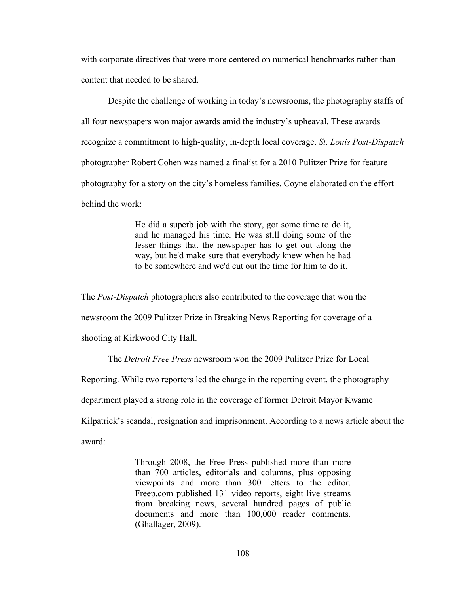with corporate directives that were more centered on numerical benchmarks rather than content that needed to be shared.

Despite the challenge of working in today's newsrooms, the photography staffs of all four newspapers won major awards amid the industry's upheaval. These awards recognize a commitment to high-quality, in-depth local coverage. *St. Louis Post-Dispatch* photographer Robert Cohen was named a finalist for a 2010 Pulitzer Prize for feature photography for a story on the city's homeless families. Coyne elaborated on the effort behind the work:

> He did a superb job with the story, got some time to do it, and he managed his time. He was still doing some of the lesser things that the newspaper has to get out along the way, but he'd make sure that everybody knew when he had to be somewhere and we'd cut out the time for him to do it.

The *Post-Dispatch* photographers also contributed to the coverage that won the newsroom the 2009 Pulitzer Prize in Breaking News Reporting for coverage of a shooting at Kirkwood City Hall.

The *Detroit Free Press* newsroom won the 2009 Pulitzer Prize for Local

Reporting. While two reporters led the charge in the reporting event, the photography

department played a strong role in the coverage of former Detroit Mayor Kwame

Kilpatrick's scandal, resignation and imprisonment. According to a news article about the

award:

Through 2008, the Free Press published more than more than 700 articles, editorials and columns, plus opposing viewpoints and more than 300 letters to the editor. Freep.com published 131 video reports, eight live streams from breaking news, several hundred pages of public documents and more than 100,000 reader comments. (Ghallager, 2009).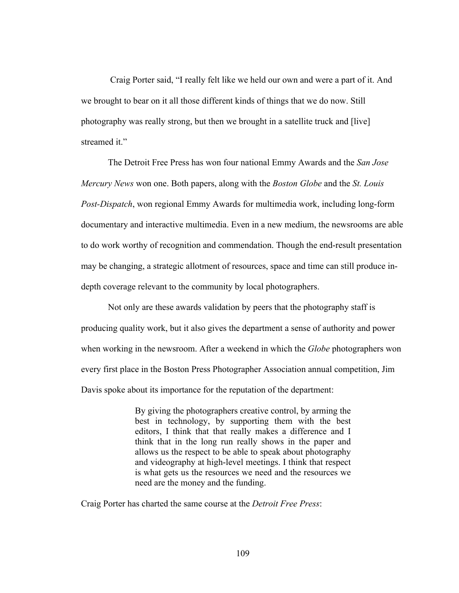Craig Porter said, "I really felt like we held our own and were a part of it. And we brought to bear on it all those different kinds of things that we do now. Still photography was really strong, but then we brought in a satellite truck and [live] streamed it."

The Detroit Free Press has won four national Emmy Awards and the *San Jose Mercury News* won one. Both papers, along with the *Boston Globe* and the *St. Louis Post-Dispatch*, won regional Emmy Awards for multimedia work, including long-form documentary and interactive multimedia. Even in a new medium, the newsrooms are able to do work worthy of recognition and commendation. Though the end-result presentation may be changing, a strategic allotment of resources, space and time can still produce indepth coverage relevant to the community by local photographers.

Not only are these awards validation by peers that the photography staff is producing quality work, but it also gives the department a sense of authority and power when working in the newsroom. After a weekend in which the *Globe* photographers won every first place in the Boston Press Photographer Association annual competition, Jim Davis spoke about its importance for the reputation of the department:

> By giving the photographers creative control, by arming the best in technology, by supporting them with the best editors, I think that that really makes a difference and I think that in the long run really shows in the paper and allows us the respect to be able to speak about photography and videography at high-level meetings. I think that respect is what gets us the resources we need and the resources we need are the money and the funding.

Craig Porter has charted the same course at the *Detroit Free Press*: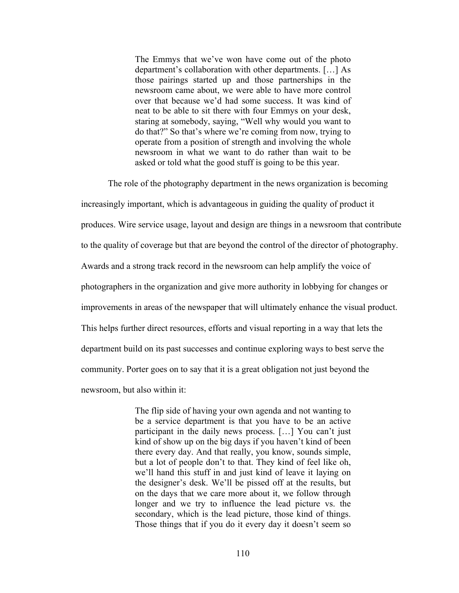The Emmys that we've won have come out of the photo department's collaboration with other departments. […] As those pairings started up and those partnerships in the newsroom came about, we were able to have more control over that because we'd had some success. It was kind of neat to be able to sit there with four Emmys on your desk, staring at somebody, saying, "Well why would you want to do that?" So that's where we're coming from now, trying to operate from a position of strength and involving the whole newsroom in what we want to do rather than wait to be asked or told what the good stuff is going to be this year.

The role of the photography department in the news organization is becoming increasingly important, which is advantageous in guiding the quality of product it produces. Wire service usage, layout and design are things in a newsroom that contribute to the quality of coverage but that are beyond the control of the director of photography. Awards and a strong track record in the newsroom can help amplify the voice of photographers in the organization and give more authority in lobbying for changes or improvements in areas of the newspaper that will ultimately enhance the visual product. This helps further direct resources, efforts and visual reporting in a way that lets the department build on its past successes and continue exploring ways to best serve the community. Porter goes on to say that it is a great obligation not just beyond the newsroom, but also within it:

> The flip side of having your own agenda and not wanting to be a service department is that you have to be an active participant in the daily news process. […] You can't just kind of show up on the big days if you haven't kind of been there every day. And that really, you know, sounds simple, but a lot of people don't to that. They kind of feel like oh, we'll hand this stuff in and just kind of leave it laying on the designer's desk. We'll be pissed off at the results, but on the days that we care more about it, we follow through longer and we try to influence the lead picture vs. the secondary, which is the lead picture, those kind of things. Those things that if you do it every day it doesn't seem so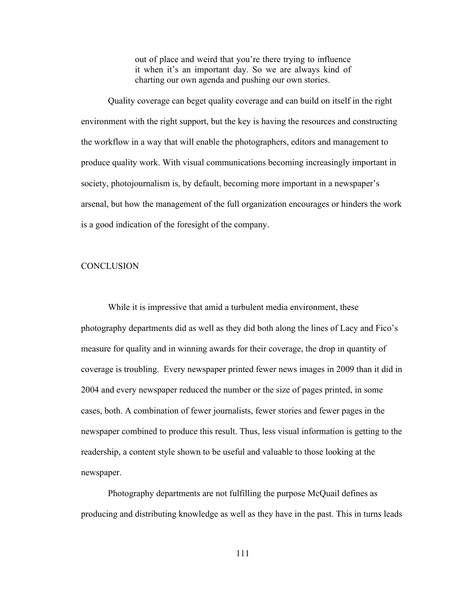out of place and weird that you're there trying to influence it when it's an important day. So we are always kind of charting our own agenda and pushing our own stories.

Quality coverage can beget quality coverage and can build on itself in the right environment with the right support, but the key is having the resources and constructing the workflow in a way that will enable the photographers, editors and management to produce quality work. With visual communications becoming increasingly important in society, photojournalism is, by default, becoming more important in a newspaper's arsenal, but how the management of the full organization encourages or hinders the work is a good indication of the foresight of the company.

## **CONCLUSION**

While it is impressive that amid a turbulent media environment, these photography departments did as well as they did both along the lines of Lacy and Fico's measure for quality and in winning awards for their coverage, the drop in quantity of coverage is troubling. Every newspaper printed fewer news images in 2009 than it did in 2004 and every newspaper reduced the number or the size of pages printed, in some cases, both. A combination of fewer journalists, fewer stories and fewer pages in the newspaper combined to produce this result. Thus, less visual information is getting to the readership, a content style shown to be useful and valuable to those looking at the newspaper.

Photography departments are not fulfilling the purpose McQuail defines as producing and distributing knowledge as well as they have in the past. This in turns leads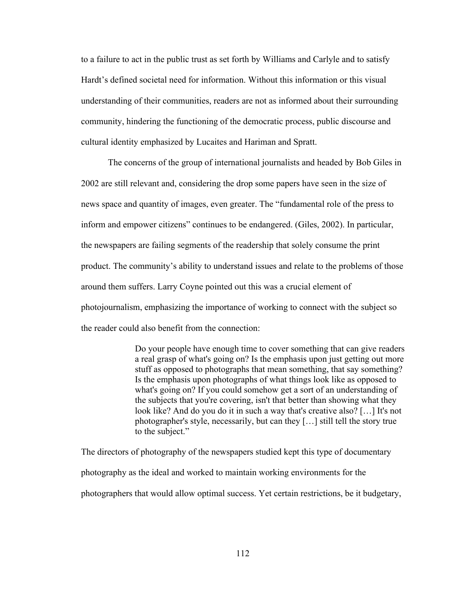to a failure to act in the public trust as set forth by Williams and Carlyle and to satisfy Hardt's defined societal need for information. Without this information or this visual understanding of their communities, readers are not as informed about their surrounding community, hindering the functioning of the democratic process, public discourse and cultural identity emphasized by Lucaites and Hariman and Spratt.

The concerns of the group of international journalists and headed by Bob Giles in 2002 are still relevant and, considering the drop some papers have seen in the size of news space and quantity of images, even greater. The "fundamental role of the press to inform and empower citizens" continues to be endangered. (Giles, 2002). In particular, the newspapers are failing segments of the readership that solely consume the print product. The community's ability to understand issues and relate to the problems of those around them suffers. Larry Coyne pointed out this was a crucial element of photojournalism, emphasizing the importance of working to connect with the subject so the reader could also benefit from the connection:

> Do your people have enough time to cover something that can give readers a real grasp of what's going on? Is the emphasis upon just getting out more stuff as opposed to photographs that mean something, that say something? Is the emphasis upon photographs of what things look like as opposed to what's going on? If you could somehow get a sort of an understanding of the subjects that you're covering, isn't that better than showing what they look like? And do you do it in such a way that's creative also? […] It's not photographer's style, necessarily, but can they […] still tell the story true to the subject."

The directors of photography of the newspapers studied kept this type of documentary photography as the ideal and worked to maintain working environments for the photographers that would allow optimal success. Yet certain restrictions, be it budgetary,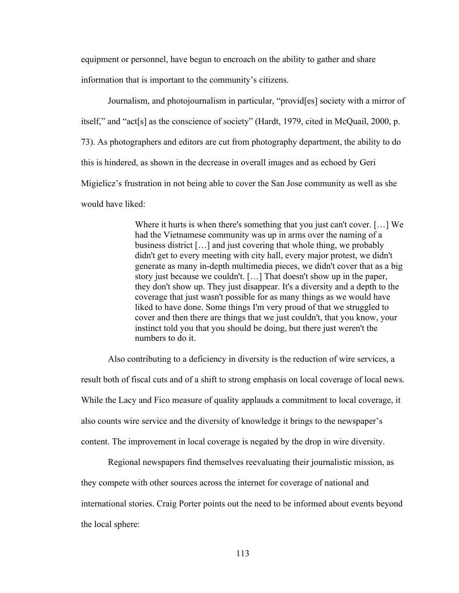equipment or personnel, have begun to encroach on the ability to gather and share information that is important to the community's citizens.

Journalism, and photojournalism in particular, "provid[es] society with a mirror of itself," and "act[s] as the conscience of society" (Hardt, 1979, cited in McQuail, 2000, p. 73). As photographers and editors are cut from photography department, the ability to do this is hindered, as shown in the decrease in overall images and as echoed by Geri Migielicz's frustration in not being able to cover the San Jose community as well as she would have liked:

> Where it hurts is when there's something that you just can't cover. […] We had the Vietnamese community was up in arms over the naming of a business district […] and just covering that whole thing, we probably didn't get to every meeting with city hall, every major protest, we didn't generate as many in-depth multimedia pieces, we didn't cover that as a big story just because we couldn't. […] That doesn't show up in the paper, they don't show up. They just disappear. It's a diversity and a depth to the coverage that just wasn't possible for as many things as we would have liked to have done. Some things I'm very proud of that we struggled to cover and then there are things that we just couldn't, that you know, your instinct told you that you should be doing, but there just weren't the numbers to do it.

Also contributing to a deficiency in diversity is the reduction of wire services, a

result both of fiscal cuts and of a shift to strong emphasis on local coverage of local news. While the Lacy and Fico measure of quality applauds a commitment to local coverage, it also counts wire service and the diversity of knowledge it brings to the newspaper's content. The improvement in local coverage is negated by the drop in wire diversity.

Regional newspapers find themselves reevaluating their journalistic mission, as they compete with other sources across the internet for coverage of national and international stories. Craig Porter points out the need to be informed about events beyond the local sphere: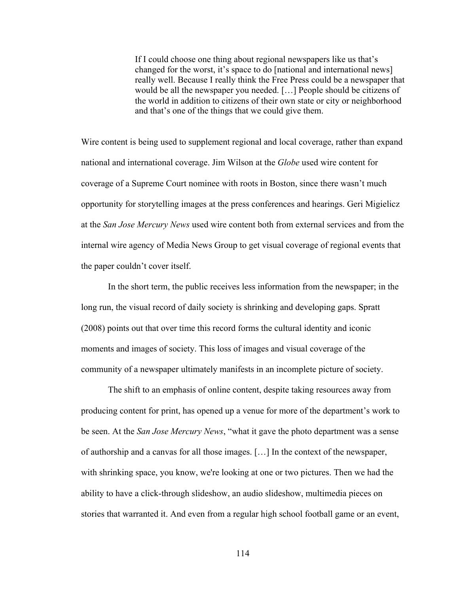If I could choose one thing about regional newspapers like us that's changed for the worst, it's space to do [national and international news] really well. Because I really think the Free Press could be a newspaper that would be all the newspaper you needed. […] People should be citizens of the world in addition to citizens of their own state or city or neighborhood and that's one of the things that we could give them.

Wire content is being used to supplement regional and local coverage, rather than expand national and international coverage. Jim Wilson at the *Globe* used wire content for coverage of a Supreme Court nominee with roots in Boston, since there wasn't much opportunity for storytelling images at the press conferences and hearings. Geri Migielicz at the *San Jose Mercury News* used wire content both from external services and from the internal wire agency of Media News Group to get visual coverage of regional events that the paper couldn't cover itself.

In the short term, the public receives less information from the newspaper; in the long run, the visual record of daily society is shrinking and developing gaps. Spratt (2008) points out that over time this record forms the cultural identity and iconic moments and images of society. This loss of images and visual coverage of the community of a newspaper ultimately manifests in an incomplete picture of society.

The shift to an emphasis of online content, despite taking resources away from producing content for print, has opened up a venue for more of the department's work to be seen. At the *San Jose Mercury News*, "what it gave the photo department was a sense of authorship and a canvas for all those images. […] In the context of the newspaper, with shrinking space, you know, we're looking at one or two pictures. Then we had the ability to have a click-through slideshow, an audio slideshow, multimedia pieces on stories that warranted it. And even from a regular high school football game or an event,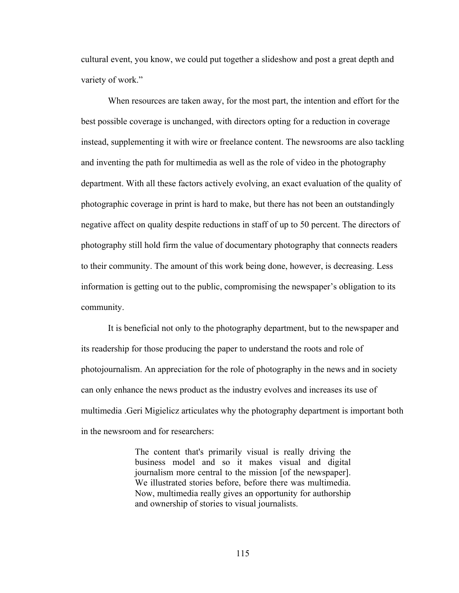cultural event, you know, we could put together a slideshow and post a great depth and variety of work."

When resources are taken away, for the most part, the intention and effort for the best possible coverage is unchanged, with directors opting for a reduction in coverage instead, supplementing it with wire or freelance content. The newsrooms are also tackling and inventing the path for multimedia as well as the role of video in the photography department. With all these factors actively evolving, an exact evaluation of the quality of photographic coverage in print is hard to make, but there has not been an outstandingly negative affect on quality despite reductions in staff of up to 50 percent. The directors of photography still hold firm the value of documentary photography that connects readers to their community. The amount of this work being done, however, is decreasing. Less information is getting out to the public, compromising the newspaper's obligation to its community.

It is beneficial not only to the photography department, but to the newspaper and its readership for those producing the paper to understand the roots and role of photojournalism. An appreciation for the role of photography in the news and in society can only enhance the news product as the industry evolves and increases its use of multimedia .Geri Migielicz articulates why the photography department is important both in the newsroom and for researchers:

> The content that's primarily visual is really driving the business model and so it makes visual and digital journalism more central to the mission [of the newspaper]. We illustrated stories before, before there was multimedia. Now, multimedia really gives an opportunity for authorship and ownership of stories to visual journalists.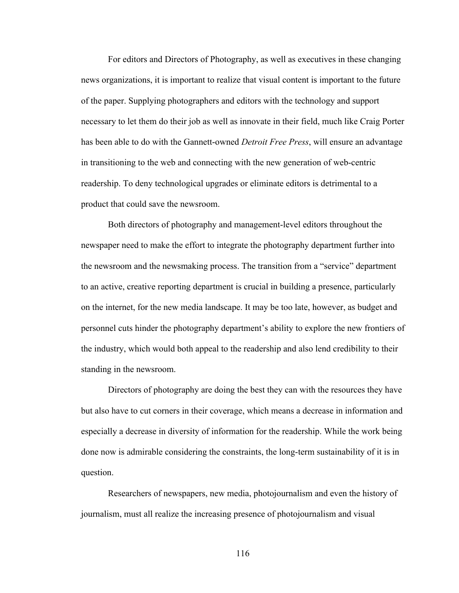For editors and Directors of Photography, as well as executives in these changing news organizations, it is important to realize that visual content is important to the future of the paper. Supplying photographers and editors with the technology and support necessary to let them do their job as well as innovate in their field, much like Craig Porter has been able to do with the Gannett-owned *Detroit Free Press*, will ensure an advantage in transitioning to the web and connecting with the new generation of web-centric readership. To deny technological upgrades or eliminate editors is detrimental to a product that could save the newsroom.

Both directors of photography and management-level editors throughout the newspaper need to make the effort to integrate the photography department further into the newsroom and the newsmaking process. The transition from a "service" department to an active, creative reporting department is crucial in building a presence, particularly on the internet, for the new media landscape. It may be too late, however, as budget and personnel cuts hinder the photography department's ability to explore the new frontiers of the industry, which would both appeal to the readership and also lend credibility to their standing in the newsroom.

Directors of photography are doing the best they can with the resources they have but also have to cut corners in their coverage, which means a decrease in information and especially a decrease in diversity of information for the readership. While the work being done now is admirable considering the constraints, the long-term sustainability of it is in question.

Researchers of newspapers, new media, photojournalism and even the history of journalism, must all realize the increasing presence of photojournalism and visual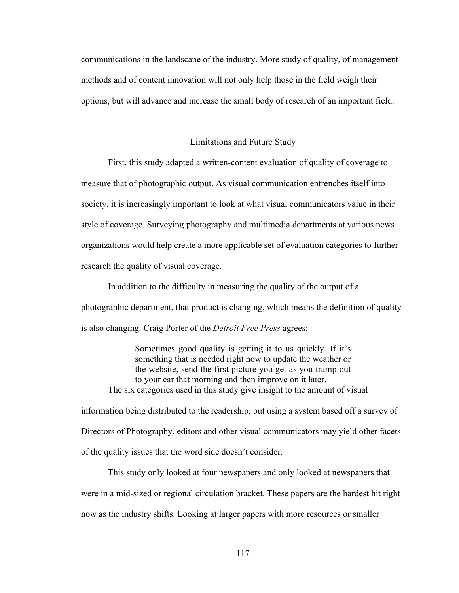communications in the landscape of the industry. More study of quality, of management methods and of content innovation will not only help those in the field weigh their options, but will advance and increase the small body of research of an important field.

## Limitations and Future Study

First, this study adapted a written-content evaluation of quality of coverage to measure that of photographic output. As visual communication entrenches itself into society, it is increasingly important to look at what visual communicators value in their style of coverage. Surveying photography and multimedia departments at various news organizations would help create a more applicable set of evaluation categories to further research the quality of visual coverage.

In addition to the difficulty in measuring the quality of the output of a photographic department, that product is changing, which means the definition of quality is also changing. Craig Porter of the *Detroit Free Press* agrees:

Sometimes good quality is getting it to us quickly. If it's something that is needed right now to update the weather or the website, send the first picture you get as you tramp out to your car that morning and then improve on it later. The six categories used in this study give insight to the amount of visual information being distributed to the readership, but using a system based off a survey of Directors of Photography, editors and other visual communicators may yield other facets

of the quality issues that the word side doesn't consider.

This study only looked at four newspapers and only looked at newspapers that were in a mid-sized or regional circulation bracket. These papers are the hardest hit right now as the industry shifts. Looking at larger papers with more resources or smaller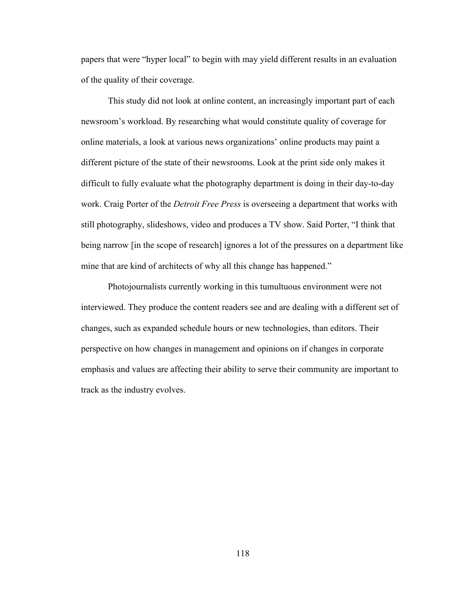papers that were "hyper local" to begin with may yield different results in an evaluation of the quality of their coverage.

This study did not look at online content, an increasingly important part of each newsroom's workload. By researching what would constitute quality of coverage for online materials, a look at various news organizations' online products may paint a different picture of the state of their newsrooms. Look at the print side only makes it difficult to fully evaluate what the photography department is doing in their day-to-day work. Craig Porter of the *Detroit Free Press* is overseeing a department that works with still photography, slideshows, video and produces a TV show. Said Porter, "I think that being narrow [in the scope of research] ignores a lot of the pressures on a department like mine that are kind of architects of why all this change has happened."

Photojournalists currently working in this tumultuous environment were not interviewed. They produce the content readers see and are dealing with a different set of changes, such as expanded schedule hours or new technologies, than editors. Their perspective on how changes in management and opinions on if changes in corporate emphasis and values are affecting their ability to serve their community are important to track as the industry evolves.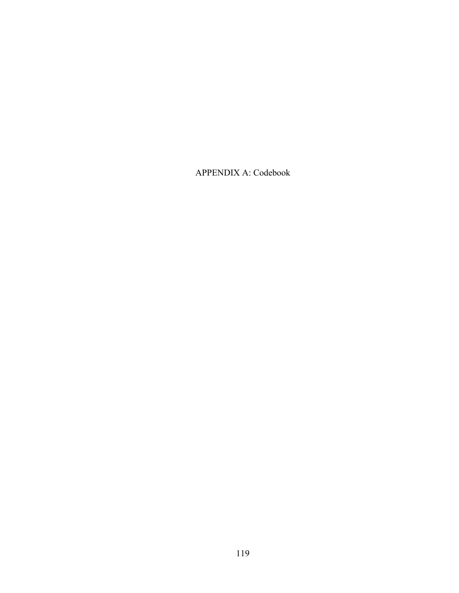APPENDIX A: Codebook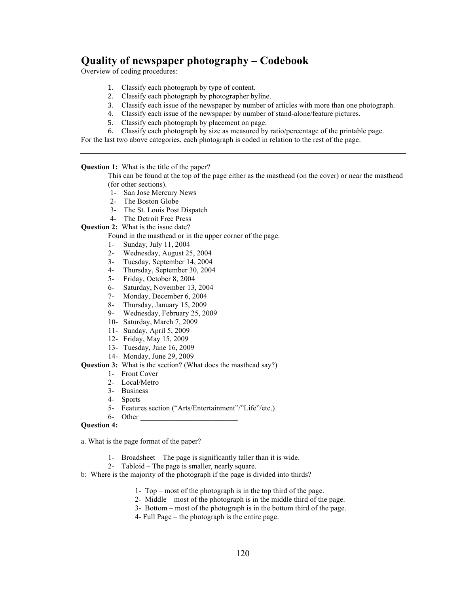# **Quality of newspaper photography – Codebook**

Overview of coding procedures:

- 1. Classify each photograph by type of content.
- 2. Classify each photograph by photographer byline.
- 3. Classify each issue of the newspaper by number of articles with more than one photograph.
- 4. Classify each issue of the newspaper by number of stand-alone/feature pictures.
- 5. Classify each photograph by placement on page.
- 6. Classify each photograph by size as measured by ratio/percentage of the printable page.

For the last two above categories, each photograph is coded in relation to the rest of the page.

**Question 1:** What is the title of the paper?

This can be found at the top of the page either as the masthead (on the cover) or near the masthead (for other sections).

- 1- San Jose Mercury News
- 2- The Boston Globe
- 3- The St. Louis Post Dispatch
- 4- The Detroit Free Press
- **Question 2:** What is the issue date?

Found in the masthead or in the upper corner of the page.

- 1- Sunday, July 11, 2004<br>2- Wednesday August 25
- Wednesday, August 25, 2004
- 3- Tuesday, September 14, 2004
- 4- Thursday, September 30, 2004
- 5- Friday, October 8, 2004
- 6- Saturday, November 13, 2004
- 7- Monday, December 6, 2004
- 8- Thursday, January 15, 2009<br>9- Wednesday February 25, 20
- Wednesday, February 25, 2009
- 10- Saturday, March 7, 2009
- 11- Sunday, April 5, 2009
- 12- Friday, May 15, 2009
- 13- Tuesday, June 16, 2009
- 14- Monday, June 29, 2009

**Question 3:** What is the section? (What does the masthead say?)

- 1- Front Cover
- 2- Local/Metro
- 3- Business
- 4- Sports
- 5- Features section ("Arts/Entertainment"/"Life"/etc.)
- $6$  Other

#### **Question 4:**

a. What is the page format of the paper?

- 1- Broadsheet The page is significantly taller than it is wide.
- 2- Tabloid The page is smaller, nearly square.
- b: Where is the majority of the photograph if the page is divided into thirds?
	- 1- Top most of the photograph is in the top third of the page.
	- 2- Middle most of the photograph is in the middle third of the page.
	- 3- Bottom most of the photograph is in the bottom third of the page.
	- 4- Full Page the photograph is the entire page.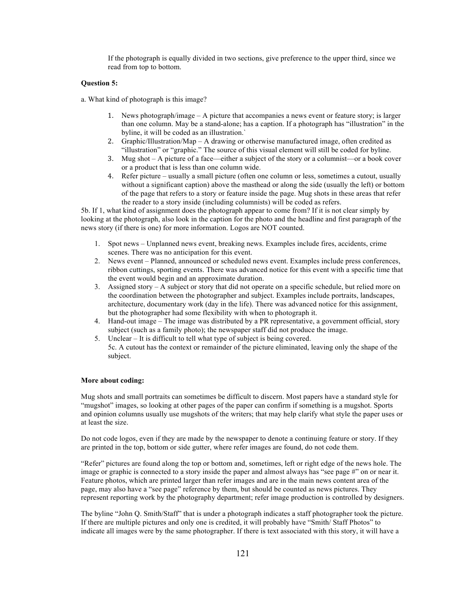If the photograph is equally divided in two sections, give preference to the upper third, since we read from top to bottom.

#### **Question 5:**

- a. What kind of photograph is this image?
	- 1. News photograph/image A picture that accompanies a news event or feature story; is larger than one column. May be a stand-alone; has a caption. If a photograph has "illustration" in the byline, it will be coded as an illustration.`
	- 2. Graphic/Illustration/Map A drawing or otherwise manufactured image, often credited as "illustration" or "graphic." The source of this visual element will still be coded for byline.
	- 3. Mug shot A picture of a face—either a subject of the story or a columnist—or a book cover or a product that is less than one column wide.
	- 4. Refer picture usually a small picture (often one column or less, sometimes a cutout, usually without a significant caption) above the masthead or along the side (usually the left) or bottom of the page that refers to a story or feature inside the page. Mug shots in these areas that refer the reader to a story inside (including columnists) will be coded as refers.

5b. If 1, what kind of assignment does the photograph appear to come from? If it is not clear simply by looking at the photograph, also look in the caption for the photo and the headline and first paragraph of the news story (if there is one) for more information. Logos are NOT counted.

- 1. Spot news Unplanned news event, breaking news. Examples include fires, accidents, crime scenes. There was no anticipation for this event.
- 2. News event Planned, announced or scheduled news event. Examples include press conferences, ribbon cuttings, sporting events. There was advanced notice for this event with a specific time that the event would begin and an approximate duration.
- 3. Assigned story A subject or story that did not operate on a specific schedule, but relied more on the coordination between the photographer and subject. Examples include portraits, landscapes, architecture, documentary work (day in the life). There was advanced notice for this assignment, but the photographer had some flexibility with when to photograph it.
- 4. Hand-out image The image was distributed by a PR representative, a government official, story subject (such as a family photo); the newspaper staff did not produce the image.
- 5. Unclear It is difficult to tell what type of subject is being covered.
- 5c. A cutout has the context or remainder of the picture eliminated, leaving only the shape of the subject.

#### **More about coding:**

Mug shots and small portraits can sometimes be difficult to discern. Most papers have a standard style for "mugshot" images, so looking at other pages of the paper can confirm if something is a mugshot. Sports and opinion columns usually use mugshots of the writers; that may help clarify what style the paper uses or at least the size.

Do not code logos, even if they are made by the newspaper to denote a continuing feature or story. If they are printed in the top, bottom or side gutter, where refer images are found, do not code them.

"Refer" pictures are found along the top or bottom and, sometimes, left or right edge of the news hole. The image or graphic is connected to a story inside the paper and almost always has "see page #" on or near it. Feature photos, which are printed larger than refer images and are in the main news content area of the page, may also have a "see page" reference by them, but should be counted as news pictures. They represent reporting work by the photography department; refer image production is controlled by designers.

The byline "John Q. Smith/Staff" that is under a photograph indicates a staff photographer took the picture. If there are multiple pictures and only one is credited, it will probably have "Smith/ Staff Photos" to indicate all images were by the same photographer. If there is text associated with this story, it will have a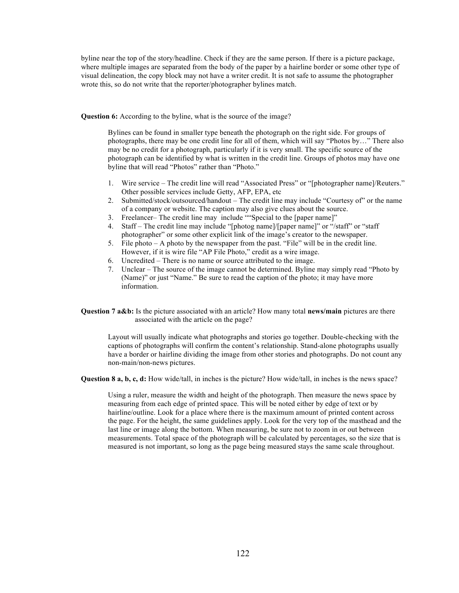byline near the top of the story/headline. Check if they are the same person. If there is a picture package, where multiple images are separated from the body of the paper by a hairline border or some other type of visual delineation, the copy block may not have a writer credit. It is not safe to assume the photographer wrote this, so do not write that the reporter/photographer bylines match.

**Question 6:** According to the byline, what is the source of the image?

Bylines can be found in smaller type beneath the photograph on the right side. For groups of photographs, there may be one credit line for all of them, which will say "Photos by…" There also may be no credit for a photograph, particularly if it is very small. The specific source of the photograph can be identified by what is written in the credit line. Groups of photos may have one byline that will read "Photos" rather than "Photo."

- 1. Wire service The credit line will read "Associated Press" or "[photographer name]/Reuters." Other possible services include Getty, AFP, EPA, etc
- 2. Submitted/stock/outsourced/handout The credit line may include "Courtesy of" or the name of a company or website. The caption may also give clues about the source.
- 3. Freelancer– The credit line may include ""Special to the [paper name]"
- 4. Staff The credit line may include "[photog name]/[paper name]" or "/staff" or "staff photographer" or some other explicit link of the image's creator to the newspaper.
- 5. File photo A photo by the newspaper from the past. "File" will be in the credit line. However, if it is wire file "AP File Photo," credit as a wire image.
- 6. Uncredited There is no name or source attributed to the image.
- 7. Unclear The source of the image cannot be determined. Byline may simply read "Photo by (Name)" or just "Name." Be sure to read the caption of the photo; it may have more information.

**Question 7 a&b:** Is the picture associated with an article? How many total **news/main** pictures are there associated with the article on the page?

Layout will usually indicate what photographs and stories go together. Double-checking with the captions of photographs will confirm the content's relationship. Stand-alone photographs usually have a border or hairline dividing the image from other stories and photographs. Do not count any non-main/non-news pictures.

**Question 8 a, b, c, d:** How wide/tall, in inches is the picture? How wide/tall, in inches is the news space?

Using a ruler, measure the width and height of the photograph. Then measure the news space by measuring from each edge of printed space. This will be noted either by edge of text or by hairline/outline. Look for a place where there is the maximum amount of printed content across the page. For the height, the same guidelines apply. Look for the very top of the masthead and the last line or image along the bottom. When measuring, be sure not to zoom in or out between measurements. Total space of the photograph will be calculated by percentages, so the size that is measured is not important, so long as the page being measured stays the same scale throughout.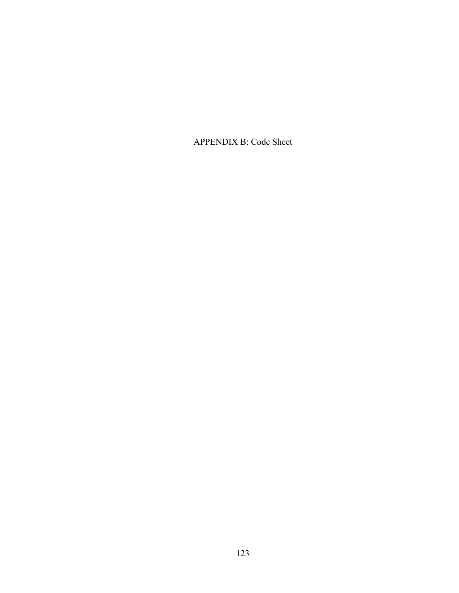APPENDIX B: Code Sheet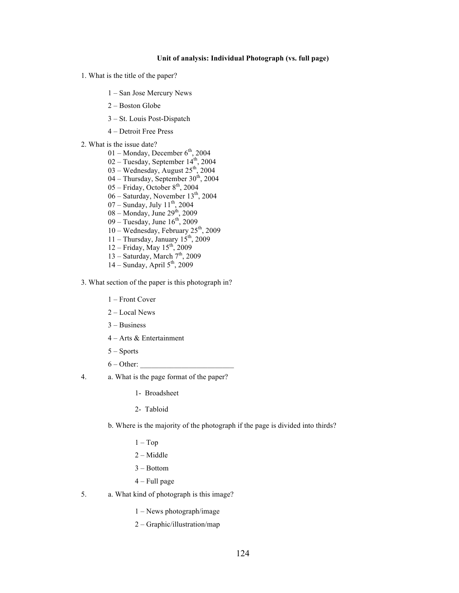#### **Unit of analysis: Individual Photograph (vs. full page)**

- 1. What is the title of the paper?
	- 1 San Jose Mercury News
	- 2 Boston Globe
	- 3 St. Louis Post-Dispatch
	- 4 Detroit Free Press
- 2. What is the issue date?
	- 01 Monday, December  $6<sup>th</sup>$ , 2004  $02 -$ Tuesday, September  $14<sup>th</sup>$ , 2004  $03 -$  Wednesday, August  $25<sup>th</sup>$ , 2004  $04$  – Thursday, September  $30<sup>th</sup>$ , 2004  $05$  – Friday, October  $8<sup>th</sup>$ , 2004 06 – Saturday, November 13<sup>th</sup>, 2004  $07 -$  Sunday, July  $11^{th}$ , 2004  $08 -$ Monday, June  $29<sup>th</sup>$ , 2009  $09 -$  Tuesday, June  $16<sup>th</sup>$ , 2009 10 – Wednesday, February 25<sup>th</sup>, 2009 11 – Thursday, January  $15<sup>th</sup>$ , 2009 12 – Friday, May  $15^{th}$ , 2009 13 – Saturday, March  $7<sup>th</sup>$ , 2009  $14 -$  Sunday, April  $5<sup>th</sup>$ , 2009
- 3. What section of the paper is this photograph in?
	- 1 Front Cover
	- 2 Local News
	- 3 Business
	- 4 Arts & Entertainment
	- 5 Sports
	- $6 Other:$
- 4. a. What is the page format of the paper?
	- 1- Broadsheet
	- 2- Tabloid

b. Where is the majority of the photograph if the page is divided into thirds?

- $1 Top$
- 2 Middle
- 3 Bottom
- 4 Full page
- 5. a. What kind of photograph is this image?
	- 1 News photograph/image
	- 2 Graphic/illustration/map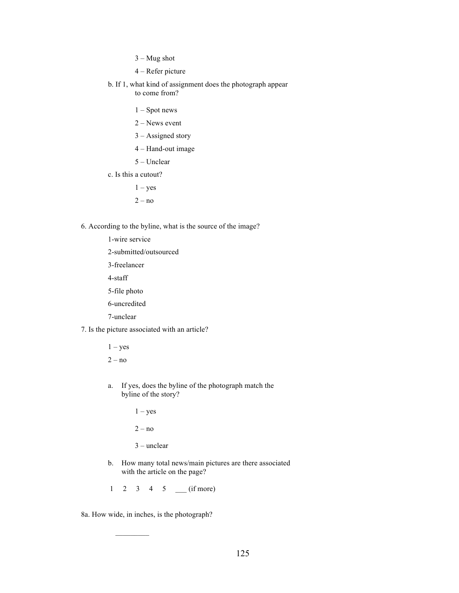- $3 Mug shot$
- 4 Refer picture
- b. If 1, what kind of assignment does the photograph appear to come from?
	- 1 Spot news
	- 2 News event
	- 3 Assigned story
	- 4 Hand-out image
	- 5 Unclear
- c. Is this a cutout?
	- $1 yes$
	- $2 no$
- 6. According to the byline, what is the source of the image?
	- 1-wire service
	- 2-submitted/outsourced
	- 3-freelancer
	- 4-staff
	- 5-file photo
	- 6-uncredited
	- 7-unclear
- 7. Is the picture associated with an article?
	- $1 yes$  $2 - no$
	- a. If yes, does the byline of the photograph match the byline of the story?

 $1 - yes$ 

 $2 - no$ 

- 3 unclear
- b. How many total news/main pictures are there associated with the article on the page?
- 1 2 3 4 5 \_\_\_ (if more)

8a. How wide, in inches, is the photograph?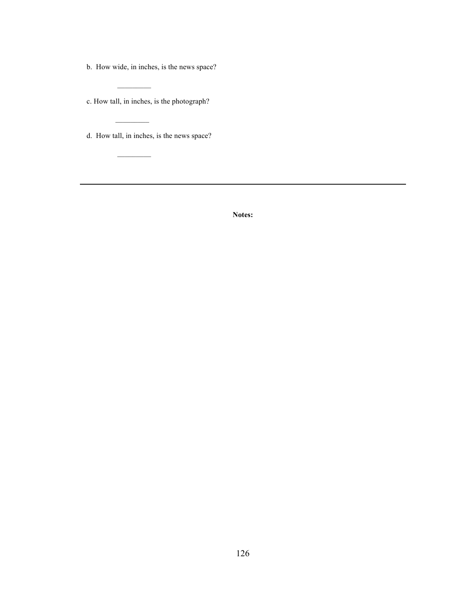b. How wide, in inches, is the news space?

c. How tall, in inches, is the photograph?

 $\mathcal{L}_\text{max}$ 

 $\frac{1}{2}$  ,  $\frac{1}{2}$  ,  $\frac{1}{2}$  ,  $\frac{1}{2}$  ,  $\frac{1}{2}$ 

d. How tall, in inches, is the news space?

**Notes:**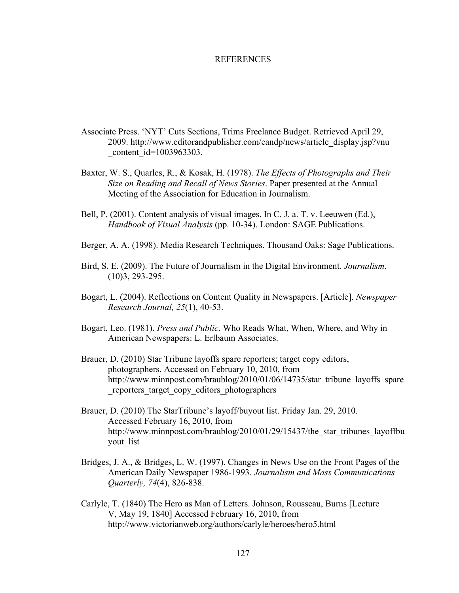### REFERENCES

- Associate Press. 'NYT' Cuts Sections, Trims Freelance Budget. Retrieved April 29, 2009. http://www.editorandpublisher.com/eandp/news/article\_display.jsp?vnu content id=1003963303.
- Baxter, W. S., Quarles, R., & Kosak, H. (1978). *The Effects of Photographs and Their Size on Reading and Recall of News Stories*. Paper presented at the Annual Meeting of the Association for Education in Journalism.
- Bell, P. (2001). Content analysis of visual images. In C. J. a. T. v. Leeuwen (Ed.), *Handbook of Visual Analysis* (pp. 10-34). London: SAGE Publications.
- Berger, A. A. (1998). Media Research Techniques. Thousand Oaks: Sage Publications.
- Bird, S. E. (2009). The Future of Journalism in the Digital Environment. *Journalism*. (10)3, 293-295.
- Bogart, L. (2004). Reflections on Content Quality in Newspapers. [Article]. *Newspaper Research Journal, 25*(1), 40-53.
- Bogart, Leo. (1981). *Press and Public*. Who Reads What, When, Where, and Why in American Newspapers: L. Erlbaum Associates.
- Brauer, D. (2010) Star Tribune layoffs spare reporters; target copy editors, photographers. Accessed on February 10, 2010, from http://www.minnpost.com/braublog/2010/01/06/14735/star\_tribune\_layoffs\_spare \_reporters\_target\_copy\_editors\_photographers
- Brauer, D. (2010) The StarTribune's layoff/buyout list. Friday Jan. 29, 2010. Accessed February 16, 2010, from http://www.minnpost.com/braublog/2010/01/29/15437/the\_star\_tribunes\_layoffbu yout list
- Bridges, J. A., & Bridges, L. W. (1997). Changes in News Use on the Front Pages of the American Daily Newspaper 1986-1993. *Journalism and Mass Communications Quarterly, 74*(4), 826-838.
- Carlyle, T. (1840) The Hero as Man of Letters. Johnson, Rousseau, Burns [Lecture V, May 19, 1840] Accessed February 16, 2010, from http://www.victorianweb.org/authors/carlyle/heroes/hero5.html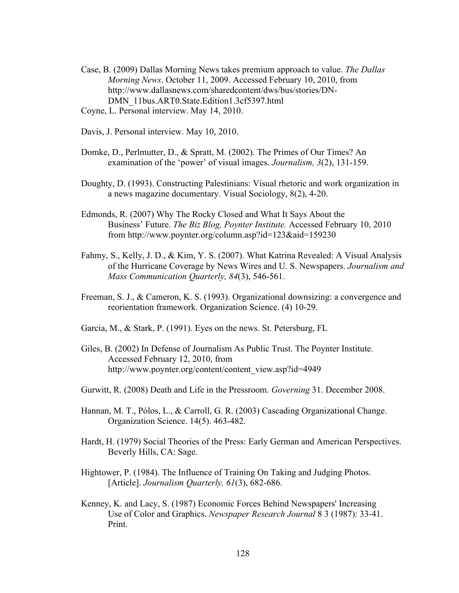- Case, B. (2009) Dallas Morning News takes premium approach to value. *The Dallas Morning News*. October 11, 2009. Accessed February 10, 2010, from http://www.dallasnews.com/sharedcontent/dws/bus/stories/DN-DMN 11bus.ART0.State.Edition1.3cf5397.html
- Coyne, L. Personal interview. May 14, 2010.
- Davis, J. Personal interview. May 10, 2010.
- Domke, D., Perlmutter, D., & Spratt, M. (2002). The Primes of Our Times? An examination of the 'power' of visual images. *Journalism, 3*(2), 131-159.
- Doughty, D. (1993). Constructing Palestinians: Visual rhetoric and work organization in a news magazine documentary. Visual Sociology, 8(2), 4-20.
- Edmonds, R. (2007) Why The Rocky Closed and What It Says About the Business' Future. *The Biz Blog, Poynter Institute.* Accessed February 10, 2010 from http://www.poynter.org/column.asp?id=123&aid=159230
- Fahmy, S., Kelly, J. D., & Kim, Y. S. (2007). What Katrina Revealed: A Visual Analysis of the Hurricane Coverage by News Wires and U. S. Newspapers. *Journalism and Mass Communication Quarterly, 84*(3), 546-561.
- Freeman, S. J., & Cameron, K. S. (1993). Organizational downsizing: a convergence and reorientation framework. Organization Science. (4) 10-29.
- Garcia, M., & Stark, P. (1991). Eyes on the news. St. Petersburg, FL
- Giles, B. (2002) In Defense of Journalism As Public Trust. The Poynter Institute. Accessed February 12, 2010, from http://www.poynter.org/content/content\_view.asp?id=4949
- Gurwitt, R. (2008) Death and Life in the Pressroom. *Governing* 31. December 2008.
- Hannan, M. T., Pólos, L., & Carroll, G. R. (2003) Cascading Organizational Change. Organization Science. 14(5). 463-482.
- Hardt, H. (1979) Social Theories of the Press: Early German and American Perspectives. Beverly Hills, CA: Sage.
- Hightower, P. (1984). The Influence of Training On Taking and Judging Photos. [Article]. *Journalism Quarterly, 61*(3), 682-686.
- Kenney, K. and Lacy, S. (1987) Economic Forces Behind Newspapers' Increasing Use of Color and Graphics. *Newspaper Research Journal* 8 3 (1987): 33-41. Print.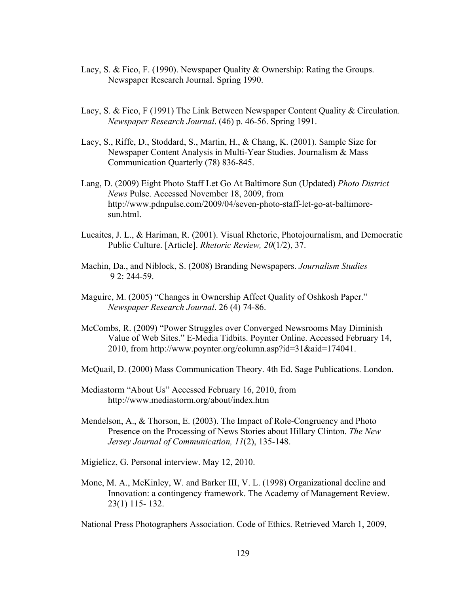- Lacy, S. & Fico, F. (1990). Newspaper Quality & Ownership: Rating the Groups. Newspaper Research Journal. Spring 1990.
- Lacy, S. & Fico, F (1991) The Link Between Newspaper Content Quality & Circulation. *Newspaper Research Journal*. (46) p. 46-56. Spring 1991.
- Lacy, S., Riffe, D., Stoddard, S., Martin, H., & Chang, K. (2001). Sample Size for Newspaper Content Analysis in Multi-Year Studies. Journalism & Mass Communication Quarterly (78) 836-845.
- Lang, D. (2009) Eight Photo Staff Let Go At Baltimore Sun (Updated) *Photo District News* Pulse. Accessed November 18, 2009, from http://www.pdnpulse.com/2009/04/seven-photo-staff-let-go-at-baltimoresun.html.
- Lucaites, J. L., & Hariman, R. (2001). Visual Rhetoric, Photojournalism, and Democratic Public Culture. [Article]. *Rhetoric Review, 20*(1/2), 37.
- Machin, Da., and Niblock, S. (2008) Branding Newspapers. *Journalism Studies* 9 2: 244-59.
- Maguire, M. (2005) "Changes in Ownership Affect Quality of Oshkosh Paper." *Newspaper Research Journal*. 26 (4) 74-86.
- McCombs, R. (2009) "Power Struggles over Converged Newsrooms May Diminish Value of Web Sites." E-Media Tidbits. Poynter Online. Accessed February 14, 2010, from http://www.poynter.org/column.asp?id=31&aid=174041.
- McQuail, D. (2000) Mass Communication Theory. 4th Ed. Sage Publications. London.
- Mediastorm "About Us" Accessed February 16, 2010, from http://www.mediastorm.org/about/index.htm
- Mendelson, A., & Thorson, E. (2003). The Impact of Role-Congruency and Photo Presence on the Processing of News Stories about Hillary Clinton. *The New Jersey Journal of Communication, 11*(2), 135-148.
- Migielicz, G. Personal interview. May 12, 2010.
- Mone, M. A., McKinley, W. and Barker III, V. L. (1998) Organizational decline and Innovation: a contingency framework. The Academy of Management Review. 23(1) 115- 132.

National Press Photographers Association. Code of Ethics. Retrieved March 1, 2009,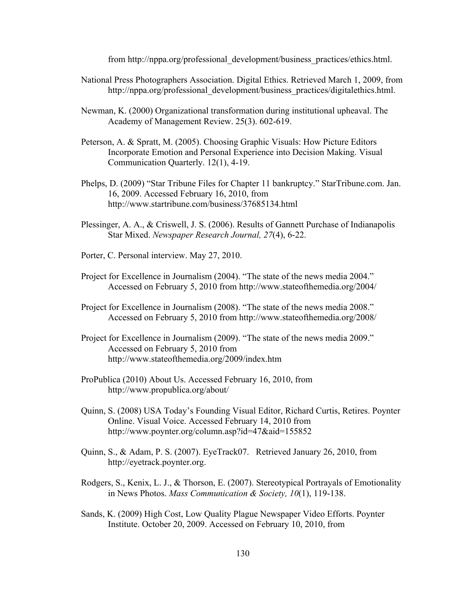from http://nppa.org/professional\_development/business\_practices/ethics.html.

- National Press Photographers Association. Digital Ethics. Retrieved March 1, 2009, from http://nppa.org/professional\_development/business\_practices/digitalethics.html.
- Newman, K. (2000) Organizational transformation during institutional upheaval. The Academy of Management Review. 25(3). 602-619.
- Peterson, A. & Spratt, M. (2005). Choosing Graphic Visuals: How Picture Editors Incorporate Emotion and Personal Experience into Decision Making. Visual Communication Quarterly. 12(1), 4-19.
- Phelps, D. (2009) "Star Tribune Files for Chapter 11 bankruptcy." StarTribune.com. Jan. 16, 2009. Accessed February 16, 2010, from http://www.startribune.com/business/37685134.html
- Plessinger, A. A., & Criswell, J. S. (2006). Results of Gannett Purchase of Indianapolis Star Mixed. *Newspaper Research Journal, 27*(4), 6-22.
- Porter, C. Personal interview. May 27, 2010.
- Project for Excellence in Journalism (2004). "The state of the news media 2004." Accessed on February 5, 2010 from http://www.stateofthemedia.org/2004/
- Project for Excellence in Journalism (2008). "The state of the news media 2008." Accessed on February 5, 2010 from http://www.stateofthemedia.org/2008/
- Project for Excellence in Journalism (2009). "The state of the news media 2009." Accessed on February 5, 2010 from http://www.stateofthemedia.org/2009/index.htm
- ProPublica (2010) About Us. Accessed February 16, 2010, from http://www.propublica.org/about/
- Quinn, S. (2008) USA Today's Founding Visual Editor, Richard Curtis, Retires. Poynter Online. Visual Voice. Accessed February 14, 2010 from http://www.poynter.org/column.asp?id=47&aid=155852
- Quinn, S., & Adam, P. S. (2007). EyeTrack07. Retrieved January 26, 2010, from http://eyetrack.poynter.org.
- Rodgers, S., Kenix, L. J., & Thorson, E. (2007). Stereotypical Portrayals of Emotionality in News Photos. *Mass Communication & Society, 10*(1), 119-138.
- Sands, K. (2009) High Cost, Low Quality Plague Newspaper Video Efforts. Poynter Institute. October 20, 2009. Accessed on February 10, 2010, from